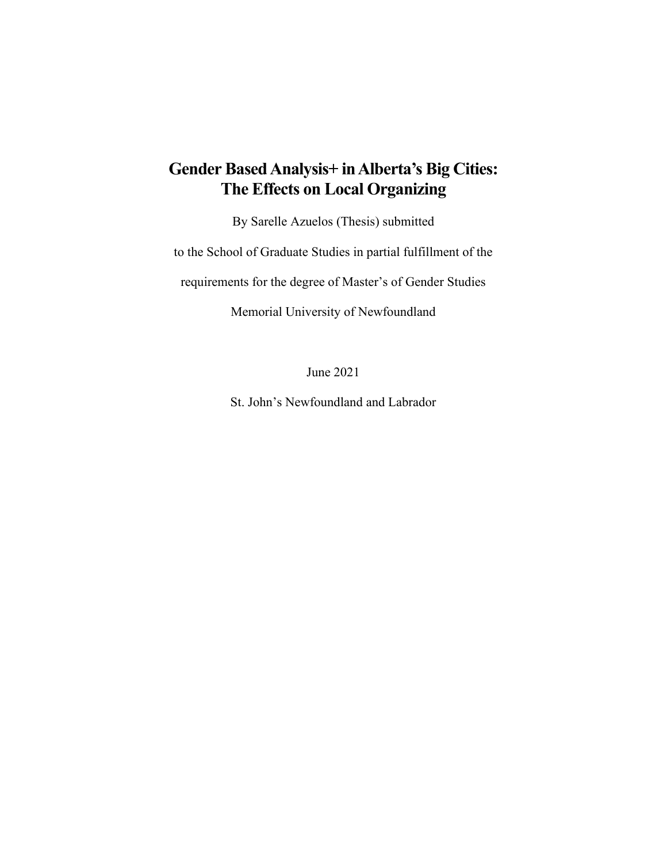# **Gender BasedAnalysis+ inAlberta's Big Cities: The Effects on Local Organizing**

By Sarelle Azuelos (Thesis) submitted

to the School of Graduate Studies in partial fulfillment of the

requirements for the degree of Master's of Gender Studies

Memorial University of Newfoundland

June 2021

St. John's Newfoundland and Labrador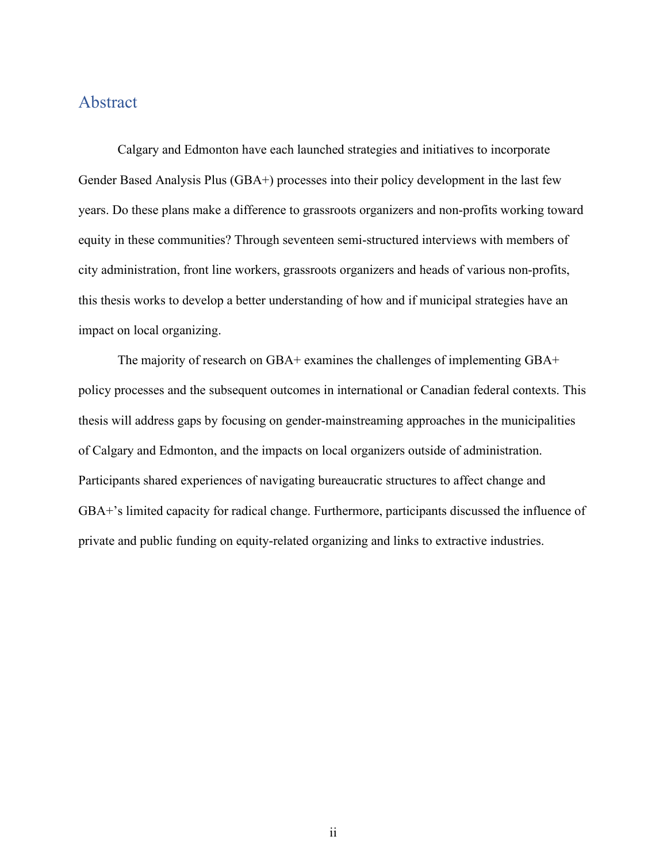### Abstract

Calgary and Edmonton have each launched strategies and initiatives to incorporate Gender Based Analysis Plus (GBA+) processes into their policy development in the last few years. Do these plans make a difference to grassroots organizers and non-profits working toward equity in these communities? Through seventeen semi-structured interviews with members of city administration, front line workers, grassroots organizers and heads of various non-profits, this thesis works to develop a better understanding of how and if municipal strategies have an impact on local organizing.

The majority of research on GBA+ examines the challenges of implementing GBA+ policy processes and the subsequent outcomes in international or Canadian federal contexts. This thesis will address gaps by focusing on gender-mainstreaming approaches in the municipalities of Calgary and Edmonton, and the impacts on local organizers outside of administration. Participants shared experiences of navigating bureaucratic structures to affect change and GBA+'s limited capacity for radical change. Furthermore, participants discussed the influence of private and public funding on equity-related organizing and links to extractive industries.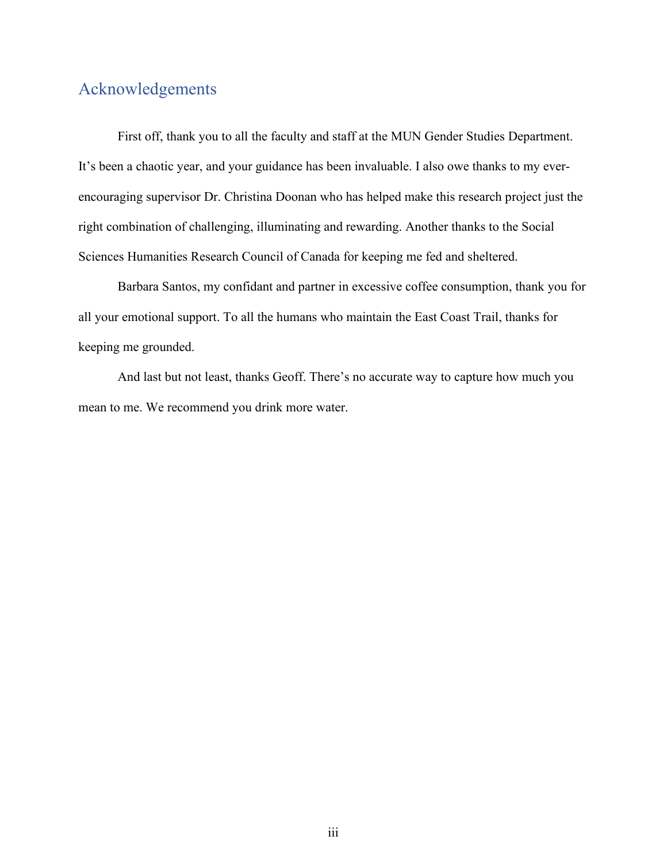## Acknowledgements

First off, thank you to all the faculty and staff at the MUN Gender Studies Department. It's been a chaotic year, and your guidance has been invaluable. I also owe thanks to my everencouraging supervisor Dr. Christina Doonan who has helped make this research project just the right combination of challenging, illuminating and rewarding. Another thanks to the Social Sciences Humanities Research Council of Canada for keeping me fed and sheltered.

Barbara Santos, my confidant and partner in excessive coffee consumption, thank you for all your emotional support. To all the humans who maintain the East Coast Trail, thanks for keeping me grounded.

And last but not least, thanks Geoff. There's no accurate way to capture how much you mean to me. We recommend you drink more water.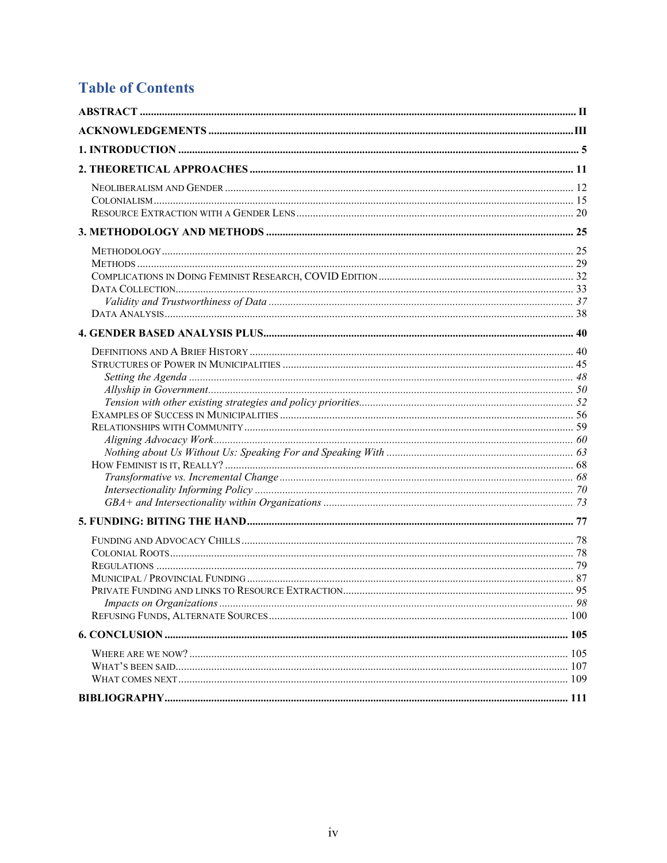# **Table of Contents**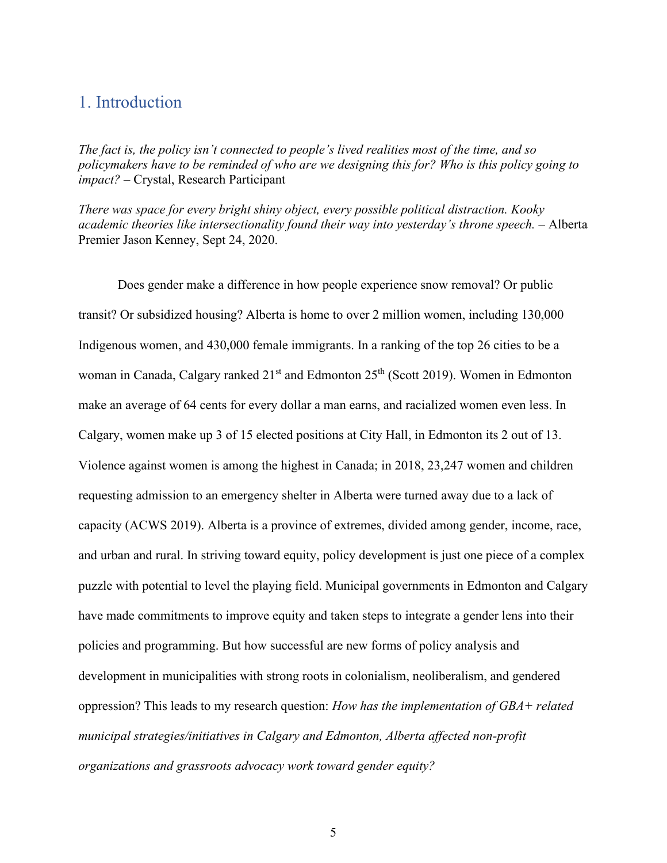## 1. Introduction

*The fact is, the policy isn't connected to people's lived realities most of the time, and so policymakers have to be reminded of who are we designing this for? Who is this policy going to impact?* – Crystal, Research Participant

*There was space for every bright shiny object, every possible political distraction. Kooky academic theories like intersectionality found their way into yesterday's throne speech.* – Alberta Premier Jason Kenney, Sept 24, 2020.

Does gender make a difference in how people experience snow removal? Or public transit? Or subsidized housing? Alberta is home to over 2 million women, including 130,000 Indigenous women, and 430,000 female immigrants. In a ranking of the top 26 cities to be a woman in Canada, Calgary ranked 21<sup>st</sup> and Edmonton 25<sup>th</sup> (Scott 2019). Women in Edmonton make an average of 64 cents for every dollar a man earns, and racialized women even less. In Calgary, women make up 3 of 15 elected positions at City Hall, in Edmonton its 2 out of 13. Violence against women is among the highest in Canada; in 2018, 23,247 women and children requesting admission to an emergency shelter in Alberta were turned away due to a lack of capacity (ACWS 2019). Alberta is a province of extremes, divided among gender, income, race, and urban and rural. In striving toward equity, policy development is just one piece of a complex puzzle with potential to level the playing field. Municipal governments in Edmonton and Calgary have made commitments to improve equity and taken steps to integrate a gender lens into their policies and programming. But how successful are new forms of policy analysis and development in municipalities with strong roots in colonialism, neoliberalism, and gendered oppression? This leads to my research question: *How has the implementation of GBA+ related municipal strategies/initiatives in Calgary and Edmonton, Alberta affected non-profit organizations and grassroots advocacy work toward gender equity?*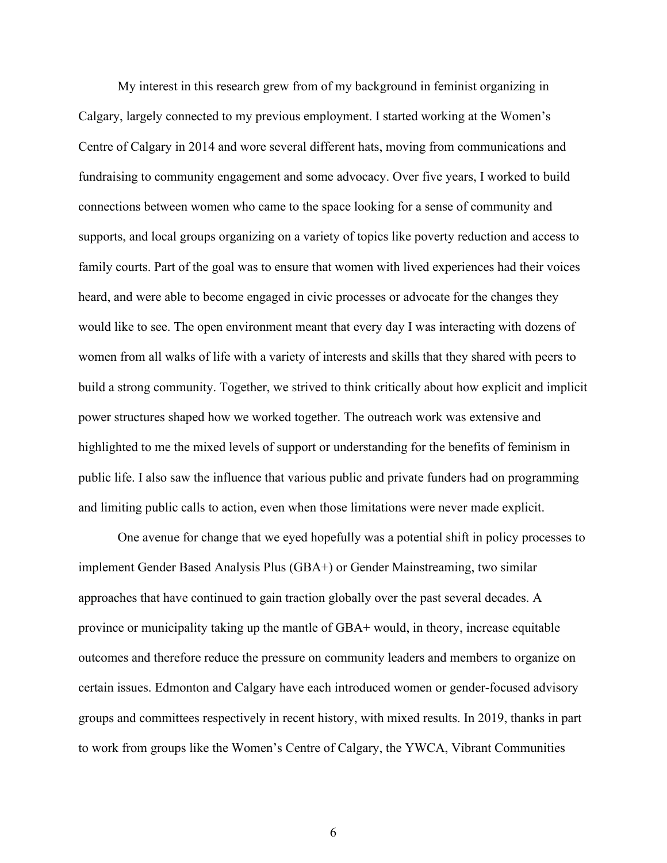My interest in this research grew from of my background in feminist organizing in Calgary, largely connected to my previous employment. I started working at the Women's Centre of Calgary in 2014 and wore several different hats, moving from communications and fundraising to community engagement and some advocacy. Over five years, I worked to build connections between women who came to the space looking for a sense of community and supports, and local groups organizing on a variety of topics like poverty reduction and access to family courts. Part of the goal was to ensure that women with lived experiences had their voices heard, and were able to become engaged in civic processes or advocate for the changes they would like to see. The open environment meant that every day I was interacting with dozens of women from all walks of life with a variety of interests and skills that they shared with peers to build a strong community. Together, we strived to think critically about how explicit and implicit power structures shaped how we worked together. The outreach work was extensive and highlighted to me the mixed levels of support or understanding for the benefits of feminism in public life. I also saw the influence that various public and private funders had on programming and limiting public calls to action, even when those limitations were never made explicit.

One avenue for change that we eyed hopefully was a potential shift in policy processes to implement Gender Based Analysis Plus (GBA+) or Gender Mainstreaming, two similar approaches that have continued to gain traction globally over the past several decades. A province or municipality taking up the mantle of GBA+ would, in theory, increase equitable outcomes and therefore reduce the pressure on community leaders and members to organize on certain issues. Edmonton and Calgary have each introduced women or gender-focused advisory groups and committees respectively in recent history, with mixed results. In 2019, thanks in part to work from groups like the Women's Centre of Calgary, the YWCA, Vibrant Communities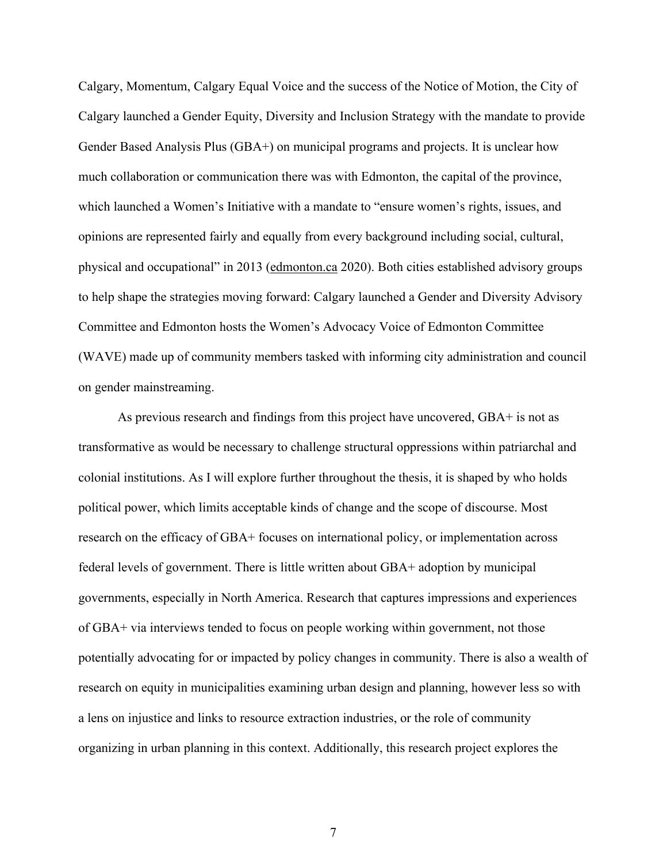Calgary, Momentum, Calgary Equal Voice and the success of the Notice of Motion, the City of Calgary launched a Gender Equity, Diversity and Inclusion Strategy with the mandate to provide Gender Based Analysis Plus (GBA+) on municipal programs and projects. It is unclear how much collaboration or communication there was with Edmonton, the capital of the province, which launched a Women's Initiative with a mandate to "ensure women's rights, issues, and opinions are represented fairly and equally from every background including social, cultural, physical and occupational" in 2013 [\(edmonton.ca](http://edmonton.ca/) 2020). Both cities established advisory groups to help shape the strategies moving forward: Calgary launched a Gender and Diversity Advisory Committee and Edmonton hosts the Women's Advocacy Voice of Edmonton Committee (WAVE) made up of community members tasked with informing city administration and council on gender mainstreaming.

As previous research and findings from this project have uncovered, GBA+ is not as transformative as would be necessary to challenge structural oppressions within patriarchal and colonial institutions. As I will explore further throughout the thesis, it is shaped by who holds political power, which limits acceptable kinds of change and the scope of discourse. Most research on the efficacy of GBA+ focuses on international policy, or implementation across federal levels of government. There is little written about GBA+ adoption by municipal governments, especially in North America. Research that captures impressions and experiences of GBA+ via interviews tended to focus on people working within government, not those potentially advocating for or impacted by policy changes in community. There is also a wealth of research on equity in municipalities examining urban design and planning, however less so with a lens on injustice and links to resource extraction industries, or the role of community organizing in urban planning in this context. Additionally, this research project explores the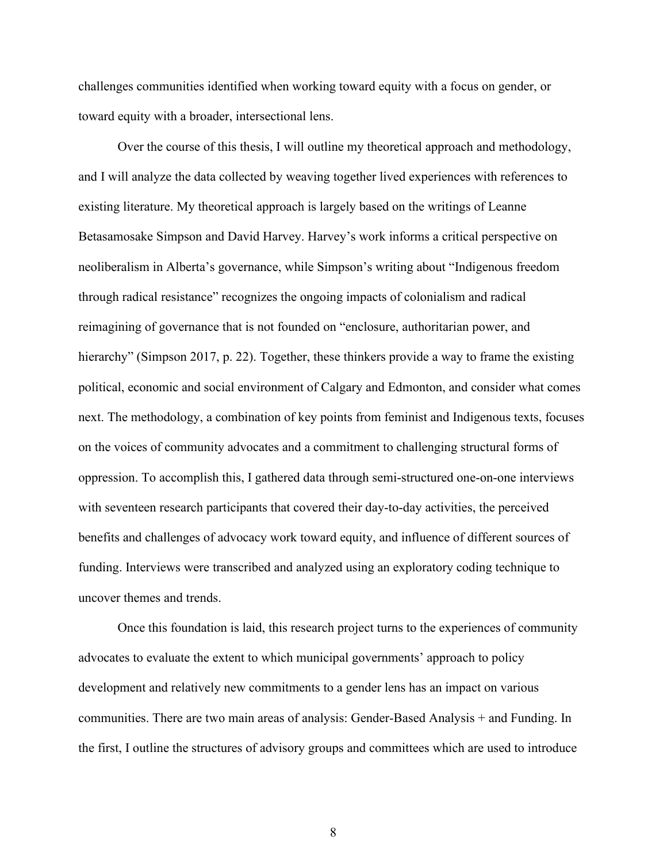challenges communities identified when working toward equity with a focus on gender, or toward equity with a broader, intersectional lens.

Over the course of this thesis, I will outline my theoretical approach and methodology, and I will analyze the data collected by weaving together lived experiences with references to existing literature. My theoretical approach is largely based on the writings of Leanne Betasamosake Simpson and David Harvey. Harvey's work informs a critical perspective on neoliberalism in Alberta's governance, while Simpson's writing about "Indigenous freedom through radical resistance" recognizes the ongoing impacts of colonialism and radical reimagining of governance that is not founded on "enclosure, authoritarian power, and hierarchy" (Simpson 2017, p. 22). Together, these thinkers provide a way to frame the existing political, economic and social environment of Calgary and Edmonton, and consider what comes next. The methodology, a combination of key points from feminist and Indigenous texts, focuses on the voices of community advocates and a commitment to challenging structural forms of oppression. To accomplish this, I gathered data through semi-structured one-on-one interviews with seventeen research participants that covered their day-to-day activities, the perceived benefits and challenges of advocacy work toward equity, and influence of different sources of funding. Interviews were transcribed and analyzed using an exploratory coding technique to uncover themes and trends.

Once this foundation is laid, this research project turns to the experiences of community advocates to evaluate the extent to which municipal governments' approach to policy development and relatively new commitments to a gender lens has an impact on various communities. There are two main areas of analysis: Gender-Based Analysis + and Funding. In the first, I outline the structures of advisory groups and committees which are used to introduce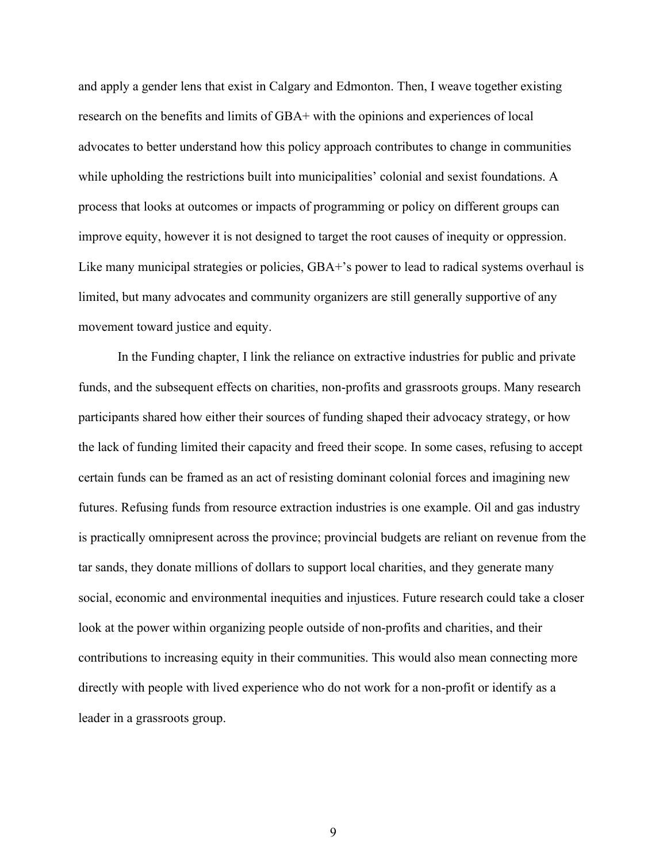and apply a gender lens that exist in Calgary and Edmonton. Then, I weave together existing research on the benefits and limits of GBA+ with the opinions and experiences of local advocates to better understand how this policy approach contributes to change in communities while upholding the restrictions built into municipalities' colonial and sexist foundations. A process that looks at outcomes or impacts of programming or policy on different groups can improve equity, however it is not designed to target the root causes of inequity or oppression. Like many municipal strategies or policies, GBA+'s power to lead to radical systems overhaul is limited, but many advocates and community organizers are still generally supportive of any movement toward justice and equity.

In the Funding chapter, I link the reliance on extractive industries for public and private funds, and the subsequent effects on charities, non-profits and grassroots groups. Many research participants shared how either their sources of funding shaped their advocacy strategy, or how the lack of funding limited their capacity and freed their scope. In some cases, refusing to accept certain funds can be framed as an act of resisting dominant colonial forces and imagining new futures. Refusing funds from resource extraction industries is one example. Oil and gas industry is practically omnipresent across the province; provincial budgets are reliant on revenue from the tar sands, they donate millions of dollars to support local charities, and they generate many social, economic and environmental inequities and injustices. Future research could take a closer look at the power within organizing people outside of non-profits and charities, and their contributions to increasing equity in their communities. This would also mean connecting more directly with people with lived experience who do not work for a non-profit or identify as a leader in a grassroots group.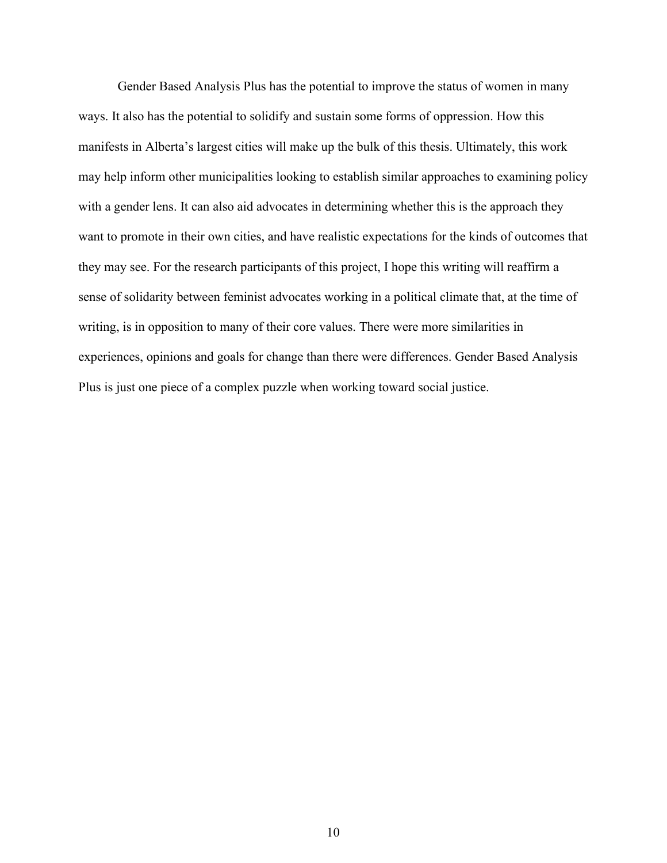Gender Based Analysis Plus has the potential to improve the status of women in many ways. It also has the potential to solidify and sustain some forms of oppression. How this manifests in Alberta's largest cities will make up the bulk of this thesis. Ultimately, this work may help inform other municipalities looking to establish similar approaches to examining policy with a gender lens. It can also aid advocates in determining whether this is the approach they want to promote in their own cities, and have realistic expectations for the kinds of outcomes that they may see. For the research participants of this project, I hope this writing will reaffirm a sense of solidarity between feminist advocates working in a political climate that, at the time of writing, is in opposition to many of their core values. There were more similarities in experiences, opinions and goals for change than there were differences. Gender Based Analysis Plus is just one piece of a complex puzzle when working toward social justice.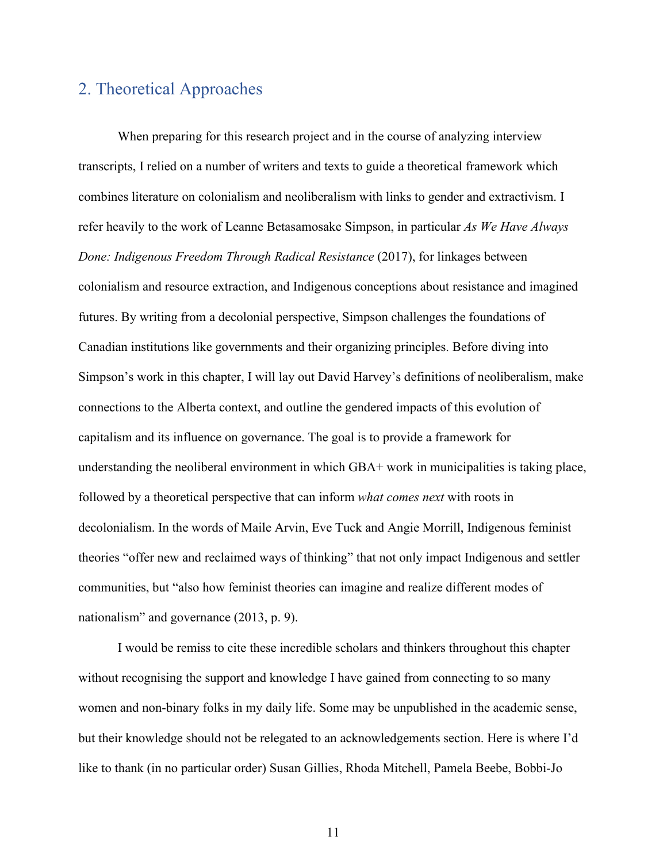## 2. Theoretical Approaches

When preparing for this research project and in the course of analyzing interview transcripts, I relied on a number of writers and texts to guide a theoretical framework which combines literature on colonialism and neoliberalism with links to gender and extractivism. I refer heavily to the work of Leanne Betasamosake Simpson, in particular *As We Have Always Done: Indigenous Freedom Through Radical Resistance* (2017), for linkages between colonialism and resource extraction, and Indigenous conceptions about resistance and imagined futures. By writing from a decolonial perspective, Simpson challenges the foundations of Canadian institutions like governments and their organizing principles. Before diving into Simpson's work in this chapter, I will lay out David Harvey's definitions of neoliberalism, make connections to the Alberta context, and outline the gendered impacts of this evolution of capitalism and its influence on governance. The goal is to provide a framework for understanding the neoliberal environment in which GBA+ work in municipalities is taking place, followed by a theoretical perspective that can inform *what comes next* with roots in decolonialism. In the words of Maile Arvin, Eve Tuck and Angie Morrill, Indigenous feminist theories "offer new and reclaimed ways of thinking" that not only impact Indigenous and settler communities, but "also how feminist theories can imagine and realize different modes of nationalism" and governance (2013, p. 9).

I would be remiss to cite these incredible scholars and thinkers throughout this chapter without recognising the support and knowledge I have gained from connecting to so many women and non-binary folks in my daily life. Some may be unpublished in the academic sense, but their knowledge should not be relegated to an acknowledgements section. Here is where I'd like to thank (in no particular order) Susan Gillies, Rhoda Mitchell, Pamela Beebe, Bobbi-Jo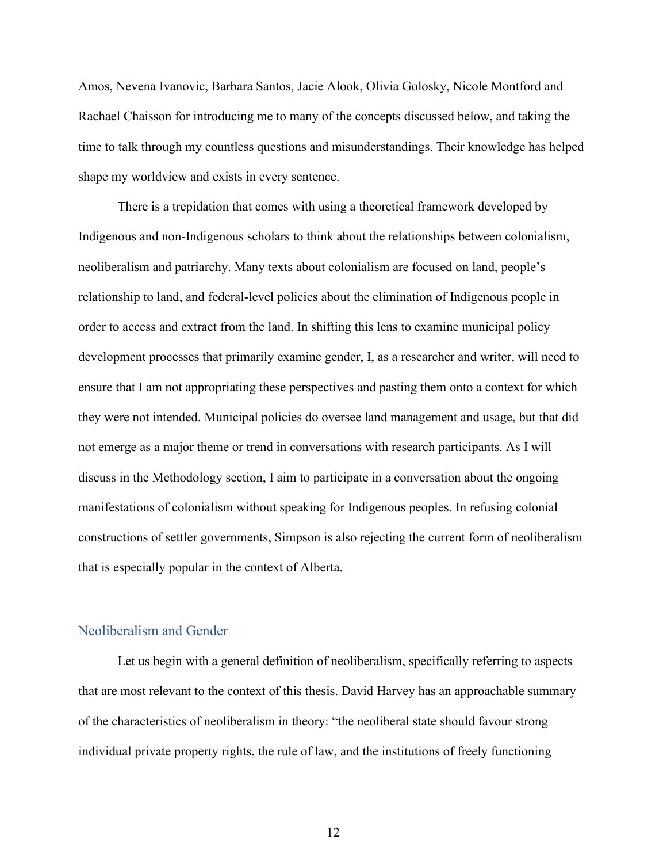Amos, Nevena Ivanovic, Barbara Santos, Jacie Alook, Olivia Golosky, Nicole Montford and Rachael Chaisson for introducing me to many of the concepts discussed below, and taking the time to talk through my countless questions and misunderstandings. Their knowledge has helped shape my worldview and exists in every sentence.

There is a trepidation that comes with using a theoretical framework developed by Indigenous and non-Indigenous scholars to think about the relationships between colonialism, neoliberalism and patriarchy. Many texts about colonialism are focused on land, people's relationship to land, and federal-level policies about the elimination of Indigenous people in order to access and extract from the land. In shifting this lens to examine municipal policy development processes that primarily examine gender, I, as a researcher and writer, will need to ensure that I am not appropriating these perspectives and pasting them onto a context for which they were not intended. Municipal policies do oversee land management and usage, but that did not emerge as a major theme or trend in conversations with research participants. As I will discuss in the Methodology section, I aim to participate in a conversation about the ongoing manifestations of colonialism without speaking for Indigenous peoples. In refusing colonial constructions of settler governments, Simpson is also rejecting the current form of neoliberalism that is especially popular in the context of Alberta.

#### Neoliberalism and Gender

Let us begin with a general definition of neoliberalism, specifically referring to aspects that are most relevant to the context of this thesis. David Harvey has an approachable summary of the characteristics of neoliberalism in theory: "the neoliberal state should favour strong individual private property rights, the rule of law, and the institutions of freely functioning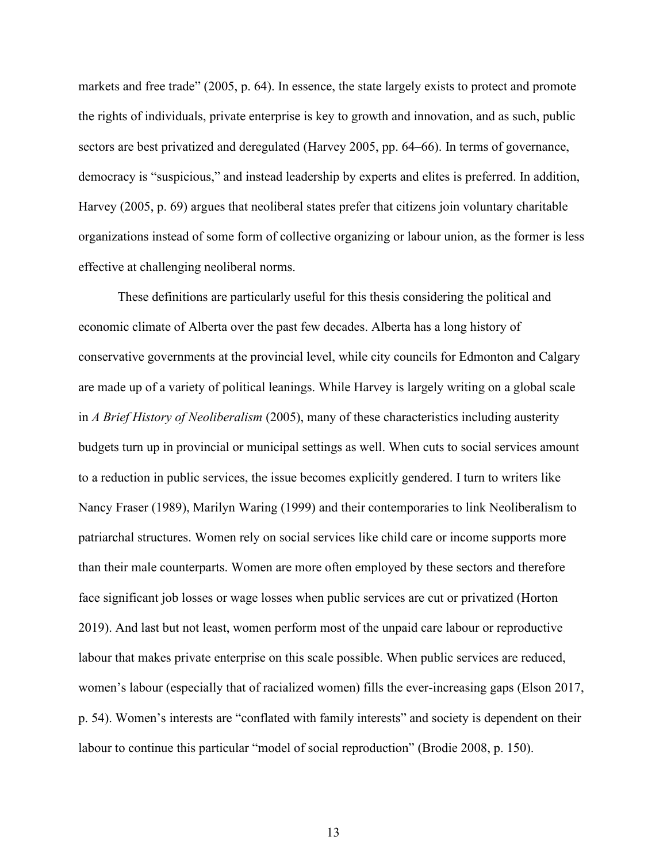markets and free trade" (2005, p. 64). In essence, the state largely exists to protect and promote the rights of individuals, private enterprise is key to growth and innovation, and as such, public sectors are best privatized and deregulated (Harvey 2005, pp. 64–66). In terms of governance, democracy is "suspicious," and instead leadership by experts and elites is preferred. In addition, Harvey (2005, p. 69) argues that neoliberal states prefer that citizens join voluntary charitable organizations instead of some form of collective organizing or labour union, as the former is less effective at challenging neoliberal norms.

These definitions are particularly useful for this thesis considering the political and economic climate of Alberta over the past few decades. Alberta has a long history of conservative governments at the provincial level, while city councils for Edmonton and Calgary are made up of a variety of political leanings. While Harvey is largely writing on a global scale in *A Brief History of Neoliberalism* (2005), many of these characteristics including austerity budgets turn up in provincial or municipal settings as well. When cuts to social services amount to a reduction in public services, the issue becomes explicitly gendered. I turn to writers like Nancy Fraser (1989), Marilyn Waring (1999) and their contemporaries to link Neoliberalism to patriarchal structures. Women rely on social services like child care or income supports more than their male counterparts. Women are more often employed by these sectors and therefore face significant job losses or wage losses when public services are cut or privatized (Horton 2019). And last but not least, women perform most of the unpaid care labour or reproductive labour that makes private enterprise on this scale possible. When public services are reduced, women's labour (especially that of racialized women) fills the ever-increasing gaps (Elson 2017, p. 54). Women's interests are "conflated with family interests" and society is dependent on their labour to continue this particular "model of social reproduction" (Brodie 2008, p. 150).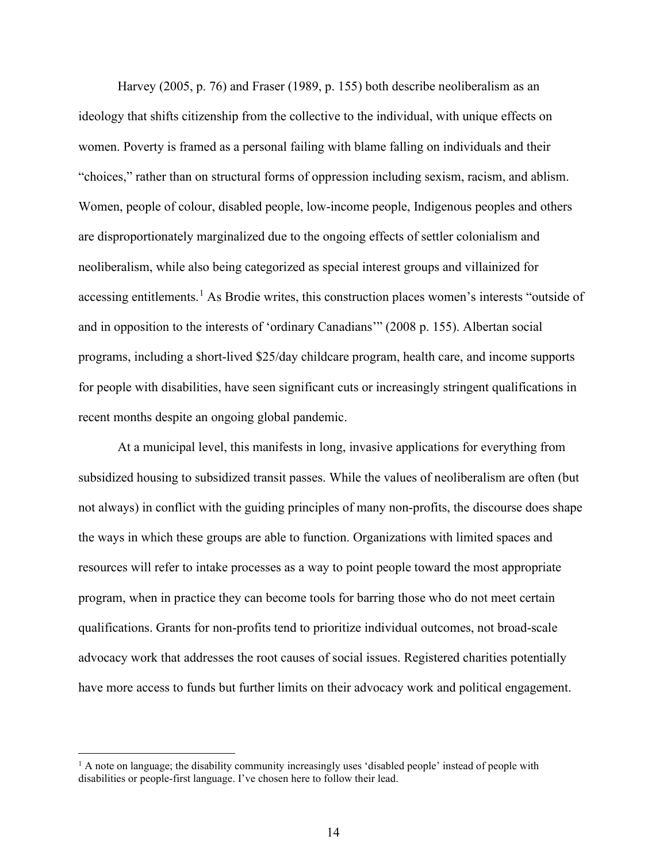Harvey (2005, p. 76) and Fraser (1989, p. 155) both describe neoliberalism as an ideology that shifts citizenship from the collective to the individual, with unique effects on women. Poverty is framed as a personal failing with blame falling on individuals and their "choices," rather than on structural forms of oppression including sexism, racism, and ablism. Women, people of colour, disabled people, low-income people, Indigenous peoples and others are disproportionately marginalized due to the ongoing effects of settler colonialism and neoliberalism, while also being categorized as special interest groups and villainized for accessing entitlements.<sup>[1](#page-13-0)</sup> As Brodie writes, this construction places women's interests "outside of and in opposition to the interests of 'ordinary Canadians'" (2008 p. 155). Albertan social programs, including a short-lived \$25/day childcare program, health care, and income supports for people with disabilities, have seen significant cuts or increasingly stringent qualifications in recent months despite an ongoing global pandemic.

At a municipal level, this manifests in long, invasive applications for everything from subsidized housing to subsidized transit passes. While the values of neoliberalism are often (but not always) in conflict with the guiding principles of many non-profits, the discourse does shape the ways in which these groups are able to function. Organizations with limited spaces and resources will refer to intake processes as a way to point people toward the most appropriate program, when in practice they can become tools for barring those who do not meet certain qualifications. Grants for non-profits tend to prioritize individual outcomes, not broad-scale advocacy work that addresses the root causes of social issues. Registered charities potentially have more access to funds but further limits on their advocacy work and political engagement.

<span id="page-13-0"></span> $<sup>1</sup>$  A note on language; the disability community increasingly uses 'disabled people' instead of people with</sup> disabilities or people-first language. I've chosen here to follow their lead.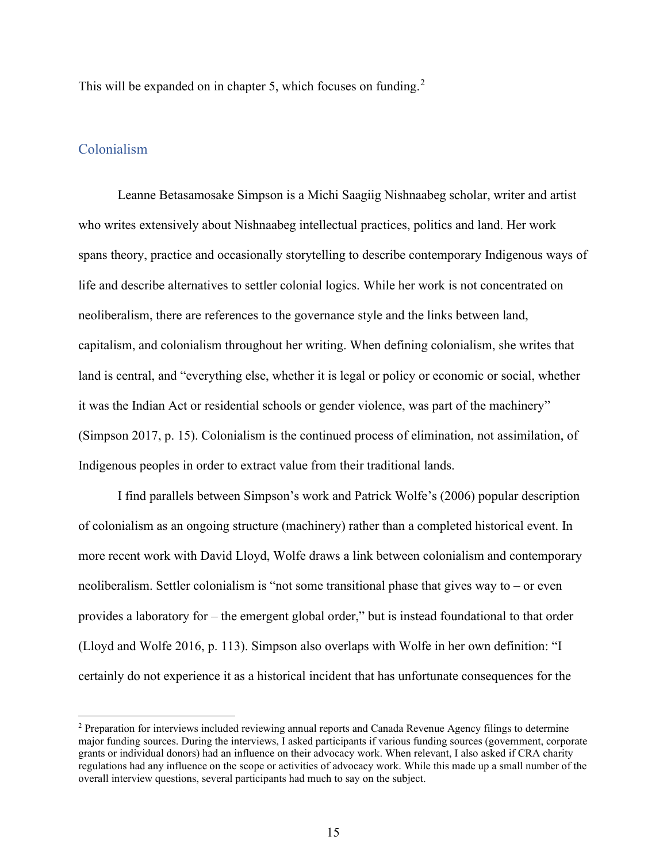This will be expanded on in chapter 5, which focuses on funding.<sup>[2](#page-14-0)</sup>

#### Colonialism

Leanne Betasamosake Simpson is a Michi Saagiig Nishnaabeg scholar, writer and artist who writes extensively about Nishnaabeg intellectual practices, politics and land. Her work spans theory, practice and occasionally storytelling to describe contemporary Indigenous ways of life and describe alternatives to settler colonial logics. While her work is not concentrated on neoliberalism, there are references to the governance style and the links between land, capitalism, and colonialism throughout her writing. When defining colonialism, she writes that land is central, and "everything else, whether it is legal or policy or economic or social, whether it was the Indian Act or residential schools or gender violence, was part of the machinery" (Simpson 2017, p. 15). Colonialism is the continued process of elimination, not assimilation, of Indigenous peoples in order to extract value from their traditional lands.

I find parallels between Simpson's work and Patrick Wolfe's (2006) popular description of colonialism as an ongoing structure (machinery) rather than a completed historical event. In more recent work with David Lloyd, Wolfe draws a link between colonialism and contemporary neoliberalism. Settler colonialism is "not some transitional phase that gives way to – or even provides a laboratory for – the emergent global order," but is instead foundational to that order (Lloyd and Wolfe 2016, p. 113). Simpson also overlaps with Wolfe in her own definition: "I certainly do not experience it as a historical incident that has unfortunate consequences for the

<span id="page-14-0"></span><sup>2</sup> Preparation for interviews included reviewing annual reports and Canada Revenue Agency filings to determine major funding sources. During the interviews, I asked participants if various funding sources (government, corporate grants or individual donors) had an influence on their advocacy work. When relevant, I also asked if CRA charity regulations had any influence on the scope or activities of advocacy work. While this made up a small number of the overall interview questions, several participants had much to say on the subject.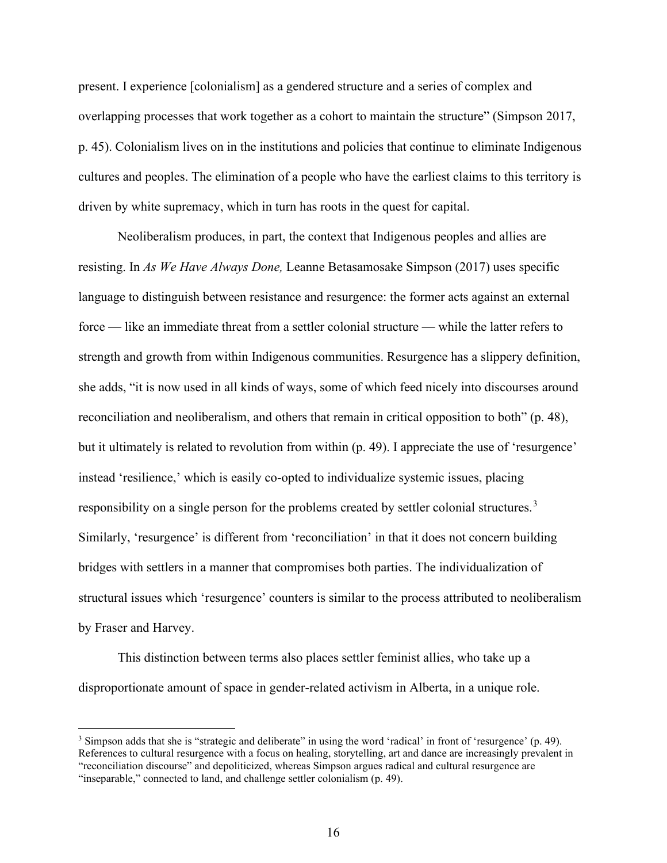present. I experience [colonialism] as a gendered structure and a series of complex and overlapping processes that work together as a cohort to maintain the structure" (Simpson 2017, p. 45). Colonialism lives on in the institutions and policies that continue to eliminate Indigenous cultures and peoples. The elimination of a people who have the earliest claims to this territory is driven by white supremacy, which in turn has roots in the quest for capital.

Neoliberalism produces, in part, the context that Indigenous peoples and allies are resisting. In *As We Have Always Done,* Leanne Betasamosake Simpson (2017) uses specific language to distinguish between resistance and resurgence: the former acts against an external force — like an immediate threat from a settler colonial structure — while the latter refers to strength and growth from within Indigenous communities. Resurgence has a slippery definition, she adds, "it is now used in all kinds of ways, some of which feed nicely into discourses around reconciliation and neoliberalism, and others that remain in critical opposition to both" (p. 48), but it ultimately is related to revolution from within (p. 49). I appreciate the use of 'resurgence' instead 'resilience,' which is easily co-opted to individualize systemic issues, placing responsibility on a single person for the problems created by settler colonial structures.<sup>[3](#page-15-0)</sup> Similarly, 'resurgence' is different from 'reconciliation' in that it does not concern building bridges with settlers in a manner that compromises both parties. The individualization of structural issues which 'resurgence' counters is similar to the process attributed to neoliberalism by Fraser and Harvey.

This distinction between terms also places settler feminist allies, who take up a disproportionate amount of space in gender-related activism in Alberta, in a unique role.

<span id="page-15-0"></span><sup>3</sup> Simpson adds that she is "strategic and deliberate" in using the word 'radical' in front of 'resurgence' (p. 49). References to cultural resurgence with a focus on healing, storytelling, art and dance are increasingly prevalent in "reconciliation discourse" and depoliticized, whereas Simpson argues radical and cultural resurgence are "inseparable," connected to land, and challenge settler colonialism (p. 49).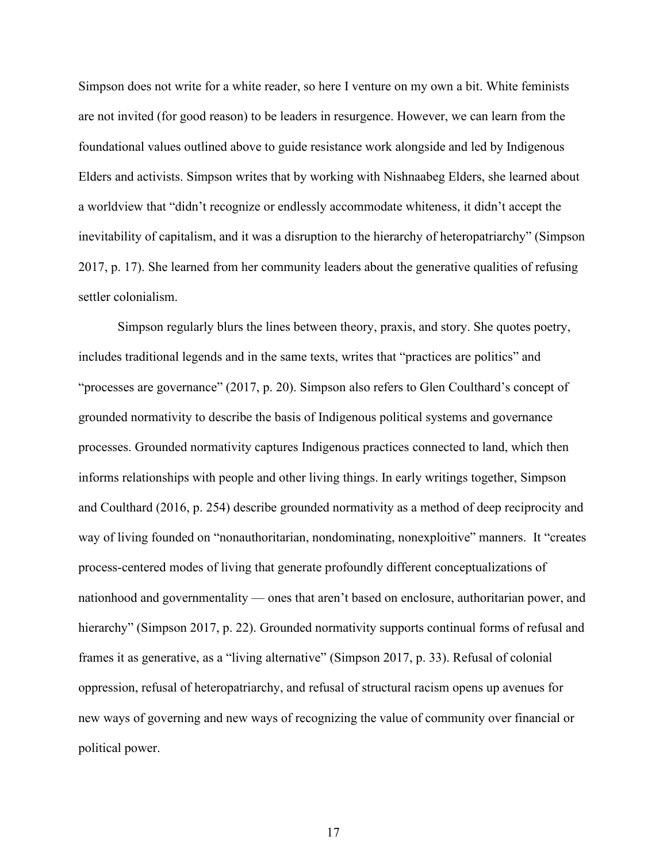Simpson does not write for a white reader, so here I venture on my own a bit. White feminists are not invited (for good reason) to be leaders in resurgence. However, we can learn from the foundational values outlined above to guide resistance work alongside and led by Indigenous Elders and activists. Simpson writes that by working with Nishnaabeg Elders, she learned about a worldview that "didn't recognize or endlessly accommodate whiteness, it didn't accept the inevitability of capitalism, and it was a disruption to the hierarchy of heteropatriarchy" (Simpson 2017, p. 17). She learned from her community leaders about the generative qualities of refusing settler colonialism.

Simpson regularly blurs the lines between theory, praxis, and story. She quotes poetry, includes traditional legends and in the same texts, writes that "practices are politics" and "processes are governance" (2017, p. 20). Simpson also refers to Glen Coulthard's concept of grounded normativity to describe the basis of Indigenous political systems and governance processes. Grounded normativity captures Indigenous practices connected to land, which then informs relationships with people and other living things. In early writings together, Simpson and Coulthard (2016, p. 254) describe grounded normativity as a method of deep reciprocity and way of living founded on "nonauthoritarian, nondominating, nonexploitive" manners. It "creates process-centered modes of living that generate profoundly different conceptualizations of nationhood and governmentality — ones that aren't based on enclosure, authoritarian power, and hierarchy" (Simpson 2017, p. 22). Grounded normativity supports continual forms of refusal and frames it as generative, as a "living alternative" (Simpson 2017, p. 33). Refusal of colonial oppression, refusal of heteropatriarchy, and refusal of structural racism opens up avenues for new ways of governing and new ways of recognizing the value of community over financial or political power.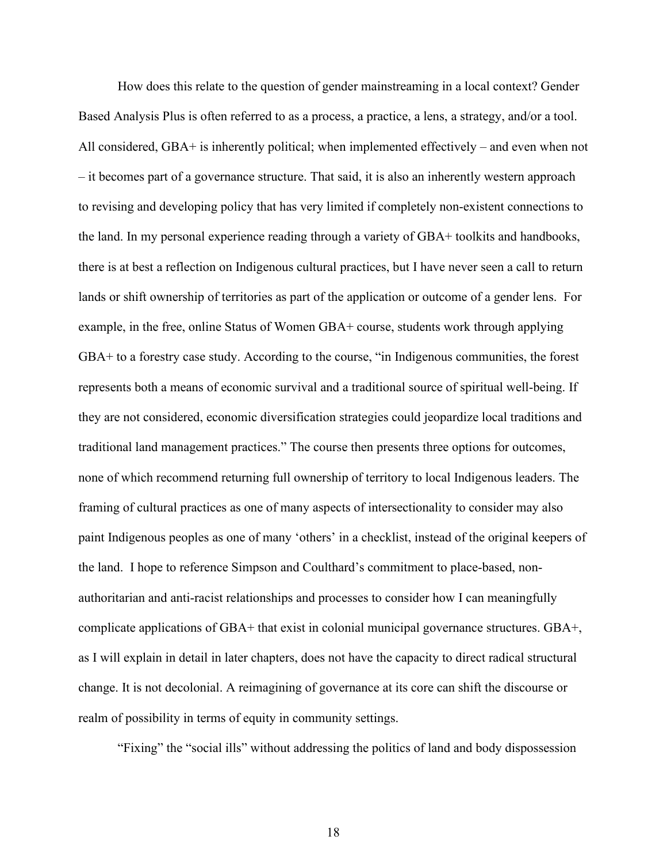How does this relate to the question of gender mainstreaming in a local context? Gender Based Analysis Plus is often referred to as a process, a practice, a lens, a strategy, and/or a tool. All considered, GBA+ is inherently political; when implemented effectively – and even when not – it becomes part of a governance structure. That said, it is also an inherently western approach to revising and developing policy that has very limited if completely non-existent connections to the land. In my personal experience reading through a variety of GBA+ toolkits and handbooks, there is at best a reflection on Indigenous cultural practices, but I have never seen a call to return lands or shift ownership of territories as part of the application or outcome of a gender lens. For example, in the free, online Status of Women GBA+ course, students work through applying GBA+ to a forestry case study. According to the course, "in Indigenous communities, the forest represents both a means of economic survival and a traditional source of spiritual well-being. If they are not considered, economic diversification strategies could jeopardize local traditions and traditional land management practices." The course then presents three options for outcomes, none of which recommend returning full ownership of territory to local Indigenous leaders. The framing of cultural practices as one of many aspects of intersectionality to consider may also paint Indigenous peoples as one of many 'others' in a checklist, instead of the original keepers of the land. I hope to reference Simpson and Coulthard's commitment to place-based, nonauthoritarian and anti-racist relationships and processes to consider how I can meaningfully complicate applications of GBA+ that exist in colonial municipal governance structures. GBA+, as I will explain in detail in later chapters, does not have the capacity to direct radical structural change. It is not decolonial. A reimagining of governance at its core can shift the discourse or realm of possibility in terms of equity in community settings.

"Fixing" the "social ills" without addressing the politics of land and body dispossession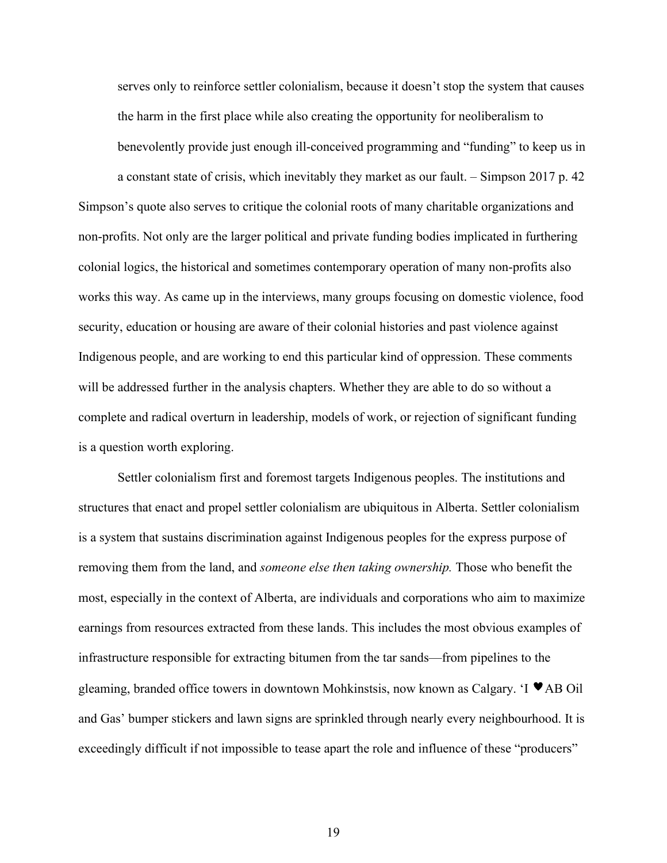serves only to reinforce settler colonialism, because it doesn't stop the system that causes the harm in the first place while also creating the opportunity for neoliberalism to benevolently provide just enough ill-conceived programming and "funding" to keep us in

a constant state of crisis, which inevitably they market as our fault. – Simpson 2017 p. 42 Simpson's quote also serves to critique the colonial roots of many charitable organizations and non-profits. Not only are the larger political and private funding bodies implicated in furthering colonial logics, the historical and sometimes contemporary operation of many non-profits also works this way. As came up in the interviews, many groups focusing on domestic violence, food security, education or housing are aware of their colonial histories and past violence against Indigenous people, and are working to end this particular kind of oppression. These comments will be addressed further in the analysis chapters. Whether they are able to do so without a complete and radical overturn in leadership, models of work, or rejection of significant funding is a question worth exploring.

Settler colonialism first and foremost targets Indigenous peoples. The institutions and structures that enact and propel settler colonialism are ubiquitous in Alberta. Settler colonialism is a system that sustains discrimination against Indigenous peoples for the express purpose of removing them from the land, and *someone else then taking ownership.* Those who benefit the most, especially in the context of Alberta, are individuals and corporations who aim to maximize earnings from resources extracted from these lands. This includes the most obvious examples of infrastructure responsible for extracting bitumen from the tar sands—from pipelines to the gleaming, branded office towers in downtown Mohkinstsis, now known as Calgary. 'I  $\blacktriangledown$  AB Oil and Gas' bumper stickers and lawn signs are sprinkled through nearly every neighbourhood. It is exceedingly difficult if not impossible to tease apart the role and influence of these "producers"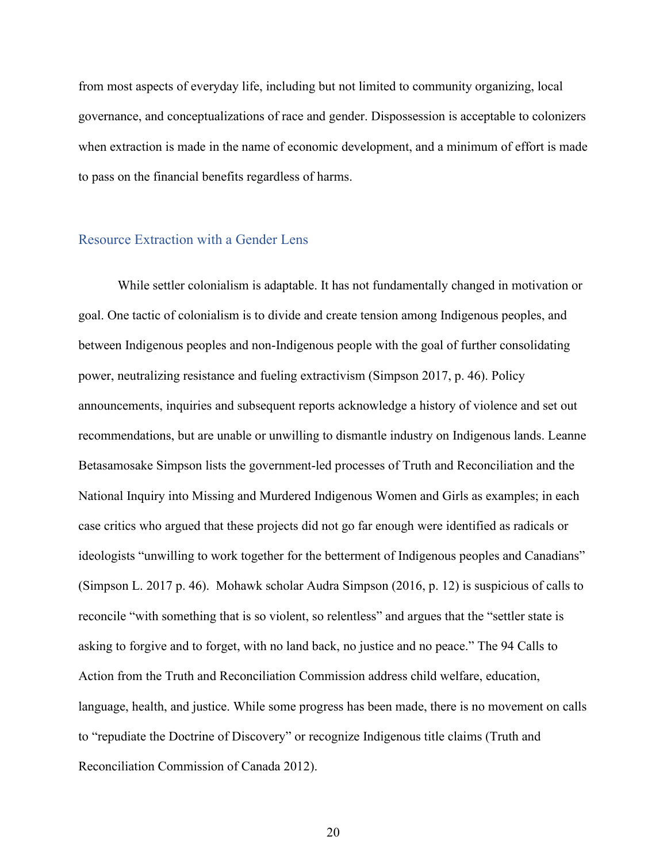from most aspects of everyday life, including but not limited to community organizing, local governance, and conceptualizations of race and gender. Dispossession is acceptable to colonizers when extraction is made in the name of economic development, and a minimum of effort is made to pass on the financial benefits regardless of harms.

#### Resource Extraction with a Gender Lens

While settler colonialism is adaptable. It has not fundamentally changed in motivation or goal. One tactic of colonialism is to divide and create tension among Indigenous peoples, and between Indigenous peoples and non-Indigenous people with the goal of further consolidating power, neutralizing resistance and fueling extractivism (Simpson 2017, p. 46). Policy announcements, inquiries and subsequent reports acknowledge a history of violence and set out recommendations, but are unable or unwilling to dismantle industry on Indigenous lands. Leanne Betasamosake Simpson lists the government-led processes of Truth and Reconciliation and the National Inquiry into Missing and Murdered Indigenous Women and Girls as examples; in each case critics who argued that these projects did not go far enough were identified as radicals or ideologists "unwilling to work together for the betterment of Indigenous peoples and Canadians" (Simpson L. 2017 p. 46). Mohawk scholar Audra Simpson (2016, p. 12) is suspicious of calls to reconcile "with something that is so violent, so relentless" and argues that the "settler state is asking to forgive and to forget, with no land back, no justice and no peace." The 94 Calls to Action from the Truth and Reconciliation Commission address child welfare, education, language, health, and justice. While some progress has been made, there is no movement on calls to "repudiate the Doctrine of Discovery" or recognize Indigenous title claims (Truth and Reconciliation Commission of Canada 2012).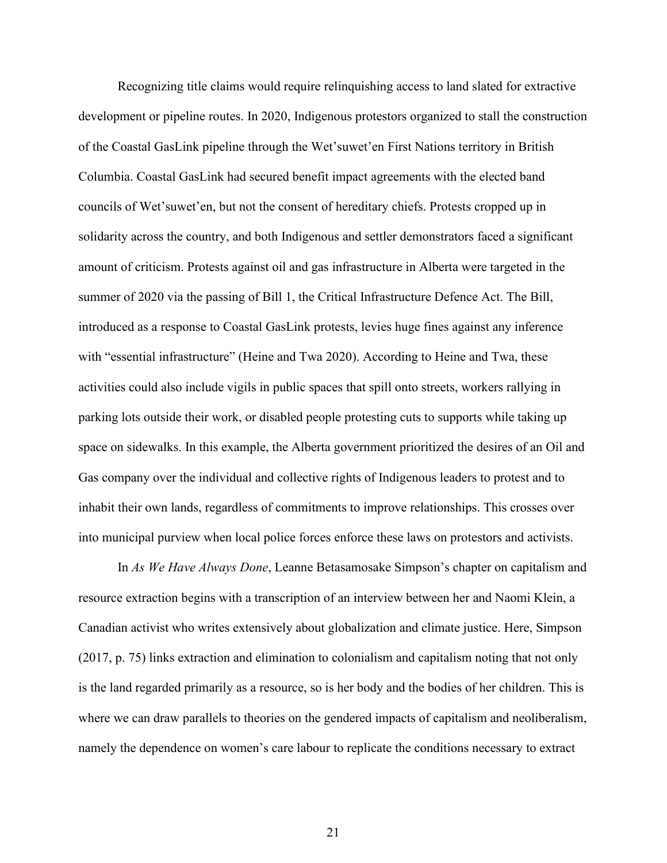Recognizing title claims would require relinquishing access to land slated for extractive development or pipeline routes. In 2020, Indigenous protestors organized to stall the construction of the Coastal GasLink pipeline through the Wet'suwet'en First Nations territory in British Columbia. Coastal GasLink had secured benefit impact agreements with the elected band councils of Wet'suwet'en, but not the consent of hereditary chiefs. Protests cropped up in solidarity across the country, and both Indigenous and settler demonstrators faced a significant amount of criticism. Protests against oil and gas infrastructure in Alberta were targeted in the summer of 2020 via the passing of Bill 1, the Critical Infrastructure Defence Act. The Bill, introduced as a response to Coastal GasLink protests, levies huge fines against any inference with "essential infrastructure" (Heine and Twa 2020). According to Heine and Twa, these activities could also include vigils in public spaces that spill onto streets, workers rallying in parking lots outside their work, or disabled people protesting cuts to supports while taking up space on sidewalks. In this example, the Alberta government prioritized the desires of an Oil and Gas company over the individual and collective rights of Indigenous leaders to protest and to inhabit their own lands, regardless of commitments to improve relationships. This crosses over into municipal purview when local police forces enforce these laws on protestors and activists.

In *As We Have Always Done*, Leanne Betasamosake Simpson's chapter on capitalism and resource extraction begins with a transcription of an interview between her and Naomi Klein, a Canadian activist who writes extensively about globalization and climate justice. Here, Simpson (2017, p. 75) links extraction and elimination to colonialism and capitalism noting that not only is the land regarded primarily as a resource, so is her body and the bodies of her children. This is where we can draw parallels to theories on the gendered impacts of capitalism and neoliberalism, namely the dependence on women's care labour to replicate the conditions necessary to extract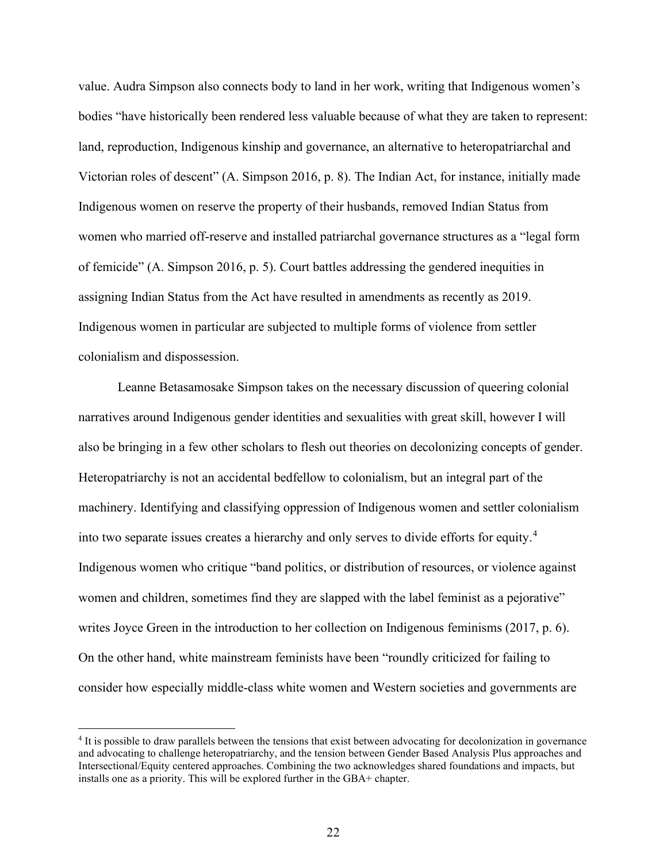value. Audra Simpson also connects body to land in her work, writing that Indigenous women's bodies "have historically been rendered less valuable because of what they are taken to represent: land, reproduction, Indigenous kinship and governance, an alternative to heteropatriarchal and Victorian roles of descent" (A. Simpson 2016, p. 8). The Indian Act, for instance, initially made Indigenous women on reserve the property of their husbands, removed Indian Status from women who married off-reserve and installed patriarchal governance structures as a "legal form of femicide" (A. Simpson 2016, p. 5). Court battles addressing the gendered inequities in assigning Indian Status from the Act have resulted in amendments as recently as 2019. Indigenous women in particular are subjected to multiple forms of violence from settler colonialism and dispossession.

Leanne Betasamosake Simpson takes on the necessary discussion of queering colonial narratives around Indigenous gender identities and sexualities with great skill, however I will also be bringing in a few other scholars to flesh out theories on decolonizing concepts of gender. Heteropatriarchy is not an accidental bedfellow to colonialism, but an integral part of the machinery. Identifying and classifying oppression of Indigenous women and settler colonialism into two separate issues creates a hierarchy and only serves to divide efforts for equity.[4](#page-21-0) Indigenous women who critique "band politics, or distribution of resources, or violence against women and children, sometimes find they are slapped with the label feminist as a pejorative" writes Joyce Green in the introduction to her collection on Indigenous feminisms (2017, p. 6). On the other hand, white mainstream feminists have been "roundly criticized for failing to consider how especially middle-class white women and Western societies and governments are

<span id="page-21-0"></span><sup>4</sup> It is possible to draw parallels between the tensions that exist between advocating for decolonization in governance and advocating to challenge heteropatriarchy, and the tension between Gender Based Analysis Plus approaches and Intersectional/Equity centered approaches. Combining the two acknowledges shared foundations and impacts, but installs one as a priority. This will be explored further in the GBA+ chapter.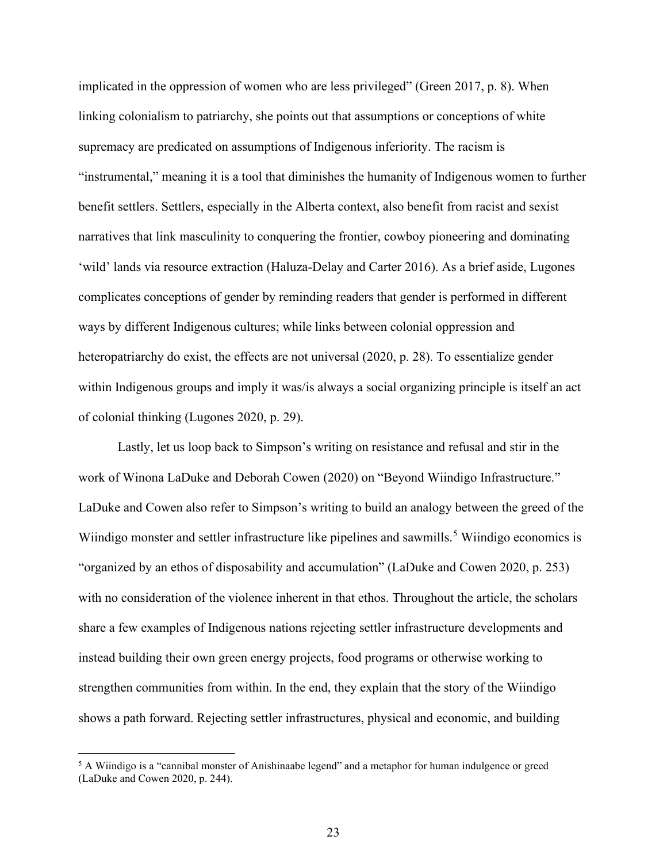implicated in the oppression of women who are less privileged" (Green 2017, p. 8). When linking colonialism to patriarchy, she points out that assumptions or conceptions of white supremacy are predicated on assumptions of Indigenous inferiority. The racism is "instrumental," meaning it is a tool that diminishes the humanity of Indigenous women to further benefit settlers. Settlers, especially in the Alberta context, also benefit from racist and sexist narratives that link masculinity to conquering the frontier, cowboy pioneering and dominating 'wild' lands via resource extraction (Haluza-Delay and Carter 2016). As a brief aside, Lugones complicates conceptions of gender by reminding readers that gender is performed in different ways by different Indigenous cultures; while links between colonial oppression and heteropatriarchy do exist, the effects are not universal (2020, p. 28). To essentialize gender within Indigenous groups and imply it was/is always a social organizing principle is itself an act of colonial thinking (Lugones 2020, p. 29).

Lastly, let us loop back to Simpson's writing on resistance and refusal and stir in the work of Winona LaDuke and Deborah Cowen (2020) on "Beyond Wiindigo Infrastructure." LaDuke and Cowen also refer to Simpson's writing to build an analogy between the greed of the Wiindigo monster and settler infrastructure like pipelines and sawmills.<sup>[5](#page-22-0)</sup> Wiindigo economics is "organized by an ethos of disposability and accumulation" (LaDuke and Cowen 2020, p. 253) with no consideration of the violence inherent in that ethos. Throughout the article, the scholars share a few examples of Indigenous nations rejecting settler infrastructure developments and instead building their own green energy projects, food programs or otherwise working to strengthen communities from within. In the end, they explain that the story of the Wiindigo shows a path forward. Rejecting settler infrastructures, physical and economic, and building

<span id="page-22-0"></span><sup>5</sup> A Wiindigo is a "cannibal monster of Anishinaabe legend" and a metaphor for human indulgence or greed (LaDuke and Cowen 2020, p. 244).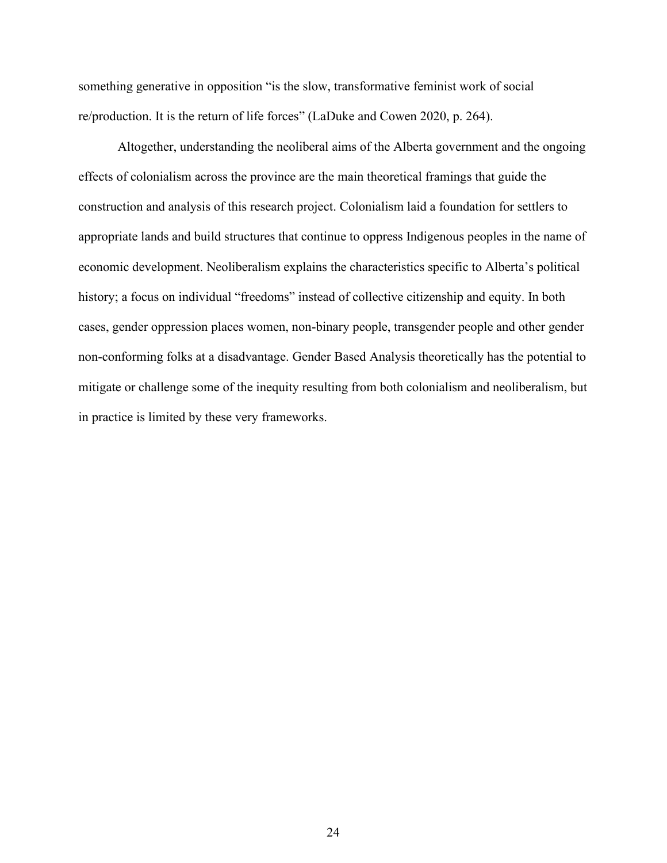something generative in opposition "is the slow, transformative feminist work of social re/production. It is the return of life forces" (LaDuke and Cowen 2020, p. 264).

Altogether, understanding the neoliberal aims of the Alberta government and the ongoing effects of colonialism across the province are the main theoretical framings that guide the construction and analysis of this research project. Colonialism laid a foundation for settlers to appropriate lands and build structures that continue to oppress Indigenous peoples in the name of economic development. Neoliberalism explains the characteristics specific to Alberta's political history; a focus on individual "freedoms" instead of collective citizenship and equity. In both cases, gender oppression places women, non-binary people, transgender people and other gender non-conforming folks at a disadvantage. Gender Based Analysis theoretically has the potential to mitigate or challenge some of the inequity resulting from both colonialism and neoliberalism, but in practice is limited by these very frameworks.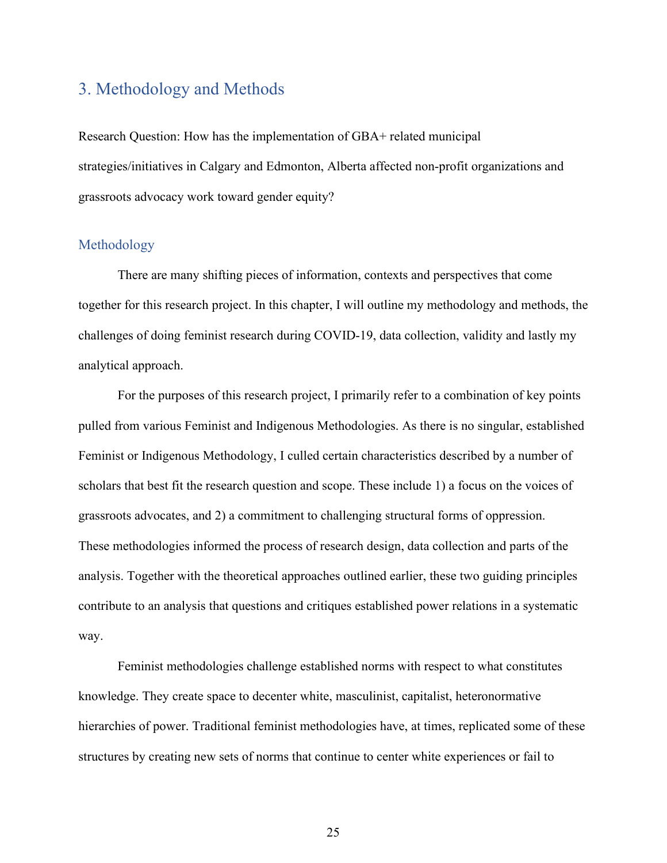## 3. Methodology and Methods

Research Question: How has the implementation of GBA+ related municipal strategies/initiatives in Calgary and Edmonton, Alberta affected non-profit organizations and grassroots advocacy work toward gender equity?

#### Methodology

There are many shifting pieces of information, contexts and perspectives that come together for this research project. In this chapter, I will outline my methodology and methods, the challenges of doing feminist research during COVID-19, data collection, validity and lastly my analytical approach.

For the purposes of this research project, I primarily refer to a combination of key points pulled from various Feminist and Indigenous Methodologies. As there is no singular, established Feminist or Indigenous Methodology, I culled certain characteristics described by a number of scholars that best fit the research question and scope. These include 1) a focus on the voices of grassroots advocates, and 2) a commitment to challenging structural forms of oppression. These methodologies informed the process of research design, data collection and parts of the analysis. Together with the theoretical approaches outlined earlier, these two guiding principles contribute to an analysis that questions and critiques established power relations in a systematic way.

Feminist methodologies challenge established norms with respect to what constitutes knowledge. They create space to decenter white, masculinist, capitalist, heteronormative hierarchies of power. Traditional feminist methodologies have, at times, replicated some of these structures by creating new sets of norms that continue to center white experiences or fail to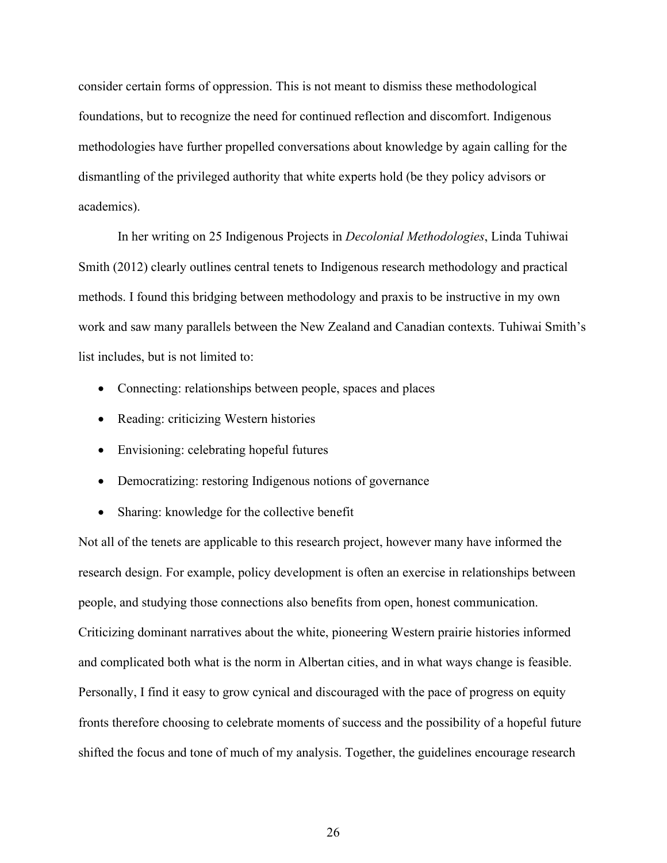consider certain forms of oppression. This is not meant to dismiss these methodological foundations, but to recognize the need for continued reflection and discomfort. Indigenous methodologies have further propelled conversations about knowledge by again calling for the dismantling of the privileged authority that white experts hold (be they policy advisors or academics).

In her writing on 25 Indigenous Projects in *Decolonial Methodologies*, Linda Tuhiwai Smith (2012) clearly outlines central tenets to Indigenous research methodology and practical methods. I found this bridging between methodology and praxis to be instructive in my own work and saw many parallels between the New Zealand and Canadian contexts. Tuhiwai Smith's list includes, but is not limited to:

- Connecting: relationships between people, spaces and places
- Reading: criticizing Western histories
- Envisioning: celebrating hopeful futures
- Democratizing: restoring Indigenous notions of governance
- Sharing: knowledge for the collective benefit

Not all of the tenets are applicable to this research project, however many have informed the research design. For example, policy development is often an exercise in relationships between people, and studying those connections also benefits from open, honest communication. Criticizing dominant narratives about the white, pioneering Western prairie histories informed and complicated both what is the norm in Albertan cities, and in what ways change is feasible. Personally, I find it easy to grow cynical and discouraged with the pace of progress on equity fronts therefore choosing to celebrate moments of success and the possibility of a hopeful future shifted the focus and tone of much of my analysis. Together, the guidelines encourage research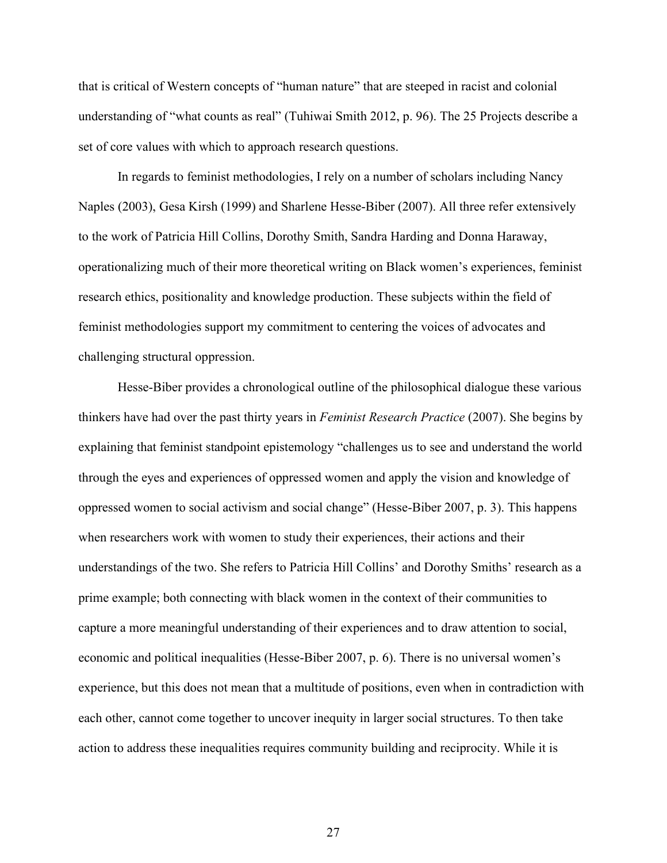that is critical of Western concepts of "human nature" that are steeped in racist and colonial understanding of "what counts as real" (Tuhiwai Smith 2012, p. 96). The 25 Projects describe a set of core values with which to approach research questions.

In regards to feminist methodologies, I rely on a number of scholars including Nancy Naples (2003), Gesa Kirsh (1999) and Sharlene Hesse-Biber (2007). All three refer extensively to the work of Patricia Hill Collins, Dorothy Smith, Sandra Harding and Donna Haraway, operationalizing much of their more theoretical writing on Black women's experiences, feminist research ethics, positionality and knowledge production. These subjects within the field of feminist methodologies support my commitment to centering the voices of advocates and challenging structural oppression.

Hesse-Biber provides a chronological outline of the philosophical dialogue these various thinkers have had over the past thirty years in *Feminist Research Practice* (2007). She begins by explaining that feminist standpoint epistemology "challenges us to see and understand the world through the eyes and experiences of oppressed women and apply the vision and knowledge of oppressed women to social activism and social change" (Hesse-Biber 2007, p. 3). This happens when researchers work with women to study their experiences, their actions and their understandings of the two. She refers to Patricia Hill Collins' and Dorothy Smiths' research as a prime example; both connecting with black women in the context of their communities to capture a more meaningful understanding of their experiences and to draw attention to social, economic and political inequalities (Hesse-Biber 2007, p. 6). There is no universal women's experience, but this does not mean that a multitude of positions, even when in contradiction with each other, cannot come together to uncover inequity in larger social structures. To then take action to address these inequalities requires community building and reciprocity. While it is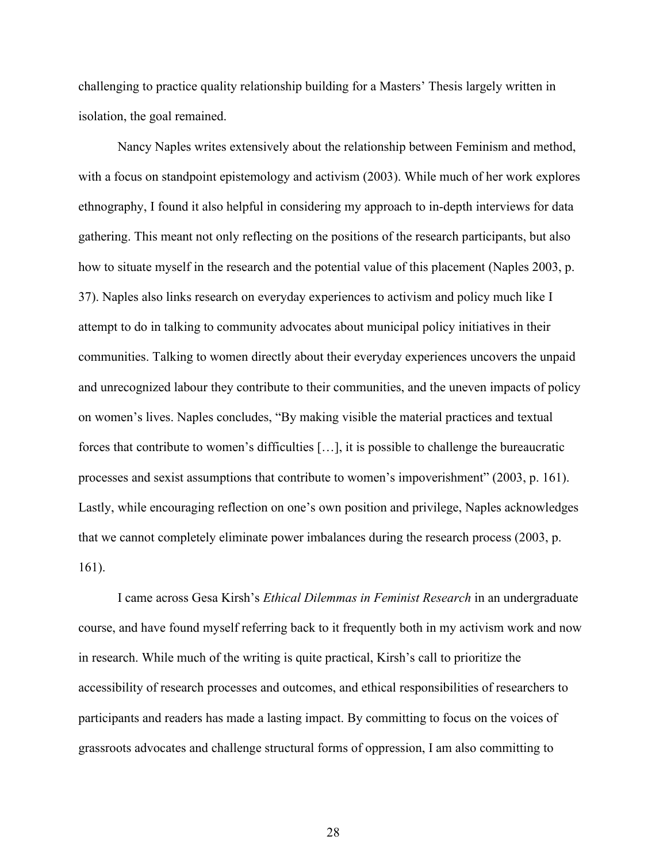challenging to practice quality relationship building for a Masters' Thesis largely written in isolation, the goal remained.

Nancy Naples writes extensively about the relationship between Feminism and method, with a focus on standpoint epistemology and activism (2003). While much of her work explores ethnography, I found it also helpful in considering my approach to in-depth interviews for data gathering. This meant not only reflecting on the positions of the research participants, but also how to situate myself in the research and the potential value of this placement (Naples 2003, p. 37). Naples also links research on everyday experiences to activism and policy much like I attempt to do in talking to community advocates about municipal policy initiatives in their communities. Talking to women directly about their everyday experiences uncovers the unpaid and unrecognized labour they contribute to their communities, and the uneven impacts of policy on women's lives. Naples concludes, "By making visible the material practices and textual forces that contribute to women's difficulties […], it is possible to challenge the bureaucratic processes and sexist assumptions that contribute to women's impoverishment" (2003, p. 161). Lastly, while encouraging reflection on one's own position and privilege, Naples acknowledges that we cannot completely eliminate power imbalances during the research process (2003, p. 161).

 I came across Gesa Kirsh's *Ethical Dilemmas in Feminist Research* in an undergraduate course, and have found myself referring back to it frequently both in my activism work and now in research. While much of the writing is quite practical, Kirsh's call to prioritize the accessibility of research processes and outcomes, and ethical responsibilities of researchers to participants and readers has made a lasting impact. By committing to focus on the voices of grassroots advocates and challenge structural forms of oppression, I am also committing to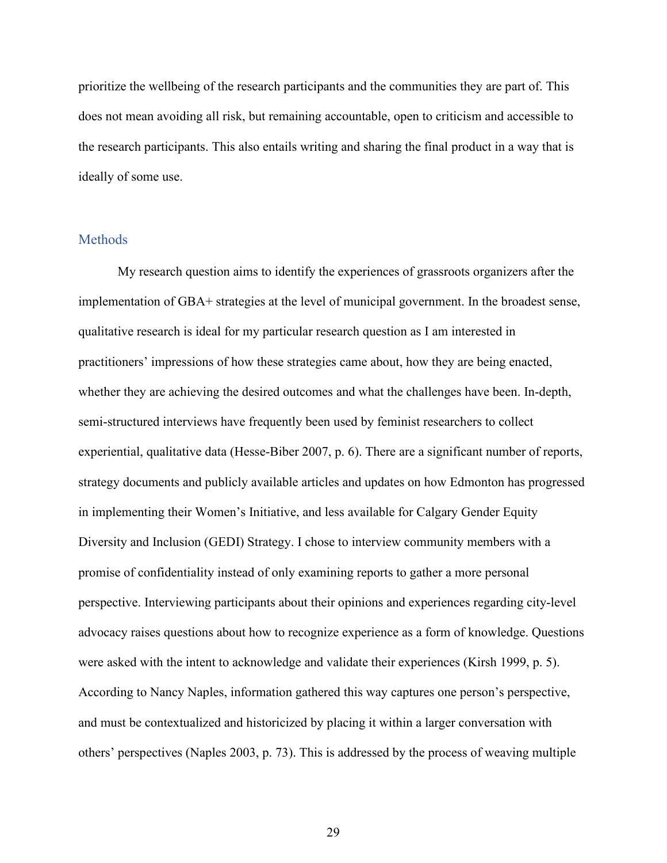prioritize the wellbeing of the research participants and the communities they are part of. This does not mean avoiding all risk, but remaining accountable, open to criticism and accessible to the research participants. This also entails writing and sharing the final product in a way that is ideally of some use.

#### **Methods**

My research question aims to identify the experiences of grassroots organizers after the implementation of GBA+ strategies at the level of municipal government. In the broadest sense, qualitative research is ideal for my particular research question as I am interested in practitioners' impressions of how these strategies came about, how they are being enacted, whether they are achieving the desired outcomes and what the challenges have been. In-depth, semi-structured interviews have frequently been used by feminist researchers to collect experiential, qualitative data (Hesse-Biber 2007, p. 6). There are a significant number of reports, strategy documents and publicly available articles and updates on how Edmonton has progressed in implementing their Women's Initiative, and less available for Calgary Gender Equity Diversity and Inclusion (GEDI) Strategy. I chose to interview community members with a promise of confidentiality instead of only examining reports to gather a more personal perspective. Interviewing participants about their opinions and experiences regarding city-level advocacy raises questions about how to recognize experience as a form of knowledge. Questions were asked with the intent to acknowledge and validate their experiences (Kirsh 1999, p. 5). According to Nancy Naples, information gathered this way captures one person's perspective, and must be contextualized and historicized by placing it within a larger conversation with others' perspectives (Naples 2003, p. 73). This is addressed by the process of weaving multiple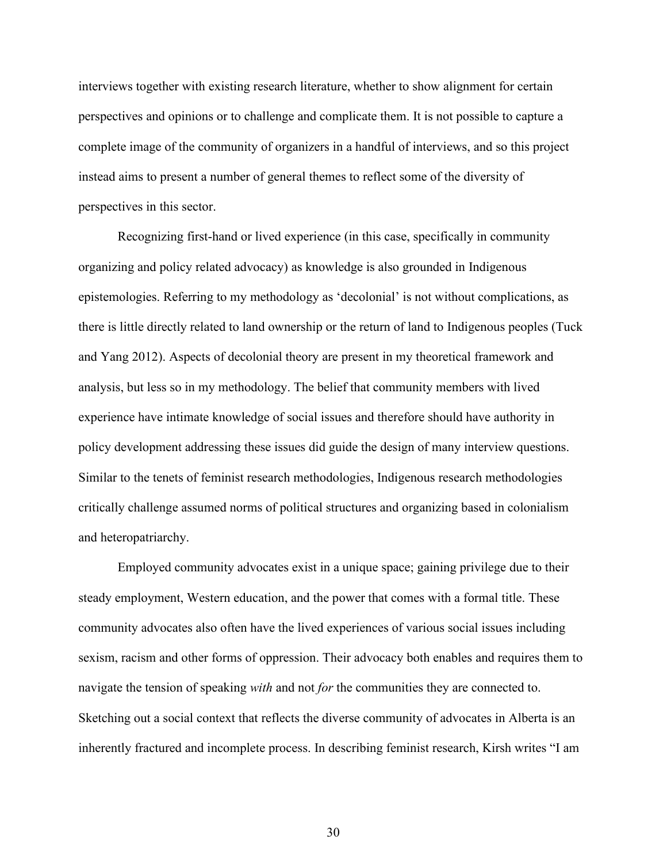interviews together with existing research literature, whether to show alignment for certain perspectives and opinions or to challenge and complicate them. It is not possible to capture a complete image of the community of organizers in a handful of interviews, and so this project instead aims to present a number of general themes to reflect some of the diversity of perspectives in this sector.

 Recognizing first-hand or lived experience (in this case, specifically in community organizing and policy related advocacy) as knowledge is also grounded in Indigenous epistemologies. Referring to my methodology as 'decolonial' is not without complications, as there is little directly related to land ownership or the return of land to Indigenous peoples (Tuck and Yang 2012). Aspects of decolonial theory are present in my theoretical framework and analysis, but less so in my methodology. The belief that community members with lived experience have intimate knowledge of social issues and therefore should have authority in policy development addressing these issues did guide the design of many interview questions. Similar to the tenets of feminist research methodologies, Indigenous research methodologies critically challenge assumed norms of political structures and organizing based in colonialism and heteropatriarchy.

Employed community advocates exist in a unique space; gaining privilege due to their steady employment, Western education, and the power that comes with a formal title. These community advocates also often have the lived experiences of various social issues including sexism, racism and other forms of oppression. Their advocacy both enables and requires them to navigate the tension of speaking *with* and not *for* the communities they are connected to. Sketching out a social context that reflects the diverse community of advocates in Alberta is an inherently fractured and incomplete process. In describing feminist research, Kirsh writes "I am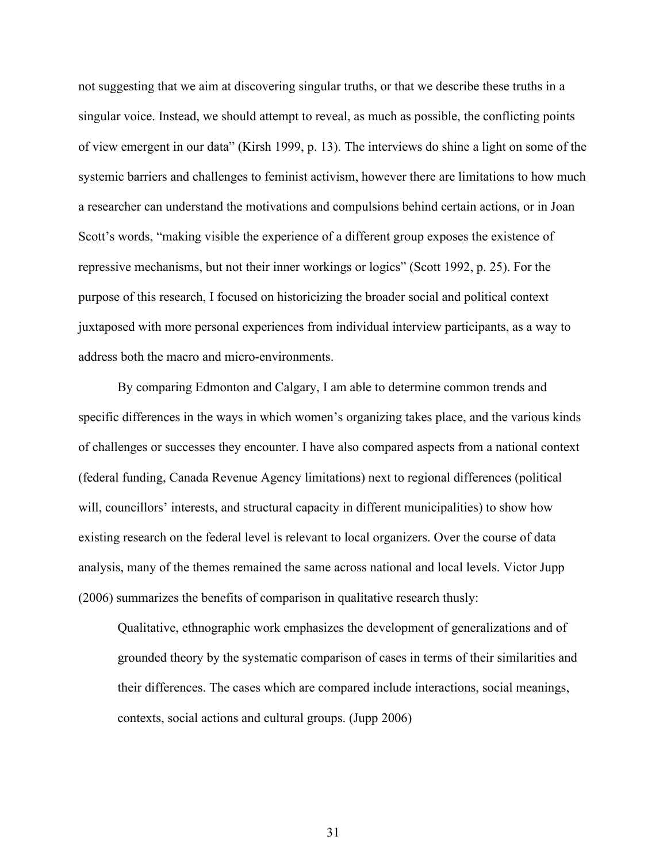not suggesting that we aim at discovering singular truths, or that we describe these truths in a singular voice. Instead, we should attempt to reveal, as much as possible, the conflicting points of view emergent in our data" (Kirsh 1999, p. 13). The interviews do shine a light on some of the systemic barriers and challenges to feminist activism, however there are limitations to how much a researcher can understand the motivations and compulsions behind certain actions, or in Joan Scott's words, "making visible the experience of a different group exposes the existence of repressive mechanisms, but not their inner workings or logics" (Scott 1992, p. 25). For the purpose of this research, I focused on historicizing the broader social and political context juxtaposed with more personal experiences from individual interview participants, as a way to address both the macro and micro-environments.

By comparing Edmonton and Calgary, I am able to determine common trends and specific differences in the ways in which women's organizing takes place, and the various kinds of challenges or successes they encounter. I have also compared aspects from a national context (federal funding, Canada Revenue Agency limitations) next to regional differences (political will, councillors' interests, and structural capacity in different municipalities) to show how existing research on the federal level is relevant to local organizers. Over the course of data analysis, many of the themes remained the same across national and local levels. Victor Jupp (2006) summarizes the benefits of comparison in qualitative research thusly:

Qualitative, ethnographic work emphasizes the development of generalizations and of grounded theory by the systematic comparison of cases in terms of their similarities and their differences. The cases which are compared include interactions, social meanings, contexts, social actions and cultural groups. (Jupp 2006)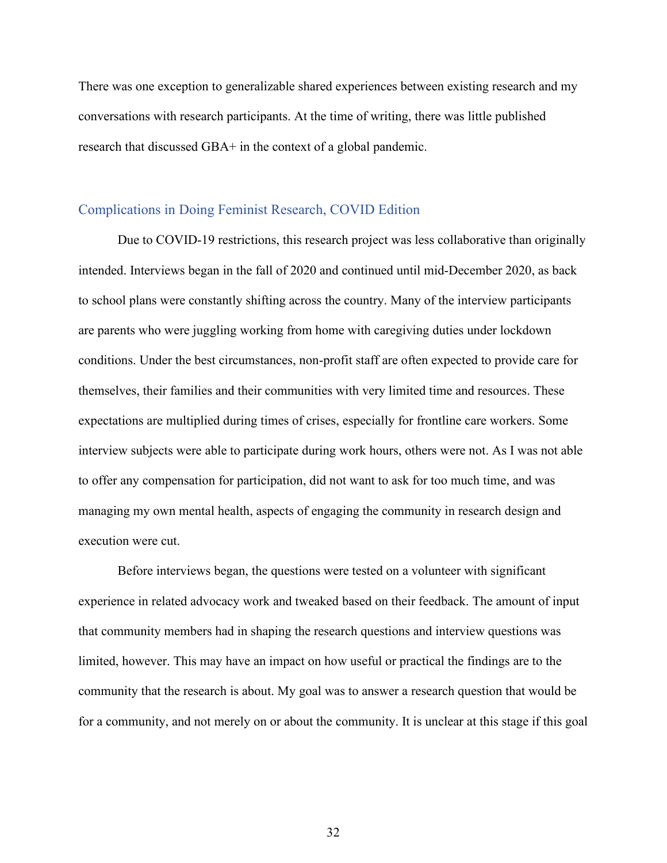There was one exception to generalizable shared experiences between existing research and my conversations with research participants. At the time of writing, there was little published research that discussed GBA+ in the context of a global pandemic.

#### Complications in Doing Feminist Research, COVID Edition

Due to COVID-19 restrictions, this research project was less collaborative than originally intended. Interviews began in the fall of 2020 and continued until mid-December 2020, as back to school plans were constantly shifting across the country. Many of the interview participants are parents who were juggling working from home with caregiving duties under lockdown conditions. Under the best circumstances, non-profit staff are often expected to provide care for themselves, their families and their communities with very limited time and resources. These expectations are multiplied during times of crises, especially for frontline care workers. Some interview subjects were able to participate during work hours, others were not. As I was not able to offer any compensation for participation, did not want to ask for too much time, and was managing my own mental health, aspects of engaging the community in research design and execution were cut.

Before interviews began, the questions were tested on a volunteer with significant experience in related advocacy work and tweaked based on their feedback. The amount of input that community members had in shaping the research questions and interview questions was limited, however. This may have an impact on how useful or practical the findings are to the community that the research is about. My goal was to answer a research question that would be for a community, and not merely on or about the community. It is unclear at this stage if this goal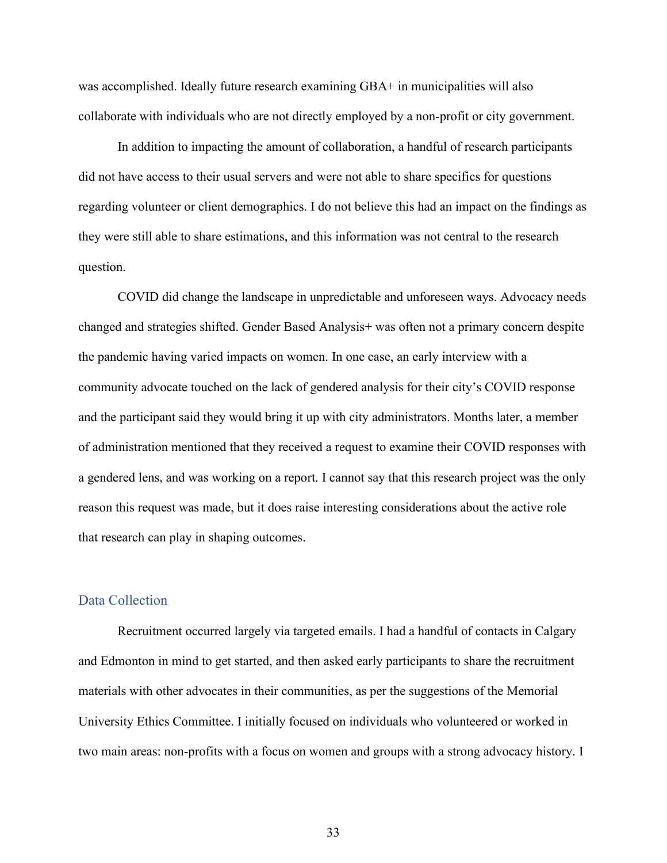was accomplished. Ideally future research examining GBA+ in municipalities will also collaborate with individuals who are not directly employed by a non-profit or city government.

In addition to impacting the amount of collaboration, a handful of research participants did not have access to their usual servers and were not able to share specifics for questions regarding volunteer or client demographics. I do not believe this had an impact on the findings as they were still able to share estimations, and this information was not central to the research question.

COVID did change the landscape in unpredictable and unforeseen ways. Advocacy needs changed and strategies shifted. Gender Based Analysis+ was often not a primary concern despite the pandemic having varied impacts on women. In one case, an early interview with a community advocate touched on the lack of gendered analysis for their city's COVID response and the participant said they would bring it up with city administrators. Months later, a member of administration mentioned that they received a request to examine their COVID responses with a gendered lens, and was working on a report. I cannot say that this research project was the only reason this request was made, but it does raise interesting considerations about the active role that research can play in shaping outcomes.

#### Data Collection

Recruitment occurred largely via targeted emails. I had a handful of contacts in Calgary and Edmonton in mind to get started, and then asked early participants to share the recruitment materials with other advocates in their communities, as per the suggestions of the Memorial University Ethics Committee. I initially focused on individuals who volunteered or worked in two main areas: non-profits with a focus on women and groups with a strong advocacy history. I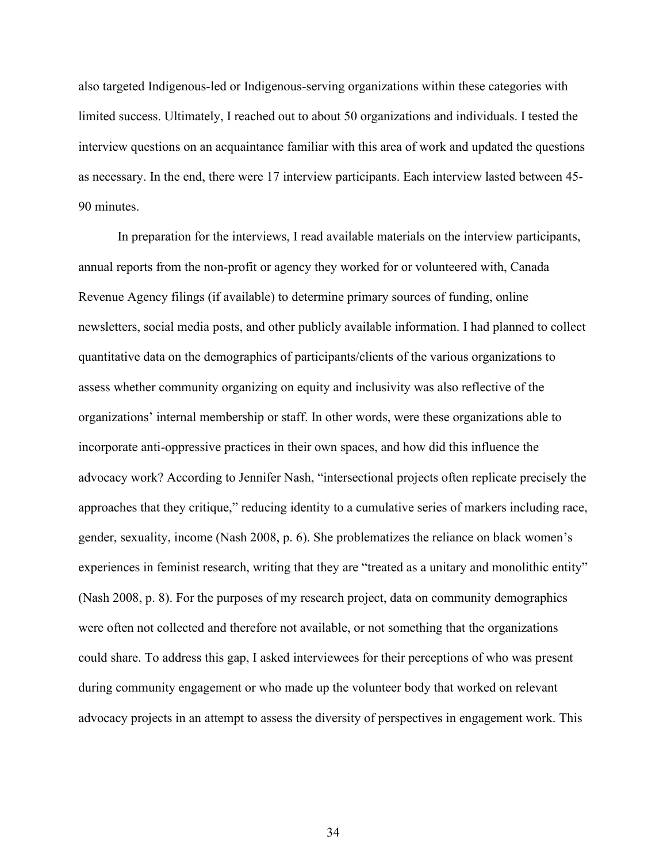also targeted Indigenous-led or Indigenous-serving organizations within these categories with limited success. Ultimately, I reached out to about 50 organizations and individuals. I tested the interview questions on an acquaintance familiar with this area of work and updated the questions as necessary. In the end, there were 17 interview participants. Each interview lasted between 45- 90 minutes.

In preparation for the interviews, I read available materials on the interview participants, annual reports from the non-profit or agency they worked for or volunteered with, Canada Revenue Agency filings (if available) to determine primary sources of funding, online newsletters, social media posts, and other publicly available information. I had planned to collect quantitative data on the demographics of participants/clients of the various organizations to assess whether community organizing on equity and inclusivity was also reflective of the organizations' internal membership or staff. In other words, were these organizations able to incorporate anti-oppressive practices in their own spaces, and how did this influence the advocacy work? According to Jennifer Nash, "intersectional projects often replicate precisely the approaches that they critique," reducing identity to a cumulative series of markers including race, gender, sexuality, income (Nash 2008, p. 6). She problematizes the reliance on black women's experiences in feminist research, writing that they are "treated as a unitary and monolithic entity" (Nash 2008, p. 8). For the purposes of my research project, data on community demographics were often not collected and therefore not available, or not something that the organizations could share. To address this gap, I asked interviewees for their perceptions of who was present during community engagement or who made up the volunteer body that worked on relevant advocacy projects in an attempt to assess the diversity of perspectives in engagement work. This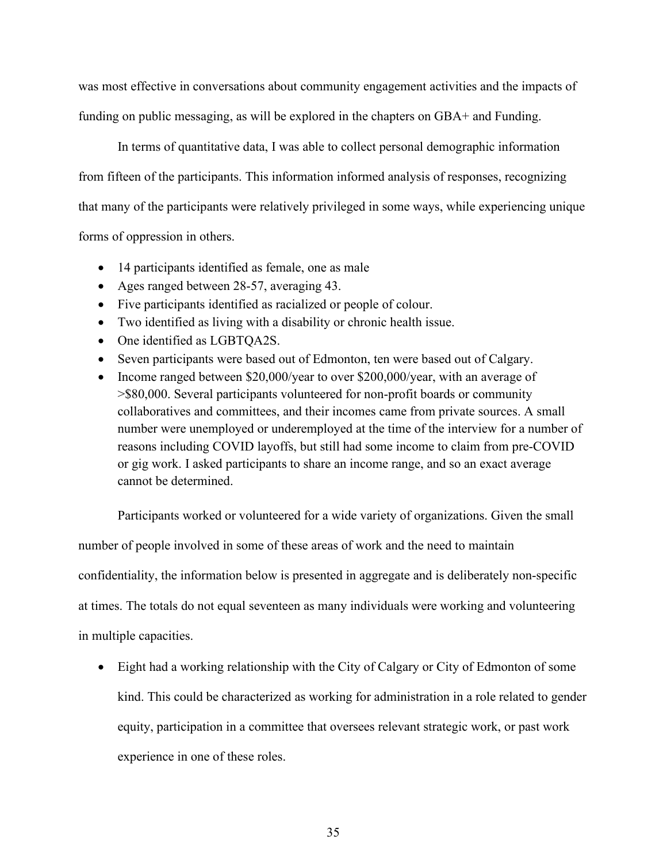was most effective in conversations about community engagement activities and the impacts of funding on public messaging, as will be explored in the chapters on GBA+ and Funding.

In terms of quantitative data, I was able to collect personal demographic information from fifteen of the participants. This information informed analysis of responses, recognizing that many of the participants were relatively privileged in some ways, while experiencing unique

forms of oppression in others.

- 14 participants identified as female, one as male
- Ages ranged between 28-57, averaging 43.
- Five participants identified as racialized or people of colour.
- Two identified as living with a disability or chronic health issue.
- One identified as LGBTQA2S.
- Seven participants were based out of Edmonton, ten were based out of Calgary.
- Income ranged between \$20,000/year to over \$200,000/year, with an average of >\$80,000. Several participants volunteered for non-profit boards or community collaboratives and committees, and their incomes came from private sources. A small number were unemployed or underemployed at the time of the interview for a number of reasons including COVID layoffs, but still had some income to claim from pre-COVID or gig work. I asked participants to share an income range, and so an exact average cannot be determined.

Participants worked or volunteered for a wide variety of organizations. Given the small number of people involved in some of these areas of work and the need to maintain confidentiality, the information below is presented in aggregate and is deliberately non-specific at times. The totals do not equal seventeen as many individuals were working and volunteering in multiple capacities.

• Eight had a working relationship with the City of Calgary or City of Edmonton of some kind. This could be characterized as working for administration in a role related to gender equity, participation in a committee that oversees relevant strategic work, or past work experience in one of these roles.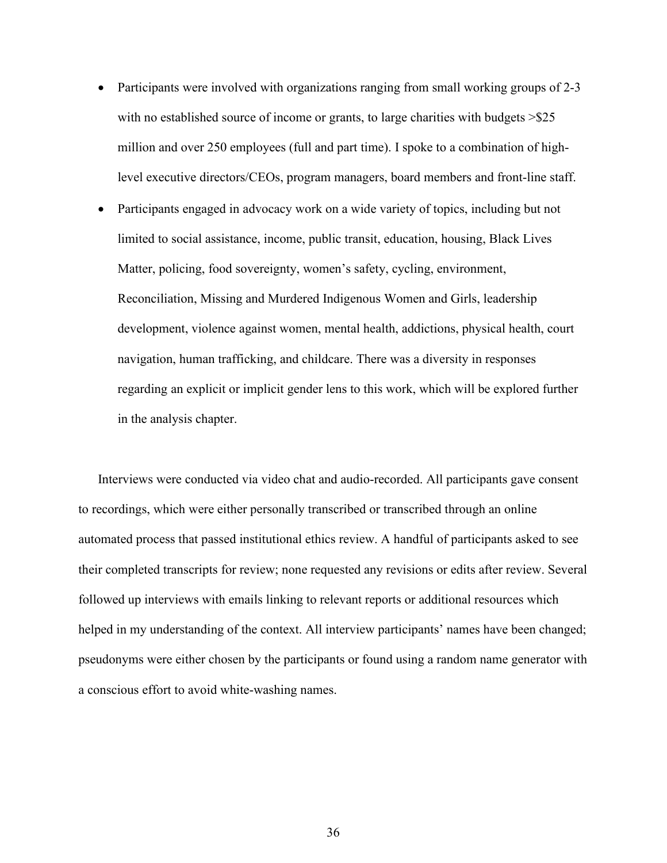- Participants were involved with organizations ranging from small working groups of 2-3 with no established source of income or grants, to large charities with budgets  $>$ \$25 million and over 250 employees (full and part time). I spoke to a combination of highlevel executive directors/CEOs, program managers, board members and front-line staff.
- Participants engaged in advocacy work on a wide variety of topics, including but not limited to social assistance, income, public transit, education, housing, Black Lives Matter, policing, food sovereignty, women's safety, cycling, environment, Reconciliation, Missing and Murdered Indigenous Women and Girls, leadership development, violence against women, mental health, addictions, physical health, court navigation, human trafficking, and childcare. There was a diversity in responses regarding an explicit or implicit gender lens to this work, which will be explored further in the analysis chapter.

Interviews were conducted via video chat and audio-recorded. All participants gave consent to recordings, which were either personally transcribed or transcribed through an online automated process that passed institutional ethics review. A handful of participants asked to see their completed transcripts for review; none requested any revisions or edits after review. Several followed up interviews with emails linking to relevant reports or additional resources which helped in my understanding of the context. All interview participants' names have been changed; pseudonyms were either chosen by the participants or found using a random name generator with a conscious effort to avoid white-washing names.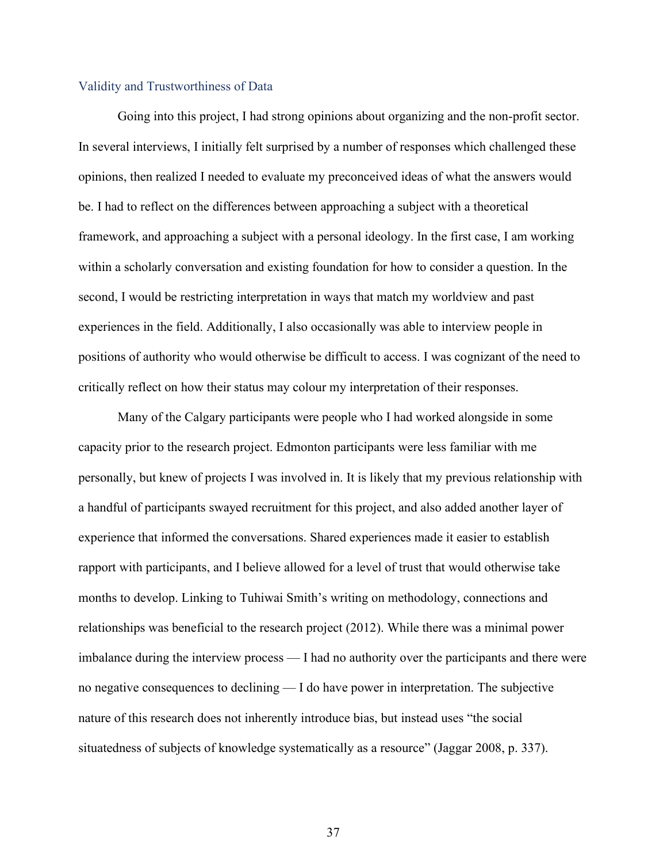#### Validity and Trustworthiness of Data

Going into this project, I had strong opinions about organizing and the non-profit sector. In several interviews, I initially felt surprised by a number of responses which challenged these opinions, then realized I needed to evaluate my preconceived ideas of what the answers would be. I had to reflect on the differences between approaching a subject with a theoretical framework, and approaching a subject with a personal ideology. In the first case, I am working within a scholarly conversation and existing foundation for how to consider a question. In the second, I would be restricting interpretation in ways that match my worldview and past experiences in the field. Additionally, I also occasionally was able to interview people in positions of authority who would otherwise be difficult to access. I was cognizant of the need to critically reflect on how their status may colour my interpretation of their responses.

Many of the Calgary participants were people who I had worked alongside in some capacity prior to the research project. Edmonton participants were less familiar with me personally, but knew of projects I was involved in. It is likely that my previous relationship with a handful of participants swayed recruitment for this project, and also added another layer of experience that informed the conversations. Shared experiences made it easier to establish rapport with participants, and I believe allowed for a level of trust that would otherwise take months to develop. Linking to Tuhiwai Smith's writing on methodology, connections and relationships was beneficial to the research project (2012). While there was a minimal power imbalance during the interview process — I had no authority over the participants and there were no negative consequences to declining — I do have power in interpretation. The subjective nature of this research does not inherently introduce bias, but instead uses "the social situatedness of subjects of knowledge systematically as a resource" (Jaggar 2008, p. 337).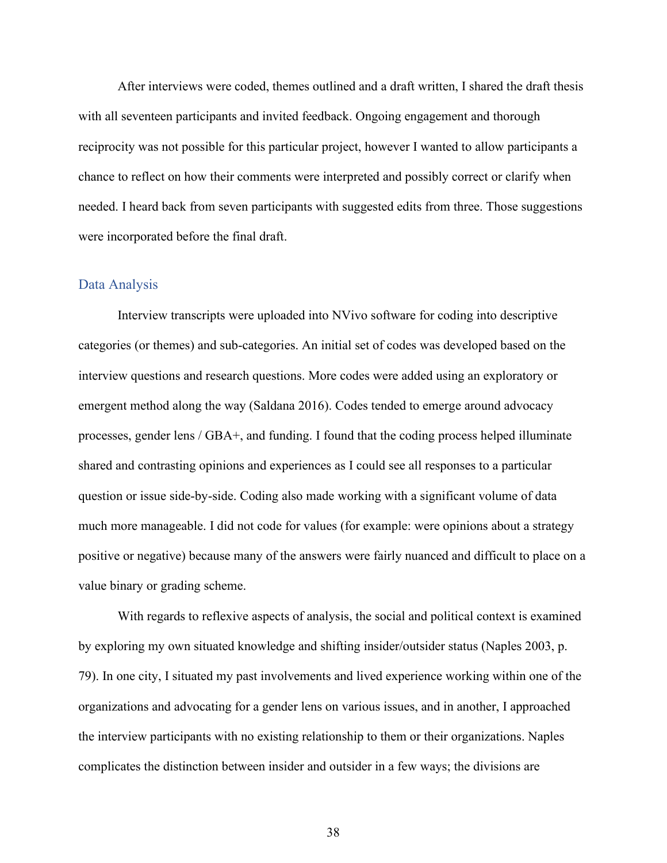After interviews were coded, themes outlined and a draft written, I shared the draft thesis with all seventeen participants and invited feedback. Ongoing engagement and thorough reciprocity was not possible for this particular project, however I wanted to allow participants a chance to reflect on how their comments were interpreted and possibly correct or clarify when needed. I heard back from seven participants with suggested edits from three. Those suggestions were incorporated before the final draft.

## Data Analysis

 Interview transcripts were uploaded into NVivo software for coding into descriptive categories (or themes) and sub-categories. An initial set of codes was developed based on the interview questions and research questions. More codes were added using an exploratory or emergent method along the way (Saldana 2016). Codes tended to emerge around advocacy processes, gender lens / GBA+, and funding. I found that the coding process helped illuminate shared and contrasting opinions and experiences as I could see all responses to a particular question or issue side-by-side. Coding also made working with a significant volume of data much more manageable. I did not code for values (for example: were opinions about a strategy positive or negative) because many of the answers were fairly nuanced and difficult to place on a value binary or grading scheme.

With regards to reflexive aspects of analysis, the social and political context is examined by exploring my own situated knowledge and shifting insider/outsider status (Naples 2003, p. 79). In one city, I situated my past involvements and lived experience working within one of the organizations and advocating for a gender lens on various issues, and in another, I approached the interview participants with no existing relationship to them or their organizations. Naples complicates the distinction between insider and outsider in a few ways; the divisions are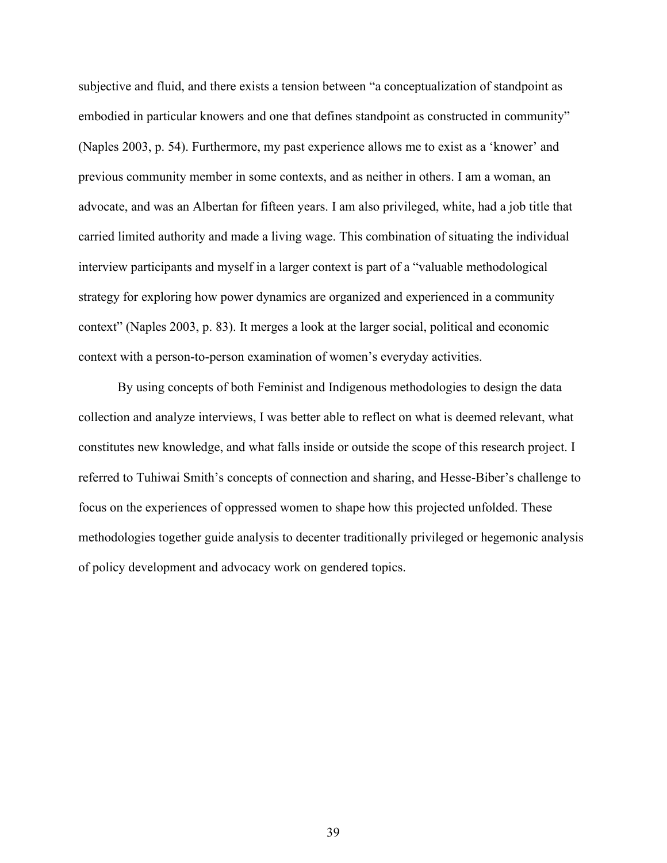subjective and fluid, and there exists a tension between "a conceptualization of standpoint as embodied in particular knowers and one that defines standpoint as constructed in community" (Naples 2003, p. 54). Furthermore, my past experience allows me to exist as a 'knower' and previous community member in some contexts, and as neither in others. I am a woman, an advocate, and was an Albertan for fifteen years. I am also privileged, white, had a job title that carried limited authority and made a living wage. This combination of situating the individual interview participants and myself in a larger context is part of a "valuable methodological strategy for exploring how power dynamics are organized and experienced in a community context" (Naples 2003, p. 83). It merges a look at the larger social, political and economic context with a person-to-person examination of women's everyday activities.

By using concepts of both Feminist and Indigenous methodologies to design the data collection and analyze interviews, I was better able to reflect on what is deemed relevant, what constitutes new knowledge, and what falls inside or outside the scope of this research project. I referred to Tuhiwai Smith's concepts of connection and sharing, and Hesse-Biber's challenge to focus on the experiences of oppressed women to shape how this projected unfolded. These methodologies together guide analysis to decenter traditionally privileged or hegemonic analysis of policy development and advocacy work on gendered topics.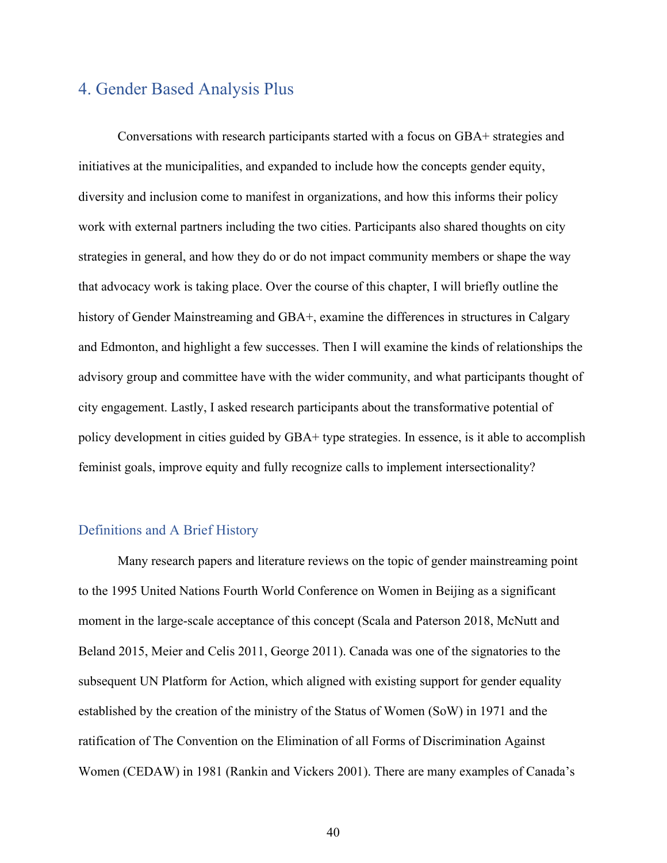# 4. Gender Based Analysis Plus

Conversations with research participants started with a focus on GBA+ strategies and initiatives at the municipalities, and expanded to include how the concepts gender equity, diversity and inclusion come to manifest in organizations, and how this informs their policy work with external partners including the two cities. Participants also shared thoughts on city strategies in general, and how they do or do not impact community members or shape the way that advocacy work is taking place. Over the course of this chapter, I will briefly outline the history of Gender Mainstreaming and GBA+, examine the differences in structures in Calgary and Edmonton, and highlight a few successes. Then I will examine the kinds of relationships the advisory group and committee have with the wider community, and what participants thought of city engagement. Lastly, I asked research participants about the transformative potential of policy development in cities guided by GBA+ type strategies. In essence, is it able to accomplish feminist goals, improve equity and fully recognize calls to implement intersectionality?

## Definitions and A Brief History

Many research papers and literature reviews on the topic of gender mainstreaming point to the 1995 United Nations Fourth World Conference on Women in Beijing as a significant moment in the large-scale acceptance of this concept (Scala and Paterson 2018, McNutt and Beland 2015, Meier and Celis 2011, George 2011). Canada was one of the signatories to the subsequent UN Platform for Action, which aligned with existing support for gender equality established by the creation of the ministry of the Status of Women (SoW) in 1971 and the ratification of The Convention on the Elimination of all Forms of Discrimination Against Women (CEDAW) in 1981 (Rankin and Vickers 2001). There are many examples of Canada's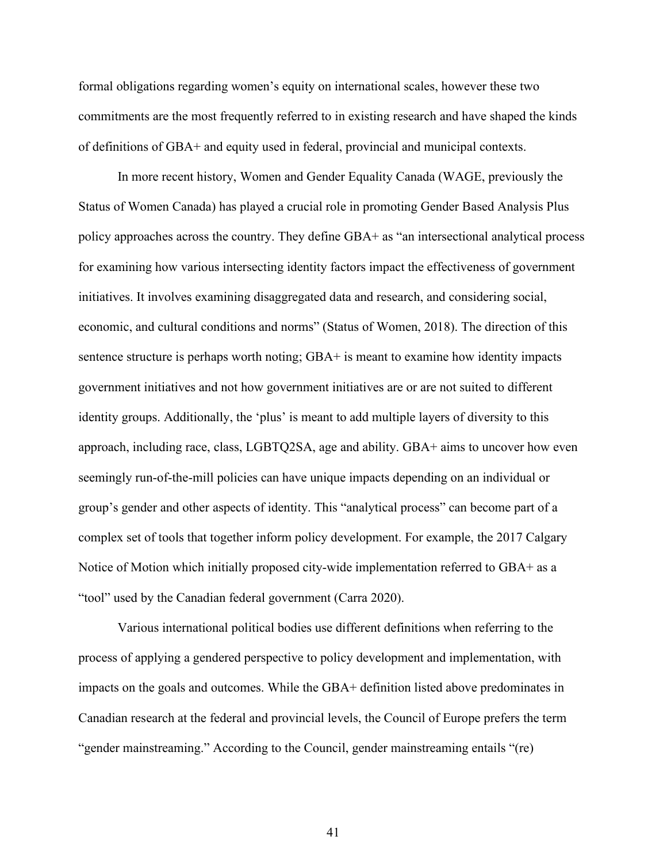formal obligations regarding women's equity on international scales, however these two commitments are the most frequently referred to in existing research and have shaped the kinds of definitions of GBA+ and equity used in federal, provincial and municipal contexts.

In more recent history, Women and Gender Equality Canada (WAGE, previously the Status of Women Canada) has played a crucial role in promoting Gender Based Analysis Plus policy approaches across the country. They define GBA+ as "an intersectional analytical process for examining how various intersecting identity factors impact the effectiveness of government initiatives. It involves examining disaggregated data and research, and considering social, economic, and cultural conditions and norms" (Status of Women, 2018). The direction of this sentence structure is perhaps worth noting; GBA+ is meant to examine how identity impacts government initiatives and not how government initiatives are or are not suited to different identity groups. Additionally, the 'plus' is meant to add multiple layers of diversity to this approach, including race, class, LGBTQ2SA, age and ability. GBA+ aims to uncover how even seemingly run-of-the-mill policies can have unique impacts depending on an individual or group's gender and other aspects of identity. This "analytical process" can become part of a complex set of tools that together inform policy development. For example, the 2017 Calgary Notice of Motion which initially proposed city-wide implementation referred to GBA+ as a "tool" used by the Canadian federal government (Carra 2020).

 Various international political bodies use different definitions when referring to the process of applying a gendered perspective to policy development and implementation, with impacts on the goals and outcomes. While the GBA+ definition listed above predominates in Canadian research at the federal and provincial levels, the Council of Europe prefers the term "gender mainstreaming." According to the Council, gender mainstreaming entails "(re)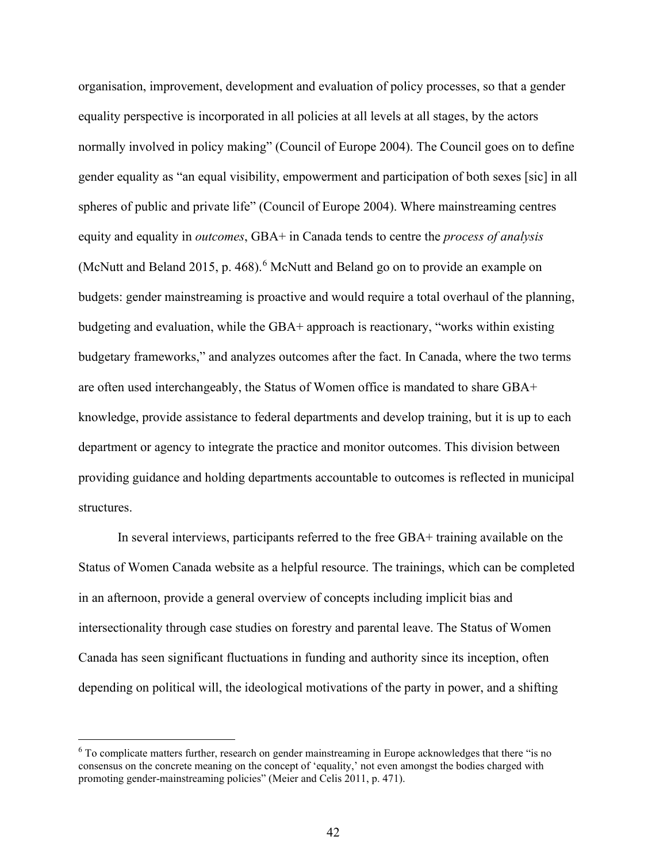organisation, improvement, development and evaluation of policy processes, so that a gender equality perspective is incorporated in all policies at all levels at all stages, by the actors normally involved in policy making" (Council of Europe 2004). The Council goes on to define gender equality as "an equal visibility, empowerment and participation of both sexes [sic] in all spheres of public and private life" (Council of Europe 2004). Where mainstreaming centres equity and equality in *outcomes*, GBA+ in Canada tends to centre the *process of analysis* (McNutt and Beland 2015, p. 4[6](#page-41-0)8).<sup>6</sup> McNutt and Beland go on to provide an example on budgets: gender mainstreaming is proactive and would require a total overhaul of the planning, budgeting and evaluation, while the GBA+ approach is reactionary, "works within existing budgetary frameworks," and analyzes outcomes after the fact. In Canada, where the two terms are often used interchangeably, the Status of Women office is mandated to share GBA+ knowledge, provide assistance to federal departments and develop training, but it is up to each department or agency to integrate the practice and monitor outcomes. This division between providing guidance and holding departments accountable to outcomes is reflected in municipal structures.

 In several interviews, participants referred to the free GBA+ training available on the Status of Women Canada website as a helpful resource. The trainings, which can be completed in an afternoon, provide a general overview of concepts including implicit bias and intersectionality through case studies on forestry and parental leave. The Status of Women Canada has seen significant fluctuations in funding and authority since its inception, often depending on political will, the ideological motivations of the party in power, and a shifting

<span id="page-41-0"></span><sup>6</sup> To complicate matters further, research on gender mainstreaming in Europe acknowledges that there "is no consensus on the concrete meaning on the concept of 'equality,' not even amongst the bodies charged with promoting gender-mainstreaming policies" (Meier and Celis 2011, p. 471).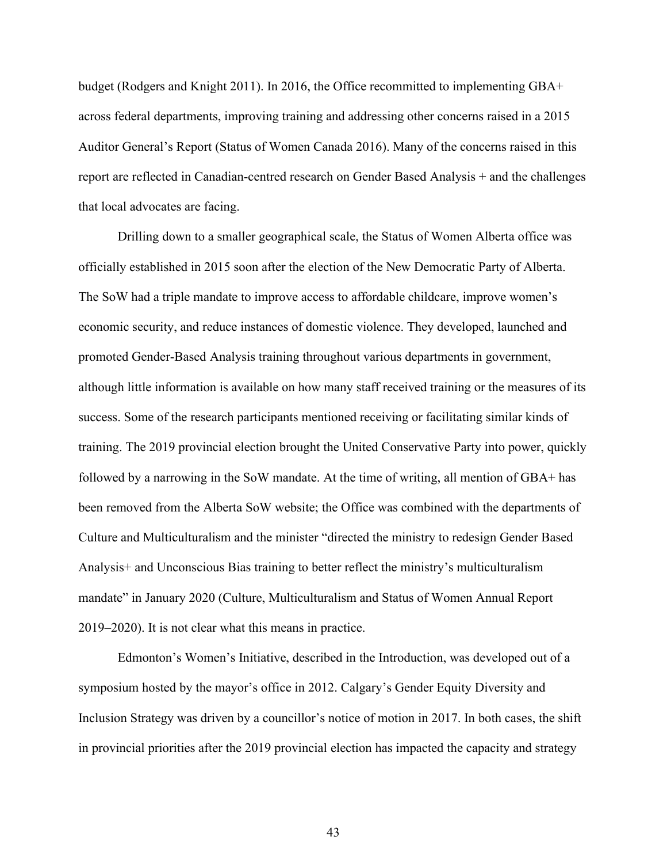budget (Rodgers and Knight 2011). In 2016, the Office recommitted to implementing GBA+ across federal departments, improving training and addressing other concerns raised in a 2015 Auditor General's Report (Status of Women Canada 2016). Many of the concerns raised in this report are reflected in Canadian-centred research on Gender Based Analysis + and the challenges that local advocates are facing.

Drilling down to a smaller geographical scale, the Status of Women Alberta office was officially established in 2015 soon after the election of the New Democratic Party of Alberta. The SoW had a triple mandate to improve access to affordable childcare, improve women's economic security, and reduce instances of domestic violence. They developed, launched and promoted Gender-Based Analysis training throughout various departments in government, although little information is available on how many staff received training or the measures of its success. Some of the research participants mentioned receiving or facilitating similar kinds of training. The 2019 provincial election brought the United Conservative Party into power, quickly followed by a narrowing in the SoW mandate. At the time of writing, all mention of GBA+ has been removed from the Alberta SoW website; the Office was combined with the departments of Culture and Multiculturalism and the minister "directed the ministry to redesign Gender Based Analysis+ and Unconscious Bias training to better reflect the ministry's multiculturalism mandate" in January 2020 (Culture, Multiculturalism and Status of Women Annual Report 2019–2020). It is not clear what this means in practice.

 Edmonton's Women's Initiative, described in the Introduction, was developed out of a symposium hosted by the mayor's office in 2012. Calgary's Gender Equity Diversity and Inclusion Strategy was driven by a councillor's notice of motion in 2017. In both cases, the shift in provincial priorities after the 2019 provincial election has impacted the capacity and strategy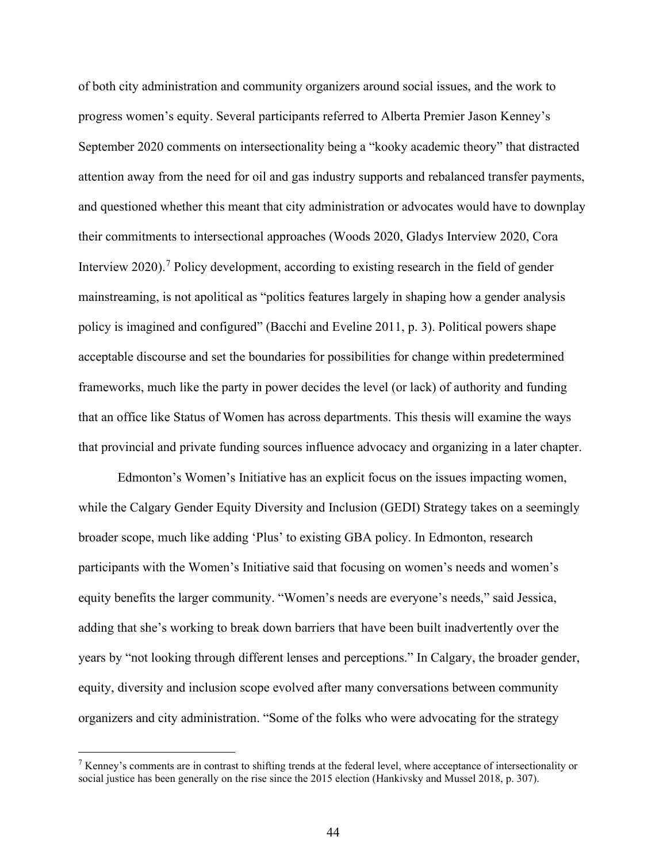of both city administration and community organizers around social issues, and the work to progress women's equity. Several participants referred to Alberta Premier Jason Kenney's September 2020 comments on intersectionality being a "kooky academic theory" that distracted attention away from the need for oil and gas industry supports and rebalanced transfer payments, and questioned whether this meant that city administration or advocates would have to downplay their commitments to intersectional approaches (Woods 2020, Gladys Interview 2020, Cora Interview 2020).<sup>[7](#page-43-0)</sup> Policy development, according to existing research in the field of gender mainstreaming, is not apolitical as "politics features largely in shaping how a gender analysis policy is imagined and configured" (Bacchi and Eveline 2011, p. 3). Political powers shape acceptable discourse and set the boundaries for possibilities for change within predetermined frameworks, much like the party in power decides the level (or lack) of authority and funding that an office like Status of Women has across departments. This thesis will examine the ways that provincial and private funding sources influence advocacy and organizing in a later chapter.

 Edmonton's Women's Initiative has an explicit focus on the issues impacting women, while the Calgary Gender Equity Diversity and Inclusion (GEDI) Strategy takes on a seemingly broader scope, much like adding 'Plus' to existing GBA policy. In Edmonton, research participants with the Women's Initiative said that focusing on women's needs and women's equity benefits the larger community. "Women's needs are everyone's needs," said Jessica, adding that she's working to break down barriers that have been built inadvertently over the years by "not looking through different lenses and perceptions." In Calgary, the broader gender, equity, diversity and inclusion scope evolved after many conversations between community organizers and city administration. "Some of the folks who were advocating for the strategy

<span id="page-43-0"></span><sup>&</sup>lt;sup>7</sup> Kenney's comments are in contrast to shifting trends at the federal level, where acceptance of intersectionality or social justice has been generally on the rise since the 2015 election (Hankivsky and Mussel 2018, p. 307).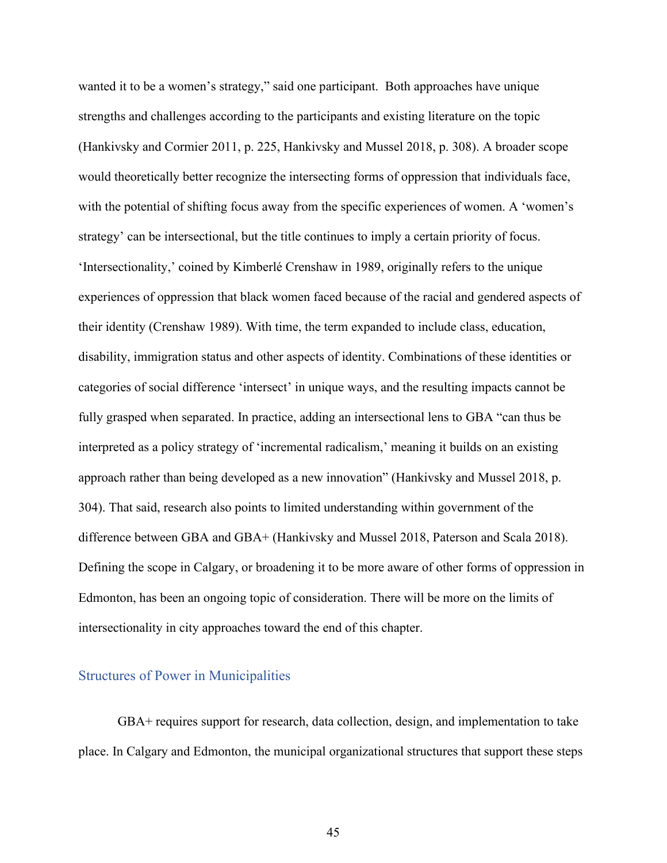wanted it to be a women's strategy," said one participant. Both approaches have unique strengths and challenges according to the participants and existing literature on the topic (Hankivsky and Cormier 2011, p. 225, Hankivsky and Mussel 2018, p. 308). A broader scope would theoretically better recognize the intersecting forms of oppression that individuals face, with the potential of shifting focus away from the specific experiences of women. A 'women's strategy' can be intersectional, but the title continues to imply a certain priority of focus. 'Intersectionality,' coined by Kimberlé Crenshaw in 1989, originally refers to the unique experiences of oppression that black women faced because of the racial and gendered aspects of their identity (Crenshaw 1989). With time, the term expanded to include class, education, disability, immigration status and other aspects of identity. Combinations of these identities or categories of social difference 'intersect' in unique ways, and the resulting impacts cannot be fully grasped when separated. In practice, adding an intersectional lens to GBA "can thus be interpreted as a policy strategy of 'incremental radicalism,' meaning it builds on an existing approach rather than being developed as a new innovation" (Hankivsky and Mussel 2018, p. 304). That said, research also points to limited understanding within government of the difference between GBA and GBA+ (Hankivsky and Mussel 2018, Paterson and Scala 2018). Defining the scope in Calgary, or broadening it to be more aware of other forms of oppression in Edmonton, has been an ongoing topic of consideration. There will be more on the limits of intersectionality in city approaches toward the end of this chapter.

## Structures of Power in Municipalities

GBA+ requires support for research, data collection, design, and implementation to take place. In Calgary and Edmonton, the municipal organizational structures that support these steps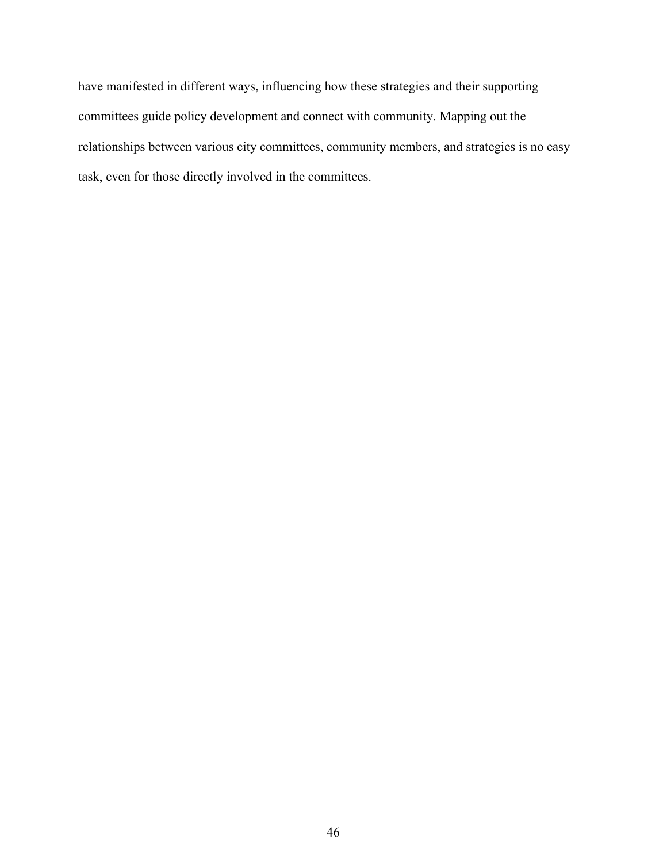have manifested in different ways, influencing how these strategies and their supporting committees guide policy development and connect with community. Mapping out the relationships between various city committees, community members, and strategies is no easy task, even for those directly involved in the committees.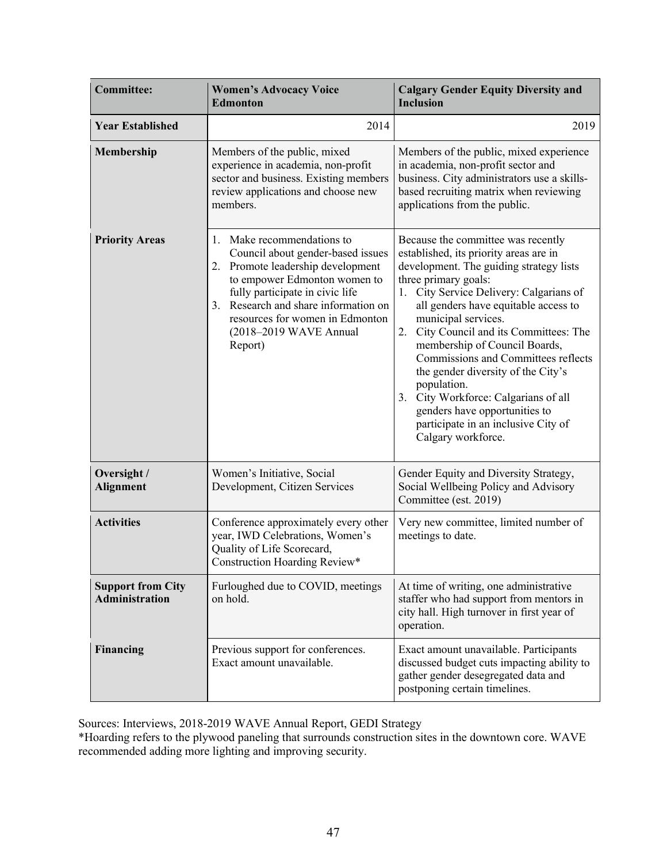| <b>Committee:</b>                                 | <b>Women's Advocacy Voice</b><br><b>Edmonton</b>                                                                                                                                                                                                                                              | <b>Calgary Gender Equity Diversity and</b><br><b>Inclusion</b>                                                                                                                                                                                                                                                                                                                                                                                                                                                                                                                   |
|---------------------------------------------------|-----------------------------------------------------------------------------------------------------------------------------------------------------------------------------------------------------------------------------------------------------------------------------------------------|----------------------------------------------------------------------------------------------------------------------------------------------------------------------------------------------------------------------------------------------------------------------------------------------------------------------------------------------------------------------------------------------------------------------------------------------------------------------------------------------------------------------------------------------------------------------------------|
| <b>Year Established</b>                           | 2014                                                                                                                                                                                                                                                                                          | 2019                                                                                                                                                                                                                                                                                                                                                                                                                                                                                                                                                                             |
| <b>Membership</b>                                 | Members of the public, mixed<br>experience in academia, non-profit<br>sector and business. Existing members<br>review applications and choose new<br>members.                                                                                                                                 | Members of the public, mixed experience<br>in academia, non-profit sector and<br>business. City administrators use a skills-<br>based recruiting matrix when reviewing<br>applications from the public.                                                                                                                                                                                                                                                                                                                                                                          |
| <b>Priority Areas</b>                             | Make recommendations to<br>1.<br>Council about gender-based issues<br>2. Promote leadership development<br>to empower Edmonton women to<br>fully participate in civic life<br>Research and share information on<br>3.<br>resources for women in Edmonton<br>(2018-2019 WAVE Annual<br>Report) | Because the committee was recently<br>established, its priority areas are in<br>development. The guiding strategy lists<br>three primary goals:<br>City Service Delivery: Calgarians of<br>1.<br>all genders have equitable access to<br>municipal services.<br>City Council and its Committees: The<br>2.<br>membership of Council Boards,<br>Commissions and Committees reflects<br>the gender diversity of the City's<br>population.<br>City Workforce: Calgarians of all<br>3.<br>genders have opportunities to<br>participate in an inclusive City of<br>Calgary workforce. |
| Oversight /<br><b>Alignment</b>                   | Women's Initiative, Social<br>Development, Citizen Services                                                                                                                                                                                                                                   | Gender Equity and Diversity Strategy,<br>Social Wellbeing Policy and Advisory<br>Committee (est. 2019)                                                                                                                                                                                                                                                                                                                                                                                                                                                                           |
| <b>Activities</b>                                 | Conference approximately every other<br>year, IWD Celebrations, Women's<br>Quality of Life Scorecard,<br>Construction Hoarding Review*                                                                                                                                                        | Very new committee, limited number of<br>meetings to date.                                                                                                                                                                                                                                                                                                                                                                                                                                                                                                                       |
| <b>Support from City</b><br><b>Administration</b> | Furloughed due to COVID, meetings<br>on hold.                                                                                                                                                                                                                                                 | At time of writing, one administrative<br>staffer who had support from mentors in<br>city hall. High turnover in first year of<br>operation.                                                                                                                                                                                                                                                                                                                                                                                                                                     |
| <b>Financing</b>                                  | Previous support for conferences.<br>Exact amount unavailable.                                                                                                                                                                                                                                | Exact amount unavailable. Participants<br>discussed budget cuts impacting ability to<br>gather gender desegregated data and<br>postponing certain timelines.                                                                                                                                                                                                                                                                                                                                                                                                                     |

Sources: Interviews, 2018-2019 WAVE Annual Report, GEDI Strategy

\*Hoarding refers to the plywood paneling that surrounds construction sites in the downtown core. WAVE recommended adding more lighting and improving security.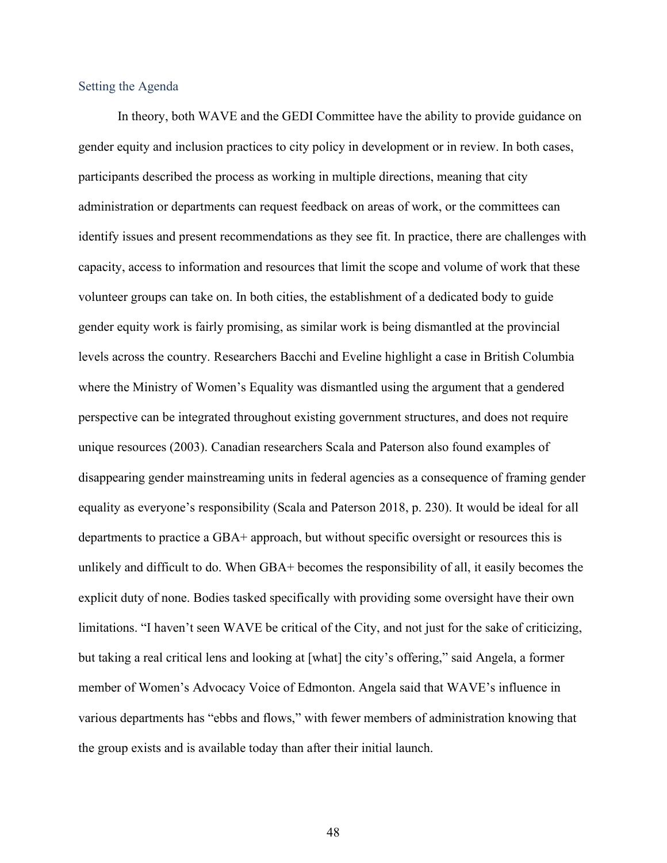## Setting the Agenda

In theory, both WAVE and the GEDI Committee have the ability to provide guidance on gender equity and inclusion practices to city policy in development or in review. In both cases, participants described the process as working in multiple directions, meaning that city administration or departments can request feedback on areas of work, or the committees can identify issues and present recommendations as they see fit. In practice, there are challenges with capacity, access to information and resources that limit the scope and volume of work that these volunteer groups can take on. In both cities, the establishment of a dedicated body to guide gender equity work is fairly promising, as similar work is being dismantled at the provincial levels across the country. Researchers Bacchi and Eveline highlight a case in British Columbia where the Ministry of Women's Equality was dismantled using the argument that a gendered perspective can be integrated throughout existing government structures, and does not require unique resources (2003). Canadian researchers Scala and Paterson also found examples of disappearing gender mainstreaming units in federal agencies as a consequence of framing gender equality as everyone's responsibility (Scala and Paterson 2018, p. 230). It would be ideal for all departments to practice a GBA+ approach, but without specific oversight or resources this is unlikely and difficult to do. When GBA+ becomes the responsibility of all, it easily becomes the explicit duty of none. Bodies tasked specifically with providing some oversight have their own limitations. "I haven't seen WAVE be critical of the City, and not just for the sake of criticizing, but taking a real critical lens and looking at [what] the city's offering," said Angela, a former member of Women's Advocacy Voice of Edmonton. Angela said that WAVE's influence in various departments has "ebbs and flows," with fewer members of administration knowing that the group exists and is available today than after their initial launch.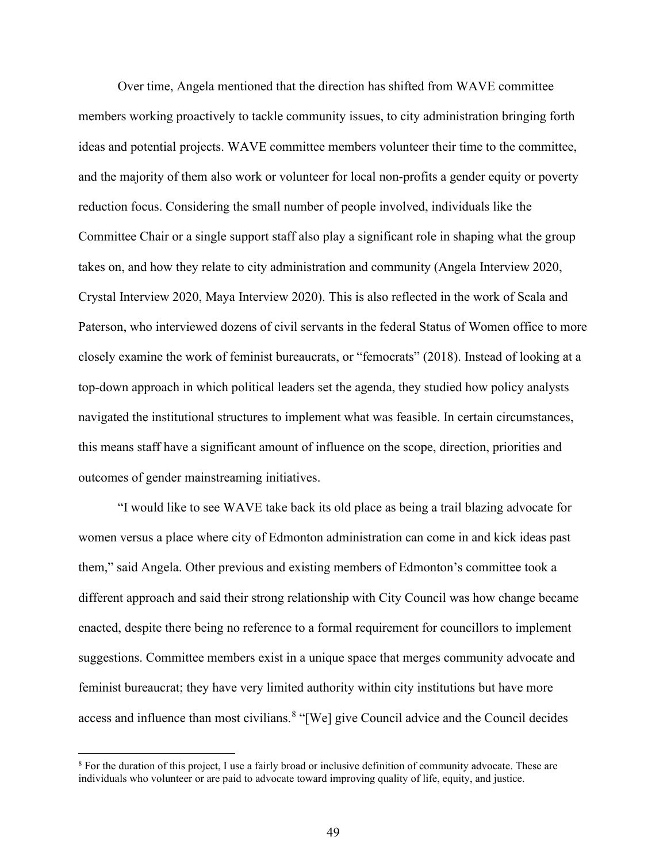Over time, Angela mentioned that the direction has shifted from WAVE committee members working proactively to tackle community issues, to city administration bringing forth ideas and potential projects. WAVE committee members volunteer their time to the committee, and the majority of them also work or volunteer for local non-profits a gender equity or poverty reduction focus. Considering the small number of people involved, individuals like the Committee Chair or a single support staff also play a significant role in shaping what the group takes on, and how they relate to city administration and community (Angela Interview 2020, Crystal Interview 2020, Maya Interview 2020). This is also reflected in the work of Scala and Paterson, who interviewed dozens of civil servants in the federal Status of Women office to more closely examine the work of feminist bureaucrats, or "femocrats" (2018). Instead of looking at a top-down approach in which political leaders set the agenda, they studied how policy analysts navigated the institutional structures to implement what was feasible. In certain circumstances, this means staff have a significant amount of influence on the scope, direction, priorities and outcomes of gender mainstreaming initiatives.

"I would like to see WAVE take back its old place as being a trail blazing advocate for women versus a place where city of Edmonton administration can come in and kick ideas past them," said Angela. Other previous and existing members of Edmonton's committee took a different approach and said their strong relationship with City Council was how change became enacted, despite there being no reference to a formal requirement for councillors to implement suggestions. Committee members exist in a unique space that merges community advocate and feminist bureaucrat; they have very limited authority within city institutions but have more access and influence than most civilians.<sup>[8](#page-48-0)</sup> "[We] give Council advice and the Council decides

<span id="page-48-0"></span><sup>&</sup>lt;sup>8</sup> For the duration of this project, I use a fairly broad or inclusive definition of community advocate. These are individuals who volunteer or are paid to advocate toward improving quality of life, equity, and justice.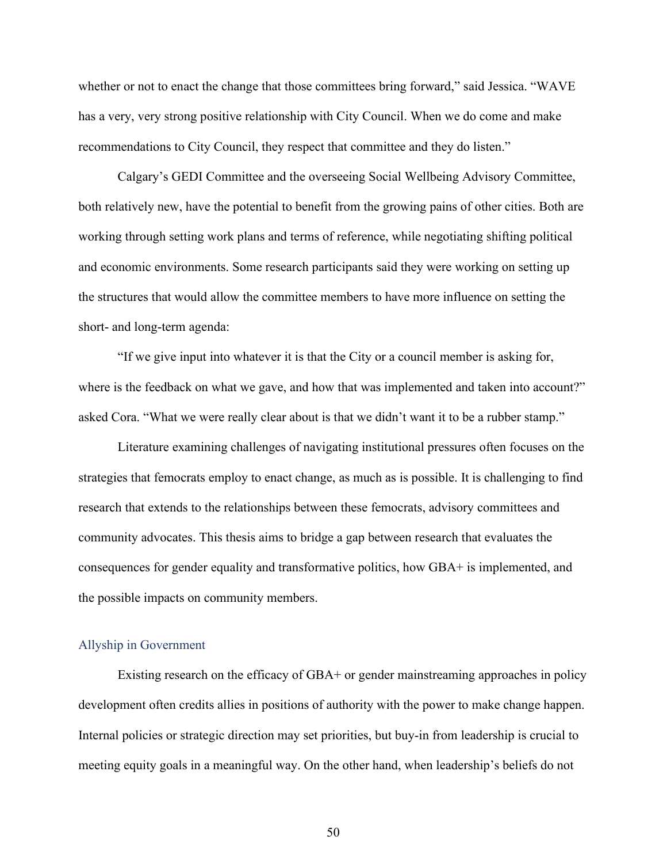whether or not to enact the change that those committees bring forward," said Jessica. "WAVE has a very, very strong positive relationship with City Council. When we do come and make recommendations to City Council, they respect that committee and they do listen."

Calgary's GEDI Committee and the overseeing Social Wellbeing Advisory Committee, both relatively new, have the potential to benefit from the growing pains of other cities. Both are working through setting work plans and terms of reference, while negotiating shifting political and economic environments. Some research participants said they were working on setting up the structures that would allow the committee members to have more influence on setting the short- and long-term agenda:

"If we give input into whatever it is that the City or a council member is asking for, where is the feedback on what we gave, and how that was implemented and taken into account?" asked Cora. "What we were really clear about is that we didn't want it to be a rubber stamp."

Literature examining challenges of navigating institutional pressures often focuses on the strategies that femocrats employ to enact change, as much as is possible. It is challenging to find research that extends to the relationships between these femocrats, advisory committees and community advocates. This thesis aims to bridge a gap between research that evaluates the consequences for gender equality and transformative politics, how GBA+ is implemented, and the possible impacts on community members.

#### Allyship in Government

Existing research on the efficacy of GBA+ or gender mainstreaming approaches in policy development often credits allies in positions of authority with the power to make change happen. Internal policies or strategic direction may set priorities, but buy-in from leadership is crucial to meeting equity goals in a meaningful way. On the other hand, when leadership's beliefs do not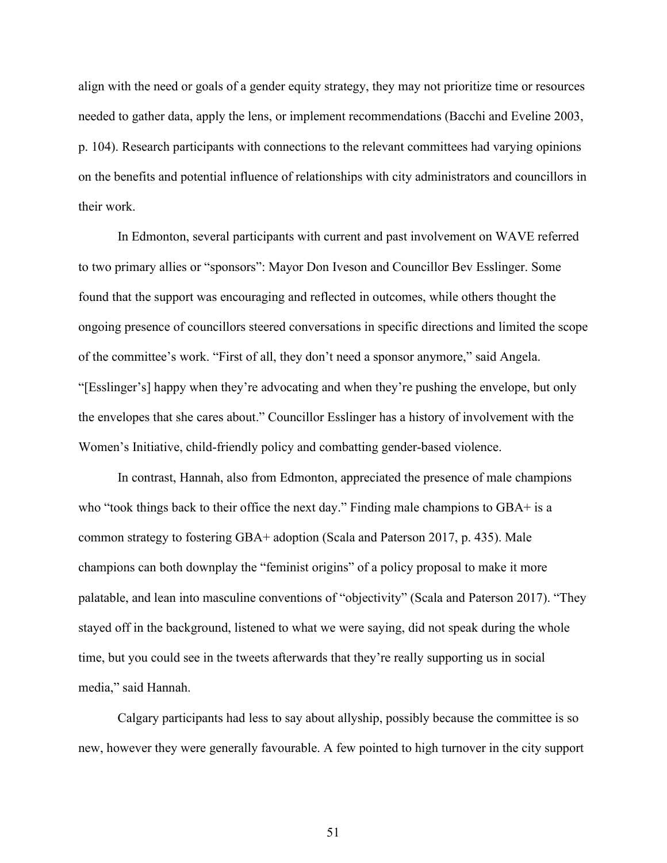align with the need or goals of a gender equity strategy, they may not prioritize time or resources needed to gather data, apply the lens, or implement recommendations (Bacchi and Eveline 2003, p. 104). Research participants with connections to the relevant committees had varying opinions on the benefits and potential influence of relationships with city administrators and councillors in their work.

In Edmonton, several participants with current and past involvement on WAVE referred to two primary allies or "sponsors": Mayor Don Iveson and Councillor Bev Esslinger. Some found that the support was encouraging and reflected in outcomes, while others thought the ongoing presence of councillors steered conversations in specific directions and limited the scope of the committee's work. "First of all, they don't need a sponsor anymore," said Angela. "[Esslinger's] happy when they're advocating and when they're pushing the envelope, but only the envelopes that she cares about." Councillor Esslinger has a history of involvement with the Women's Initiative, child-friendly policy and combatting gender-based violence.

In contrast, Hannah, also from Edmonton, appreciated the presence of male champions who "took things back to their office the next day." Finding male champions to GBA+ is a common strategy to fostering GBA+ adoption (Scala and Paterson 2017, p. 435). Male champions can both downplay the "feminist origins" of a policy proposal to make it more palatable, and lean into masculine conventions of "objectivity" (Scala and Paterson 2017). "They stayed off in the background, listened to what we were saying, did not speak during the whole time, but you could see in the tweets afterwards that they're really supporting us in social media," said Hannah.

Calgary participants had less to say about allyship, possibly because the committee is so new, however they were generally favourable. A few pointed to high turnover in the city support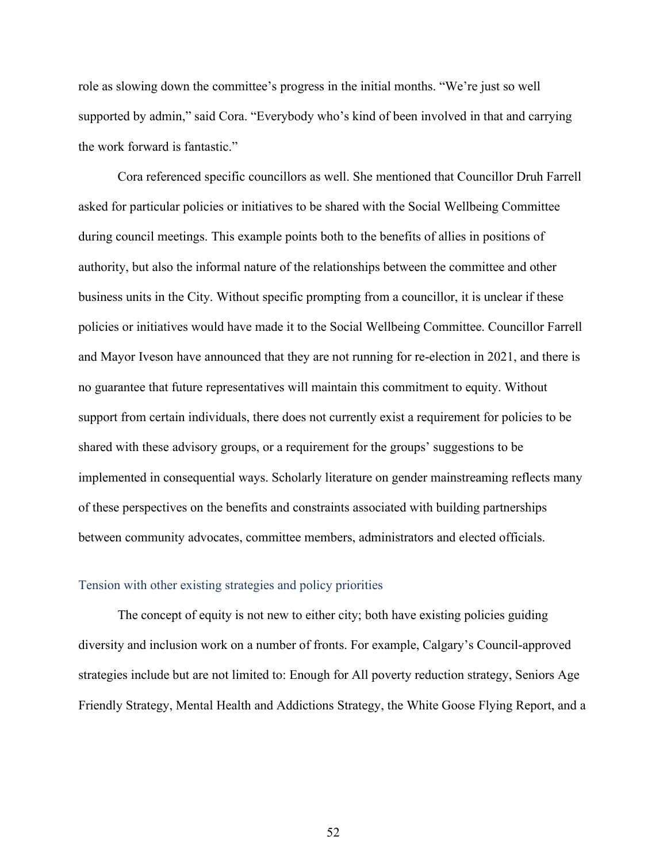role as slowing down the committee's progress in the initial months. "We're just so well supported by admin," said Cora. "Everybody who's kind of been involved in that and carrying the work forward is fantastic."

Cora referenced specific councillors as well. She mentioned that Councillor Druh Farrell asked for particular policies or initiatives to be shared with the Social Wellbeing Committee during council meetings. This example points both to the benefits of allies in positions of authority, but also the informal nature of the relationships between the committee and other business units in the City. Without specific prompting from a councillor, it is unclear if these policies or initiatives would have made it to the Social Wellbeing Committee. Councillor Farrell and Mayor Iveson have announced that they are not running for re-election in 2021, and there is no guarantee that future representatives will maintain this commitment to equity. Without support from certain individuals, there does not currently exist a requirement for policies to be shared with these advisory groups, or a requirement for the groups' suggestions to be implemented in consequential ways. Scholarly literature on gender mainstreaming reflects many of these perspectives on the benefits and constraints associated with building partnerships between community advocates, committee members, administrators and elected officials.

## Tension with other existing strategies and policy priorities

The concept of equity is not new to either city; both have existing policies guiding diversity and inclusion work on a number of fronts. For example, Calgary's Council-approved strategies include but are not limited to: Enough for All poverty reduction strategy, Seniors Age Friendly Strategy, Mental Health and Addictions Strategy, the White Goose Flying Report, and a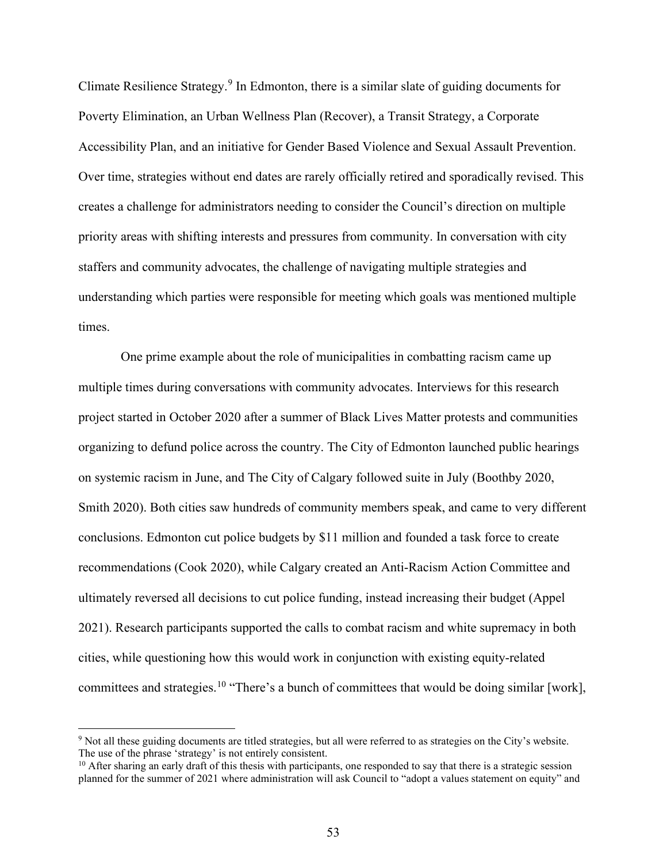Climate Resilience Strategy.[9](#page-52-0) In Edmonton, there is a similar slate of guiding documents for Poverty Elimination, an Urban Wellness Plan (Recover), a Transit Strategy, a Corporate Accessibility Plan, and an initiative for Gender Based Violence and Sexual Assault Prevention. Over time, strategies without end dates are rarely officially retired and sporadically revised. This creates a challenge for administrators needing to consider the Council's direction on multiple priority areas with shifting interests and pressures from community. In conversation with city staffers and community advocates, the challenge of navigating multiple strategies and understanding which parties were responsible for meeting which goals was mentioned multiple times.

One prime example about the role of municipalities in combatting racism came up multiple times during conversations with community advocates. Interviews for this research project started in October 2020 after a summer of Black Lives Matter protests and communities organizing to defund police across the country. The City of Edmonton launched public hearings on systemic racism in June, and The City of Calgary followed suite in July (Boothby 2020, Smith 2020). Both cities saw hundreds of community members speak, and came to very different conclusions. Edmonton cut police budgets by \$11 million and founded a task force to create recommendations (Cook 2020), while Calgary created an Anti-Racism Action Committee and ultimately reversed all decisions to cut police funding, instead increasing their budget (Appel 2021). Research participants supported the calls to combat racism and white supremacy in both cities, while questioning how this would work in conjunction with existing equity-related committees and strategies.<sup>[10](#page-52-1)</sup> "There's a bunch of committees that would be doing similar [work],

<span id="page-52-0"></span><sup>&</sup>lt;sup>9</sup> Not all these guiding documents are titled strategies, but all were referred to as strategies on the City's website.<br>The use of the phrase 'strategy' is not entirely consistent.

<span id="page-52-1"></span> $10$  After sharing an early draft of this thesis with participants, one responded to say that there is a strategic session planned for the summer of 2021 where administration will ask Council to "adopt a values statement on equity" and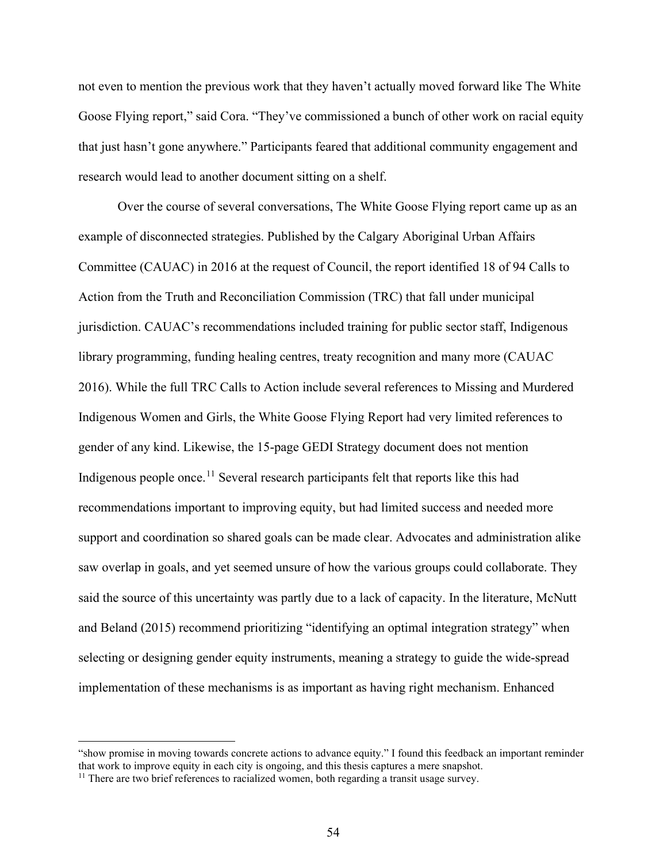not even to mention the previous work that they haven't actually moved forward like The White Goose Flying report," said Cora. "They've commissioned a bunch of other work on racial equity that just hasn't gone anywhere." Participants feared that additional community engagement and research would lead to another document sitting on a shelf.

Over the course of several conversations, The White Goose Flying report came up as an example of disconnected strategies. Published by the Calgary Aboriginal Urban Affairs Committee (CAUAC) in 2016 at the request of Council, the report identified 18 of 94 Calls to Action from the Truth and Reconciliation Commission (TRC) that fall under municipal jurisdiction. CAUAC's recommendations included training for public sector staff, Indigenous library programming, funding healing centres, treaty recognition and many more (CAUAC 2016). While the full TRC Calls to Action include several references to Missing and Murdered Indigenous Women and Girls, the White Goose Flying Report had very limited references to gender of any kind. Likewise, the 15-page GEDI Strategy document does not mention Indigenous people once.<sup>[11](#page-53-0)</sup> Several research participants felt that reports like this had recommendations important to improving equity, but had limited success and needed more support and coordination so shared goals can be made clear. Advocates and administration alike saw overlap in goals, and yet seemed unsure of how the various groups could collaborate. They said the source of this uncertainty was partly due to a lack of capacity. In the literature, McNutt and Beland (2015) recommend prioritizing "identifying an optimal integration strategy" when selecting or designing gender equity instruments, meaning a strategy to guide the wide-spread implementation of these mechanisms is as important as having right mechanism. Enhanced

<sup>&</sup>quot;show promise in moving towards concrete actions to advance equity." I found this feedback an important reminder that work to improve equity in each city is ongoing, and this thesis captures a mere snapshot.

<span id="page-53-0"></span><sup>&</sup>lt;sup>11</sup> There are two brief references to racialized women, both regarding a transit usage survey.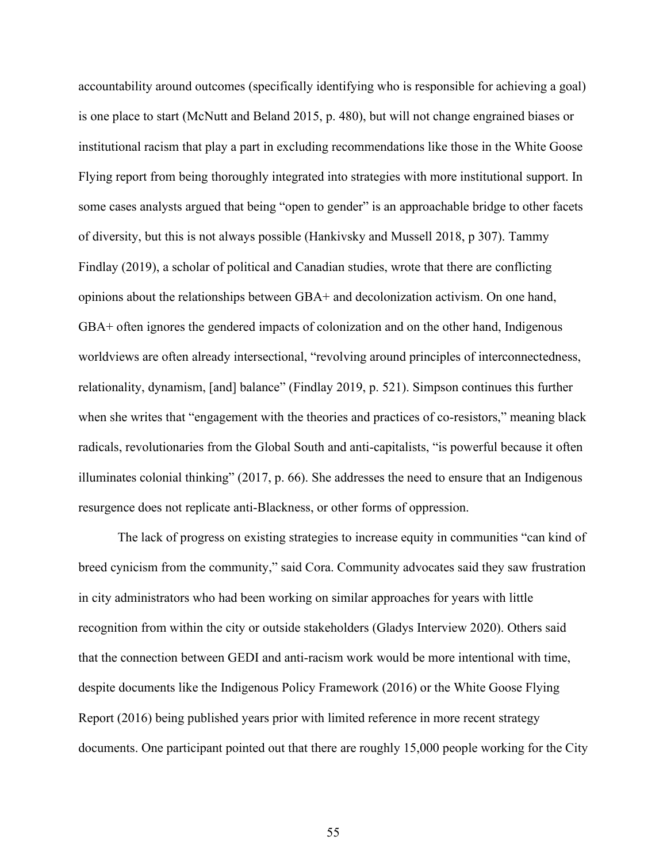accountability around outcomes (specifically identifying who is responsible for achieving a goal) is one place to start (McNutt and Beland 2015, p. 480), but will not change engrained biases or institutional racism that play a part in excluding recommendations like those in the White Goose Flying report from being thoroughly integrated into strategies with more institutional support. In some cases analysts argued that being "open to gender" is an approachable bridge to other facets of diversity, but this is not always possible (Hankivsky and Mussell 2018, p 307). Tammy Findlay (2019), a scholar of political and Canadian studies, wrote that there are conflicting opinions about the relationships between GBA+ and decolonization activism. On one hand, GBA+ often ignores the gendered impacts of colonization and on the other hand, Indigenous worldviews are often already intersectional, "revolving around principles of interconnectedness, relationality, dynamism, [and] balance" (Findlay 2019, p. 521). Simpson continues this further when she writes that "engagement with the theories and practices of co-resistors," meaning black radicals, revolutionaries from the Global South and anti-capitalists, "is powerful because it often illuminates colonial thinking" (2017, p. 66). She addresses the need to ensure that an Indigenous resurgence does not replicate anti-Blackness, or other forms of oppression.

The lack of progress on existing strategies to increase equity in communities "can kind of breed cynicism from the community," said Cora. Community advocates said they saw frustration in city administrators who had been working on similar approaches for years with little recognition from within the city or outside stakeholders (Gladys Interview 2020). Others said that the connection between GEDI and anti-racism work would be more intentional with time, despite documents like the Indigenous Policy Framework (2016) or the White Goose Flying Report (2016) being published years prior with limited reference in more recent strategy documents. One participant pointed out that there are roughly 15,000 people working for the City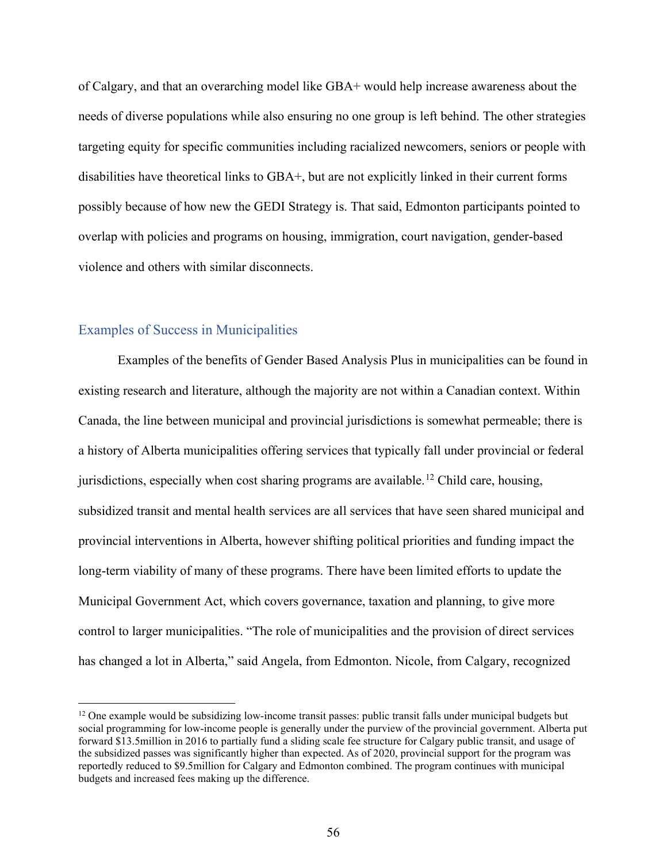of Calgary, and that an overarching model like GBA+ would help increase awareness about the needs of diverse populations while also ensuring no one group is left behind. The other strategies targeting equity for specific communities including racialized newcomers, seniors or people with disabilities have theoretical links to GBA+, but are not explicitly linked in their current forms possibly because of how new the GEDI Strategy is. That said, Edmonton participants pointed to overlap with policies and programs on housing, immigration, court navigation, gender-based violence and others with similar disconnects.

## Examples of Success in Municipalities

Examples of the benefits of Gender Based Analysis Plus in municipalities can be found in existing research and literature, although the majority are not within a Canadian context. Within Canada, the line between municipal and provincial jurisdictions is somewhat permeable; there is a history of Alberta municipalities offering services that typically fall under provincial or federal jurisdictions, especially when cost sharing programs are available.<sup>[12](#page-55-0)</sup> Child care, housing, subsidized transit and mental health services are all services that have seen shared municipal and provincial interventions in Alberta, however shifting political priorities and funding impact the long-term viability of many of these programs. There have been limited efforts to update the Municipal Government Act, which covers governance, taxation and planning, to give more control to larger municipalities. "The role of municipalities and the provision of direct services has changed a lot in Alberta," said Angela, from Edmonton. Nicole, from Calgary, recognized

<span id="page-55-0"></span><sup>&</sup>lt;sup>12</sup> One example would be subsidizing low-income transit passes: public transit falls under municipal budgets but social programming for low-income people is generally under the purview of the provincial government. Alberta put forward \$13.5million in 2016 to partially fund a sliding scale fee structure for Calgary public transit, and usage of the subsidized passes was significantly higher than expected. As of 2020, provincial support for the program was reportedly reduced to \$9.5million for Calgary and Edmonton combined. The program continues with municipal budgets and increased fees making up the difference.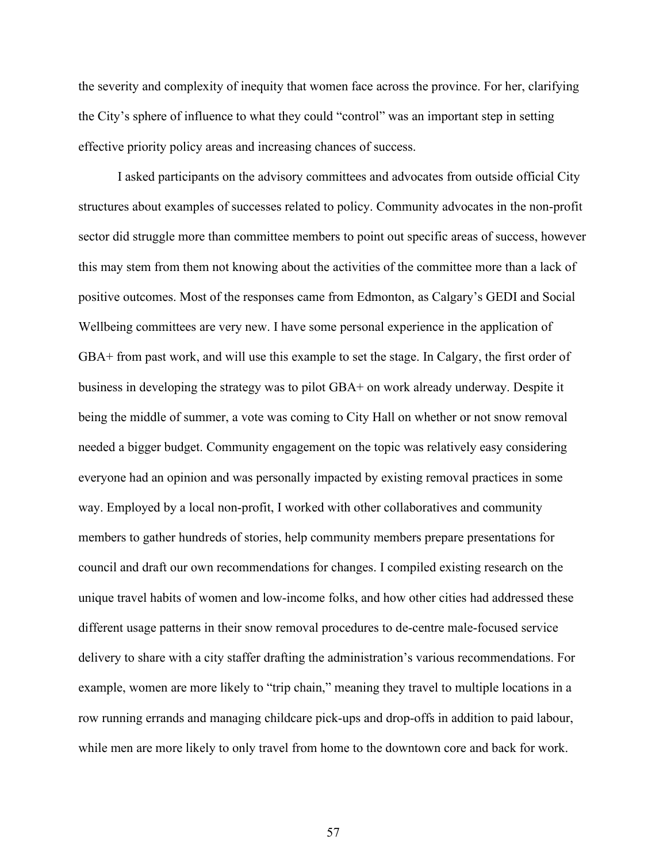the severity and complexity of inequity that women face across the province. For her, clarifying the City's sphere of influence to what they could "control" was an important step in setting effective priority policy areas and increasing chances of success.

 I asked participants on the advisory committees and advocates from outside official City structures about examples of successes related to policy. Community advocates in the non-profit sector did struggle more than committee members to point out specific areas of success, however this may stem from them not knowing about the activities of the committee more than a lack of positive outcomes. Most of the responses came from Edmonton, as Calgary's GEDI and Social Wellbeing committees are very new. I have some personal experience in the application of GBA+ from past work, and will use this example to set the stage. In Calgary, the first order of business in developing the strategy was to pilot GBA+ on work already underway. Despite it being the middle of summer, a vote was coming to City Hall on whether or not snow removal needed a bigger budget. Community engagement on the topic was relatively easy considering everyone had an opinion and was personally impacted by existing removal practices in some way. Employed by a local non-profit, I worked with other collaboratives and community members to gather hundreds of stories, help community members prepare presentations for council and draft our own recommendations for changes. I compiled existing research on the unique travel habits of women and low-income folks, and how other cities had addressed these different usage patterns in their snow removal procedures to de-centre male-focused service delivery to share with a city staffer drafting the administration's various recommendations. For example, women are more likely to "trip chain," meaning they travel to multiple locations in a row running errands and managing childcare pick-ups and drop-offs in addition to paid labour, while men are more likely to only travel from home to the downtown core and back for work.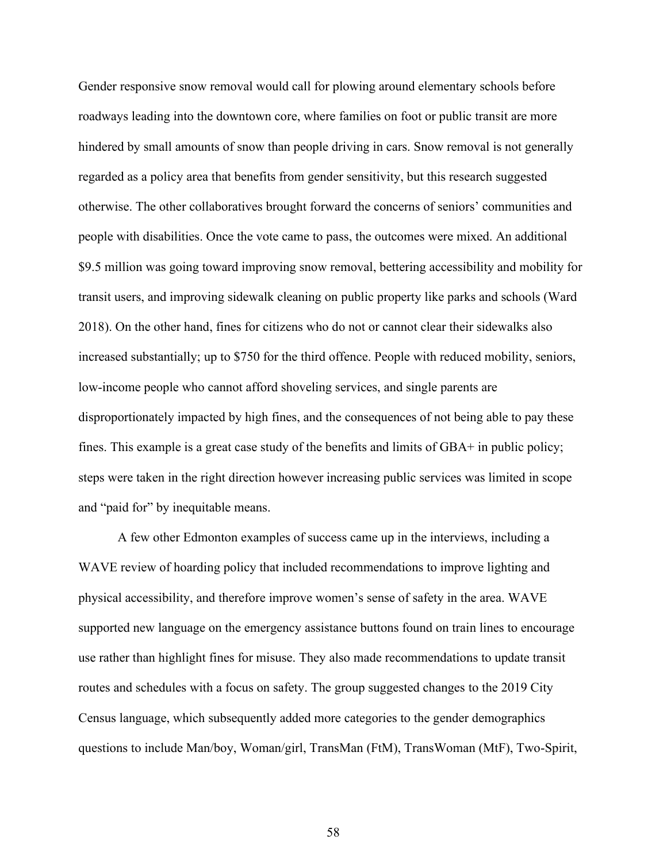Gender responsive snow removal would call for plowing around elementary schools before roadways leading into the downtown core, where families on foot or public transit are more hindered by small amounts of snow than people driving in cars. Snow removal is not generally regarded as a policy area that benefits from gender sensitivity, but this research suggested otherwise. The other collaboratives brought forward the concerns of seniors' communities and people with disabilities. Once the vote came to pass, the outcomes were mixed. An additional \$9.5 million was going toward improving snow removal, bettering accessibility and mobility for transit users, and improving sidewalk cleaning on public property like parks and schools (Ward 2018). On the other hand, fines for citizens who do not or cannot clear their sidewalks also increased substantially; up to \$750 for the third offence. People with reduced mobility, seniors, low-income people who cannot afford shoveling services, and single parents are disproportionately impacted by high fines, and the consequences of not being able to pay these fines. This example is a great case study of the benefits and limits of GBA+ in public policy; steps were taken in the right direction however increasing public services was limited in scope and "paid for" by inequitable means.

A few other Edmonton examples of success came up in the interviews, including a WAVE review of hoarding policy that included recommendations to improve lighting and physical accessibility, and therefore improve women's sense of safety in the area. WAVE supported new language on the emergency assistance buttons found on train lines to encourage use rather than highlight fines for misuse. They also made recommendations to update transit routes and schedules with a focus on safety. The group suggested changes to the 2019 City Census language, which subsequently added more categories to the gender demographics questions to include Man/boy, Woman/girl, TransMan (FtM), TransWoman (MtF), Two-Spirit,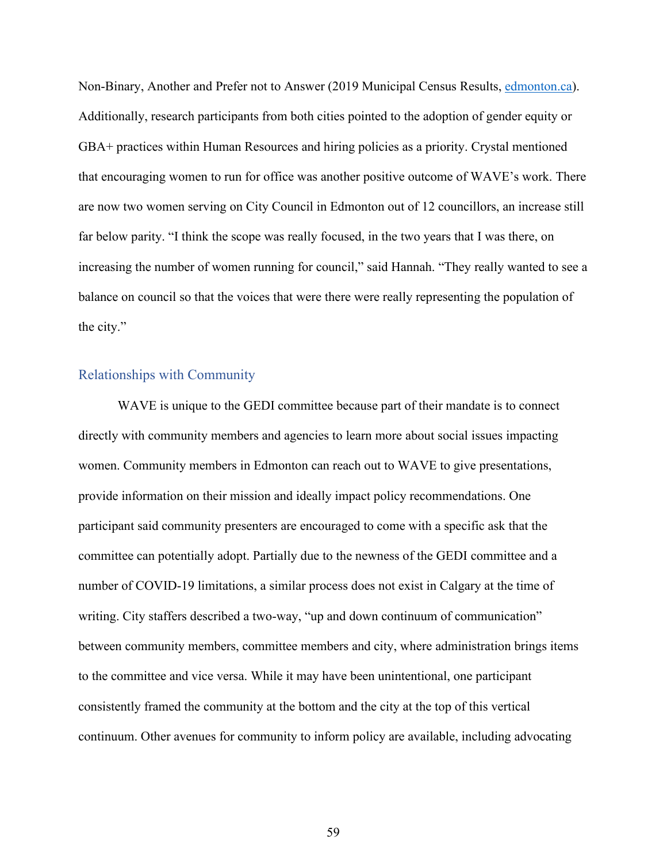Non-Binary, Another and Prefer not to Answer (2019 Municipal Census Results, [edmonton.ca\)](http://edmonton.ca/). Additionally, research participants from both cities pointed to the adoption of gender equity or GBA+ practices within Human Resources and hiring policies as a priority. Crystal mentioned that encouraging women to run for office was another positive outcome of WAVE's work. There are now two women serving on City Council in Edmonton out of 12 councillors, an increase still far below parity. "I think the scope was really focused, in the two years that I was there, on increasing the number of women running for council," said Hannah. "They really wanted to see a balance on council so that the voices that were there were really representing the population of the city."

## Relationships with Community

WAVE is unique to the GEDI committee because part of their mandate is to connect directly with community members and agencies to learn more about social issues impacting women. Community members in Edmonton can reach out to WAVE to give presentations, provide information on their mission and ideally impact policy recommendations. One participant said community presenters are encouraged to come with a specific ask that the committee can potentially adopt. Partially due to the newness of the GEDI committee and a number of COVID-19 limitations, a similar process does not exist in Calgary at the time of writing. City staffers described a two-way, "up and down continuum of communication" between community members, committee members and city, where administration brings items to the committee and vice versa. While it may have been unintentional, one participant consistently framed the community at the bottom and the city at the top of this vertical continuum. Other avenues for community to inform policy are available, including advocating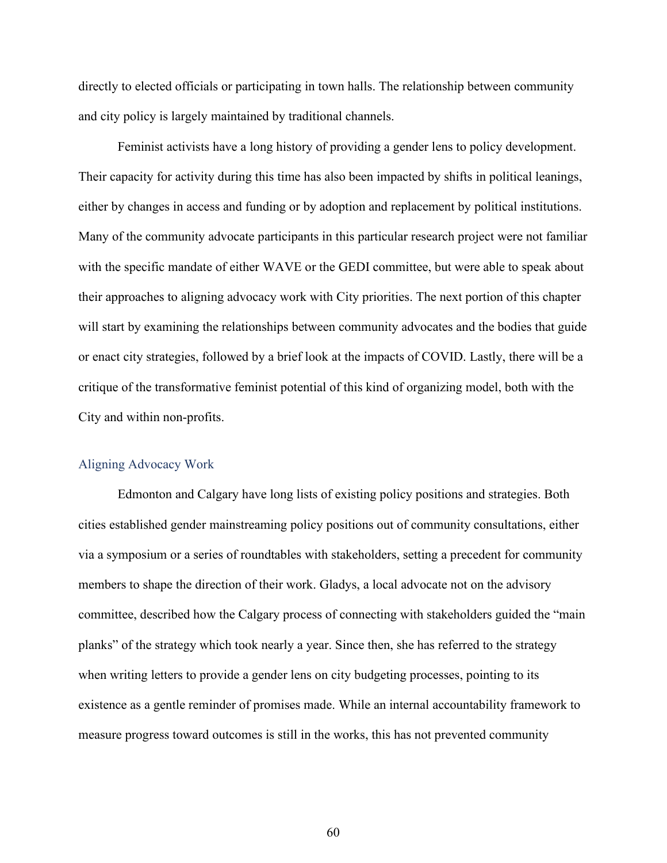directly to elected officials or participating in town halls. The relationship between community and city policy is largely maintained by traditional channels.

Feminist activists have a long history of providing a gender lens to policy development. Their capacity for activity during this time has also been impacted by shifts in political leanings, either by changes in access and funding or by adoption and replacement by political institutions. Many of the community advocate participants in this particular research project were not familiar with the specific mandate of either WAVE or the GEDI committee, but were able to speak about their approaches to aligning advocacy work with City priorities. The next portion of this chapter will start by examining the relationships between community advocates and the bodies that guide or enact city strategies, followed by a brief look at the impacts of COVID. Lastly, there will be a critique of the transformative feminist potential of this kind of organizing model, both with the City and within non-profits.

## Aligning Advocacy Work

 Edmonton and Calgary have long lists of existing policy positions and strategies. Both cities established gender mainstreaming policy positions out of community consultations, either via a symposium or a series of roundtables with stakeholders, setting a precedent for community members to shape the direction of their work. Gladys, a local advocate not on the advisory committee, described how the Calgary process of connecting with stakeholders guided the "main planks" of the strategy which took nearly a year. Since then, she has referred to the strategy when writing letters to provide a gender lens on city budgeting processes, pointing to its existence as a gentle reminder of promises made. While an internal accountability framework to measure progress toward outcomes is still in the works, this has not prevented community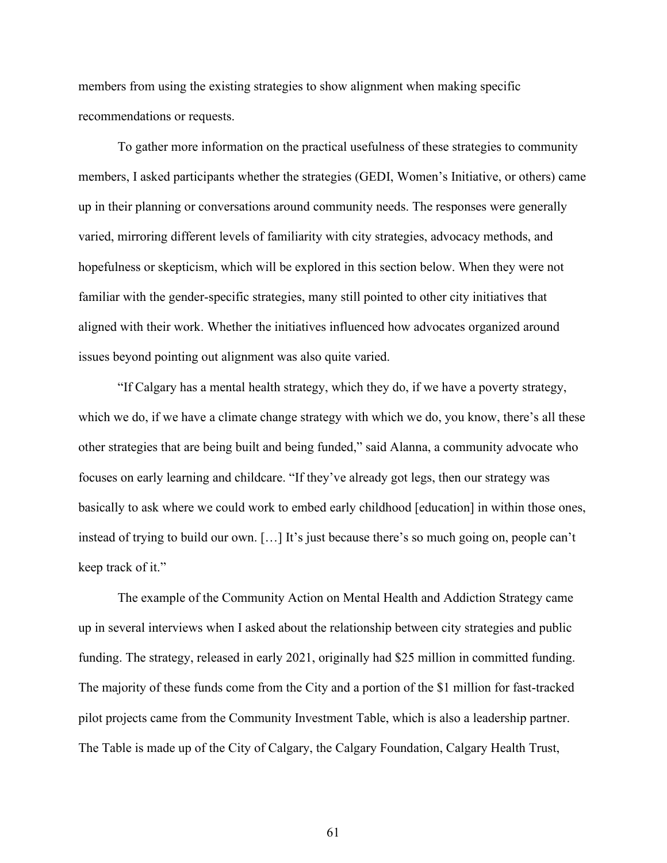members from using the existing strategies to show alignment when making specific recommendations or requests.

To gather more information on the practical usefulness of these strategies to community members, I asked participants whether the strategies (GEDI, Women's Initiative, or others) came up in their planning or conversations around community needs. The responses were generally varied, mirroring different levels of familiarity with city strategies, advocacy methods, and hopefulness or skepticism, which will be explored in this section below. When they were not familiar with the gender-specific strategies, many still pointed to other city initiatives that aligned with their work. Whether the initiatives influenced how advocates organized around issues beyond pointing out alignment was also quite varied.

"If Calgary has a mental health strategy, which they do, if we have a poverty strategy, which we do, if we have a climate change strategy with which we do, you know, there's all these other strategies that are being built and being funded," said Alanna, a community advocate who focuses on early learning and childcare. "If they've already got legs, then our strategy was basically to ask where we could work to embed early childhood [education] in within those ones, instead of trying to build our own. […] It's just because there's so much going on, people can't keep track of it."

The example of the Community Action on Mental Health and Addiction Strategy came up in several interviews when I asked about the relationship between city strategies and public funding. The strategy, released in early 2021, originally had \$25 million in committed funding. The majority of these funds come from the City and a portion of the \$1 million for fast-tracked pilot projects came from the Community Investment Table, which is also a leadership partner. The Table is made up of the City of Calgary, the Calgary Foundation, Calgary Health Trust,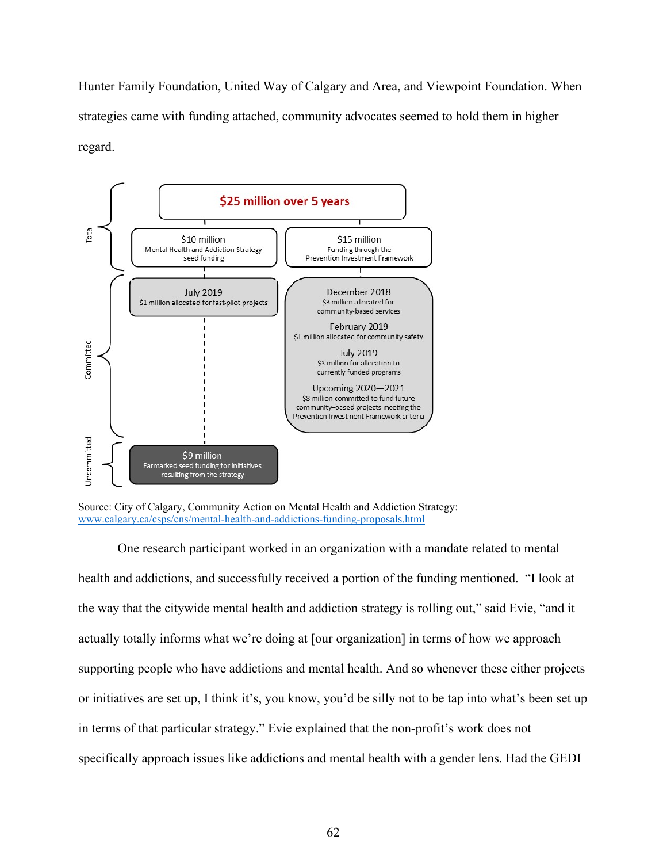Hunter Family Foundation, United Way of Calgary and Area, and Viewpoint Foundation. When strategies came with funding attached, community advocates seemed to hold them in higher regard.





One research participant worked in an organization with a mandate related to mental health and addictions, and successfully received a portion of the funding mentioned. "I look at the way that the citywide mental health and addiction strategy is rolling out," said Evie, "and it actually totally informs what we're doing at [our organization] in terms of how we approach supporting people who have addictions and mental health. And so whenever these either projects or initiatives are set up, I think it's, you know, you'd be silly not to be tap into what's been set up in terms of that particular strategy." Evie explained that the non-profit's work does not specifically approach issues like addictions and mental health with a gender lens. Had the GEDI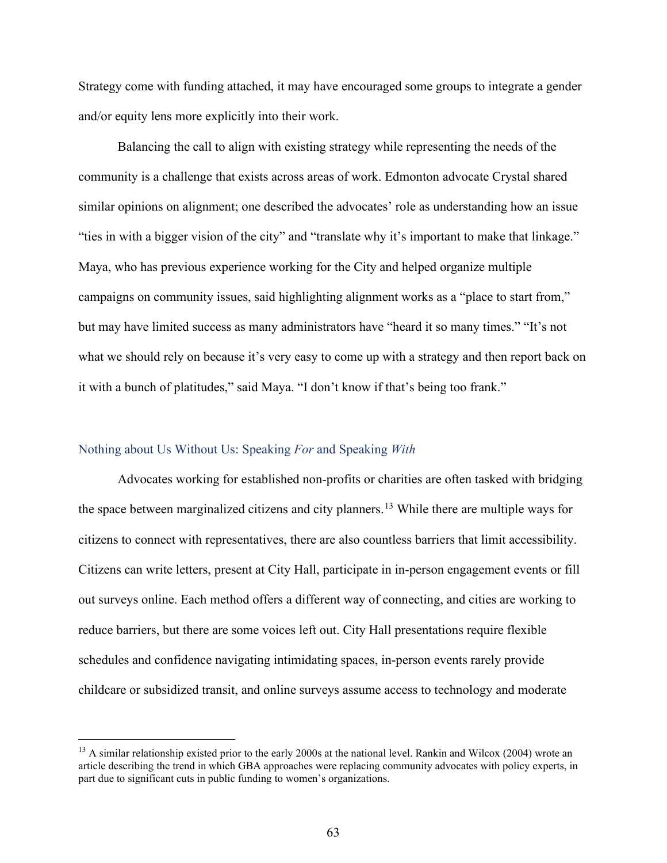Strategy come with funding attached, it may have encouraged some groups to integrate a gender and/or equity lens more explicitly into their work.

Balancing the call to align with existing strategy while representing the needs of the community is a challenge that exists across areas of work. Edmonton advocate Crystal shared similar opinions on alignment; one described the advocates' role as understanding how an issue "ties in with a bigger vision of the city" and "translate why it's important to make that linkage." Maya, who has previous experience working for the City and helped organize multiple campaigns on community issues, said highlighting alignment works as a "place to start from," but may have limited success as many administrators have "heard it so many times." "It's not what we should rely on because it's very easy to come up with a strategy and then report back on it with a bunch of platitudes," said Maya. "I don't know if that's being too frank."

## Nothing about Us Without Us: Speaking *For* and Speaking *With*

Advocates working for established non-profits or charities are often tasked with bridging the space between marginalized citizens and city planners.<sup>[13](#page-62-0)</sup> While there are multiple ways for citizens to connect with representatives, there are also countless barriers that limit accessibility. Citizens can write letters, present at City Hall, participate in in-person engagement events or fill out surveys online. Each method offers a different way of connecting, and cities are working to reduce barriers, but there are some voices left out. City Hall presentations require flexible schedules and confidence navigating intimidating spaces, in-person events rarely provide childcare or subsidized transit, and online surveys assume access to technology and moderate

<span id="page-62-0"></span> $13$  A similar relationship existed prior to the early 2000s at the national level. Rankin and Wilcox (2004) wrote an article describing the trend in which GBA approaches were replacing community advocates with policy experts, in part due to significant cuts in public funding to women's organizations.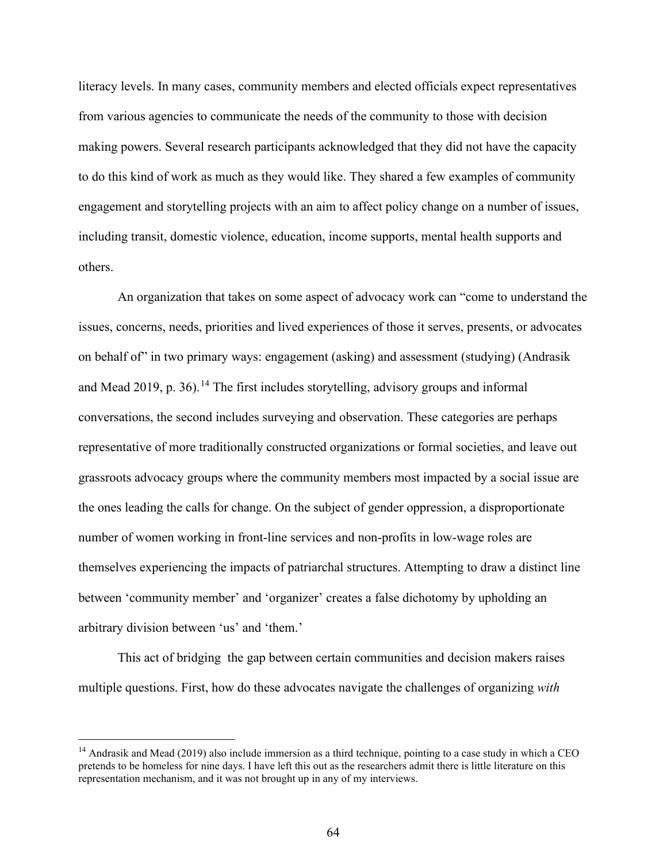literacy levels. In many cases, community members and elected officials expect representatives from various agencies to communicate the needs of the community to those with decision making powers. Several research participants acknowledged that they did not have the capacity to do this kind of work as much as they would like. They shared a few examples of community engagement and storytelling projects with an aim to affect policy change on a number of issues, including transit, domestic violence, education, income supports, mental health supports and others.

An organization that takes on some aspect of advocacy work can "come to understand the issues, concerns, needs, priorities and lived experiences of those it serves, presents, or advocates on behalf of" in two primary ways: engagement (asking) and assessment (studying) (Andrasik and Mead 2019, p. 36).<sup>[14](#page-63-0)</sup> The first includes storytelling, advisory groups and informal conversations, the second includes surveying and observation. These categories are perhaps representative of more traditionally constructed organizations or formal societies, and leave out grassroots advocacy groups where the community members most impacted by a social issue are the ones leading the calls for change. On the subject of gender oppression, a disproportionate number of women working in front-line services and non-profits in low-wage roles are themselves experiencing the impacts of patriarchal structures. Attempting to draw a distinct line between 'community member' and 'organizer' creates a false dichotomy by upholding an arbitrary division between 'us' and 'them.'

This act of bridging the gap between certain communities and decision makers raises multiple questions. First, how do these advocates navigate the challenges of organizing *with*

<span id="page-63-0"></span><sup>&</sup>lt;sup>14</sup> Andrasik and Mead (2019) also include immersion as a third technique, pointing to a case study in which a CEO pretends to be homeless for nine days. I have left this out as the researchers admit there is little literature on this representation mechanism, and it was not brought up in any of my interviews.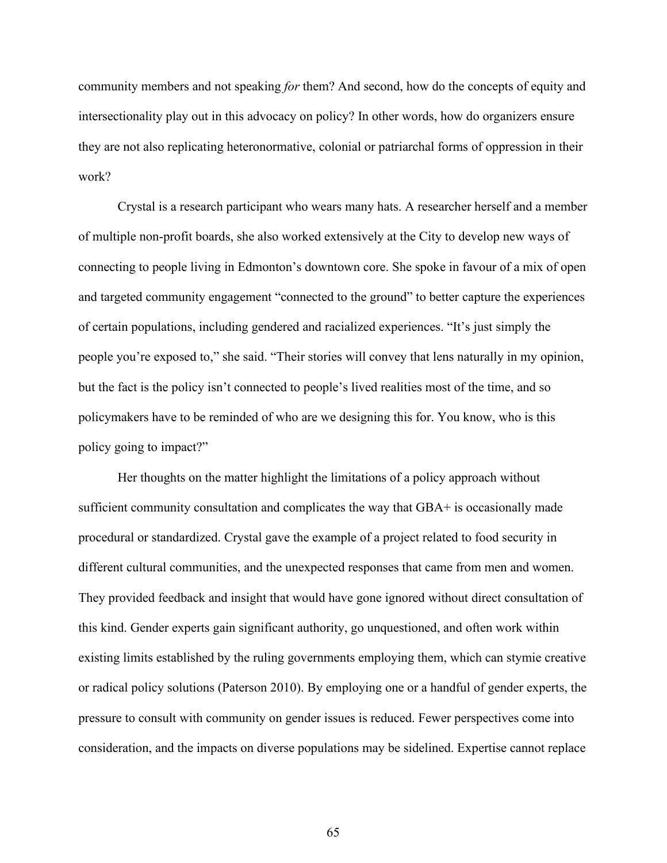community members and not speaking *for* them? And second, how do the concepts of equity and intersectionality play out in this advocacy on policy? In other words, how do organizers ensure they are not also replicating heteronormative, colonial or patriarchal forms of oppression in their work?

Crystal is a research participant who wears many hats. A researcher herself and a member of multiple non-profit boards, she also worked extensively at the City to develop new ways of connecting to people living in Edmonton's downtown core. She spoke in favour of a mix of open and targeted community engagement "connected to the ground" to better capture the experiences of certain populations, including gendered and racialized experiences. "It's just simply the people you're exposed to," she said. "Their stories will convey that lens naturally in my opinion, but the fact is the policy isn't connected to people's lived realities most of the time, and so policymakers have to be reminded of who are we designing this for. You know, who is this policy going to impact?"

Her thoughts on the matter highlight the limitations of a policy approach without sufficient community consultation and complicates the way that GBA+ is occasionally made procedural or standardized. Crystal gave the example of a project related to food security in different cultural communities, and the unexpected responses that came from men and women. They provided feedback and insight that would have gone ignored without direct consultation of this kind. Gender experts gain significant authority, go unquestioned, and often work within existing limits established by the ruling governments employing them, which can stymie creative or radical policy solutions (Paterson 2010). By employing one or a handful of gender experts, the pressure to consult with community on gender issues is reduced. Fewer perspectives come into consideration, and the impacts on diverse populations may be sidelined. Expertise cannot replace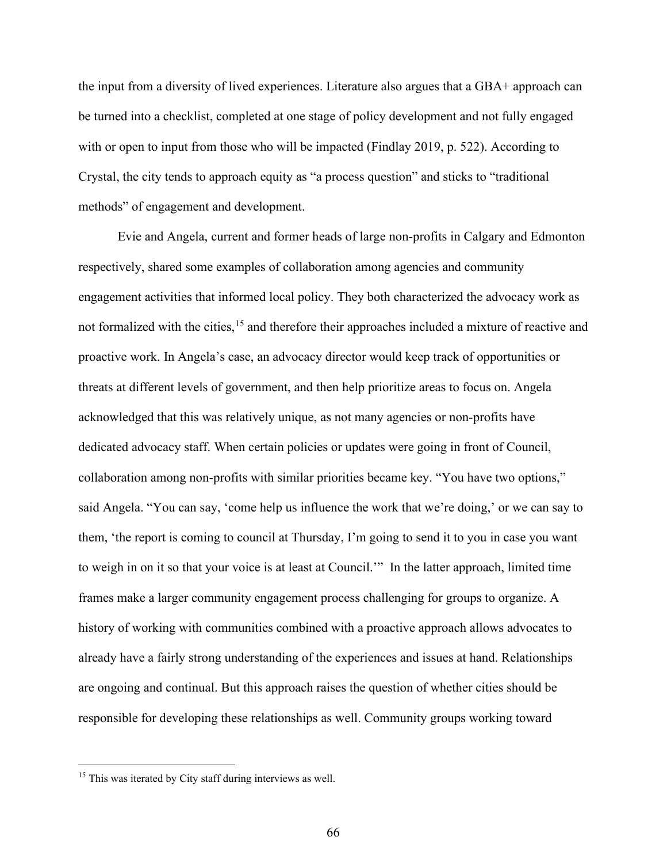the input from a diversity of lived experiences. Literature also argues that a GBA+ approach can be turned into a checklist, completed at one stage of policy development and not fully engaged with or open to input from those who will be impacted (Findlay 2019, p. 522). According to Crystal, the city tends to approach equity as "a process question" and sticks to "traditional methods" of engagement and development.

Evie and Angela, current and former heads of large non-profits in Calgary and Edmonton respectively, shared some examples of collaboration among agencies and community engagement activities that informed local policy. They both characterized the advocacy work as not formalized with the cities, <sup>[15](#page-65-0)</sup> and therefore their approaches included a mixture of reactive and proactive work. In Angela's case, an advocacy director would keep track of opportunities or threats at different levels of government, and then help prioritize areas to focus on. Angela acknowledged that this was relatively unique, as not many agencies or non-profits have dedicated advocacy staff. When certain policies or updates were going in front of Council, collaboration among non-profits with similar priorities became key. "You have two options," said Angela. "You can say, 'come help us influence the work that we're doing,' or we can say to them, 'the report is coming to council at Thursday, I'm going to send it to you in case you want to weigh in on it so that your voice is at least at Council.'" In the latter approach, limited time frames make a larger community engagement process challenging for groups to organize. A history of working with communities combined with a proactive approach allows advocates to already have a fairly strong understanding of the experiences and issues at hand. Relationships are ongoing and continual. But this approach raises the question of whether cities should be responsible for developing these relationships as well. Community groups working toward

<span id="page-65-0"></span><sup>&</sup>lt;sup>15</sup> This was iterated by City staff during interviews as well.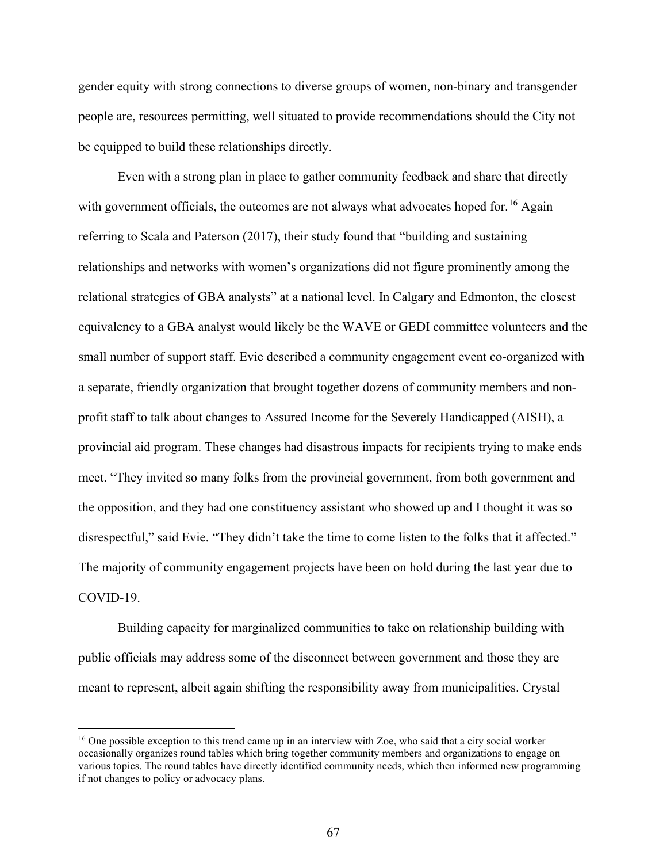gender equity with strong connections to diverse groups of women, non-binary and transgender people are, resources permitting, well situated to provide recommendations should the City not be equipped to build these relationships directly.

Even with a strong plan in place to gather community feedback and share that directly with government officials, the outcomes are not always what advocates hoped for.<sup>[16](#page-66-0)</sup> Again referring to Scala and Paterson (2017), their study found that "building and sustaining relationships and networks with women's organizations did not figure prominently among the relational strategies of GBA analysts" at a national level. In Calgary and Edmonton, the closest equivalency to a GBA analyst would likely be the WAVE or GEDI committee volunteers and the small number of support staff. Evie described a community engagement event co-organized with a separate, friendly organization that brought together dozens of community members and nonprofit staff to talk about changes to Assured Income for the Severely Handicapped (AISH), a provincial aid program. These changes had disastrous impacts for recipients trying to make ends meet. "They invited so many folks from the provincial government, from both government and the opposition, and they had one constituency assistant who showed up and I thought it was so disrespectful," said Evie. "They didn't take the time to come listen to the folks that it affected." The majority of community engagement projects have been on hold during the last year due to COVID-19.

 Building capacity for marginalized communities to take on relationship building with public officials may address some of the disconnect between government and those they are meant to represent, albeit again shifting the responsibility away from municipalities. Crystal

<span id="page-66-0"></span><sup>&</sup>lt;sup>16</sup> One possible exception to this trend came up in an interview with Zoe, who said that a city social worker occasionally organizes round tables which bring together community members and organizations to engage on various topics. The round tables have directly identified community needs, which then informed new programming if not changes to policy or advocacy plans.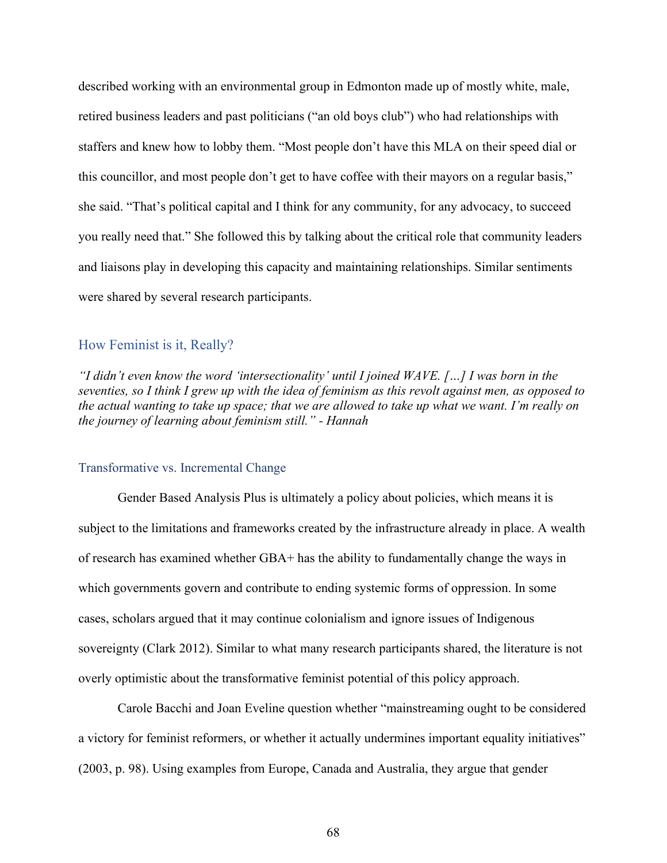described working with an environmental group in Edmonton made up of mostly white, male, retired business leaders and past politicians ("an old boys club") who had relationships with staffers and knew how to lobby them. "Most people don't have this MLA on their speed dial or this councillor, and most people don't get to have coffee with their mayors on a regular basis," she said. "That's political capital and I think for any community, for any advocacy, to succeed you really need that." She followed this by talking about the critical role that community leaders and liaisons play in developing this capacity and maintaining relationships. Similar sentiments were shared by several research participants.

## How Feminist is it, Really?

*"I didn't even know the word 'intersectionality' until I joined WAVE. […] I was born in the seventies, so I think I grew up with the idea of feminism as this revolt against men, as opposed to the actual wanting to take up space; that we are allowed to take up what we want. I'm really on the journey of learning about feminism still." - Hannah* 

#### Transformative vs. Incremental Change

Gender Based Analysis Plus is ultimately a policy about policies, which means it is subject to the limitations and frameworks created by the infrastructure already in place. A wealth of research has examined whether GBA+ has the ability to fundamentally change the ways in which governments govern and contribute to ending systemic forms of oppression. In some cases, scholars argued that it may continue colonialism and ignore issues of Indigenous sovereignty (Clark 2012). Similar to what many research participants shared, the literature is not overly optimistic about the transformative feminist potential of this policy approach.

Carole Bacchi and Joan Eveline question whether "mainstreaming ought to be considered a victory for feminist reformers, or whether it actually undermines important equality initiatives" (2003, p. 98). Using examples from Europe, Canada and Australia, they argue that gender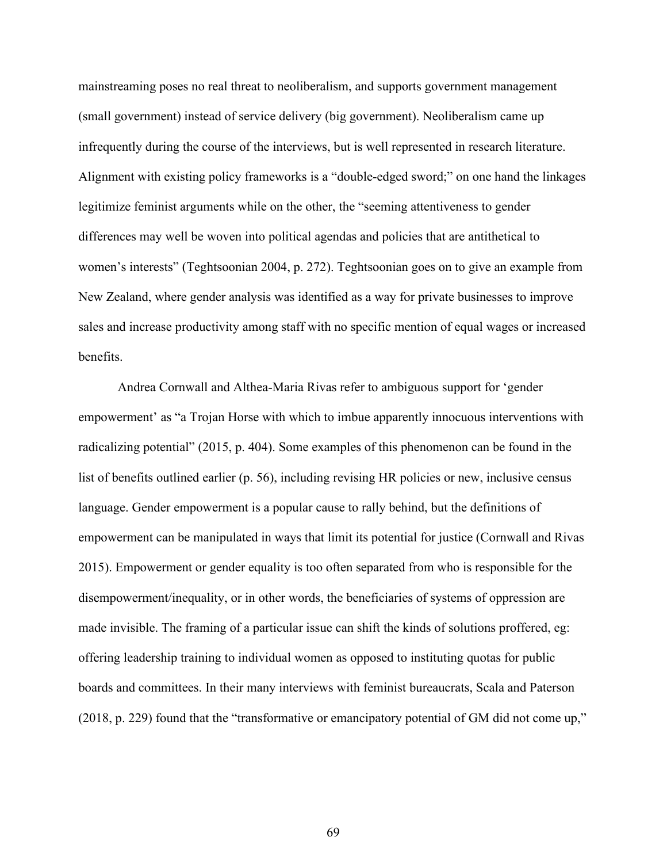mainstreaming poses no real threat to neoliberalism, and supports government management (small government) instead of service delivery (big government). Neoliberalism came up infrequently during the course of the interviews, but is well represented in research literature. Alignment with existing policy frameworks is a "double-edged sword;" on one hand the linkages legitimize feminist arguments while on the other, the "seeming attentiveness to gender differences may well be woven into political agendas and policies that are antithetical to women's interests" (Teghtsoonian 2004, p. 272). Teghtsoonian goes on to give an example from New Zealand, where gender analysis was identified as a way for private businesses to improve sales and increase productivity among staff with no specific mention of equal wages or increased benefits.

Andrea Cornwall and Althea-Maria Rivas refer to ambiguous support for 'gender empowerment' as "a Trojan Horse with which to imbue apparently innocuous interventions with radicalizing potential" (2015, p. 404). Some examples of this phenomenon can be found in the list of benefits outlined earlier (p. 56), including revising HR policies or new, inclusive census language. Gender empowerment is a popular cause to rally behind, but the definitions of empowerment can be manipulated in ways that limit its potential for justice (Cornwall and Rivas 2015). Empowerment or gender equality is too often separated from who is responsible for the disempowerment/inequality, or in other words, the beneficiaries of systems of oppression are made invisible. The framing of a particular issue can shift the kinds of solutions proffered, eg: offering leadership training to individual women as opposed to instituting quotas for public boards and committees. In their many interviews with feminist bureaucrats, Scala and Paterson (2018, p. 229) found that the "transformative or emancipatory potential of GM did not come up,"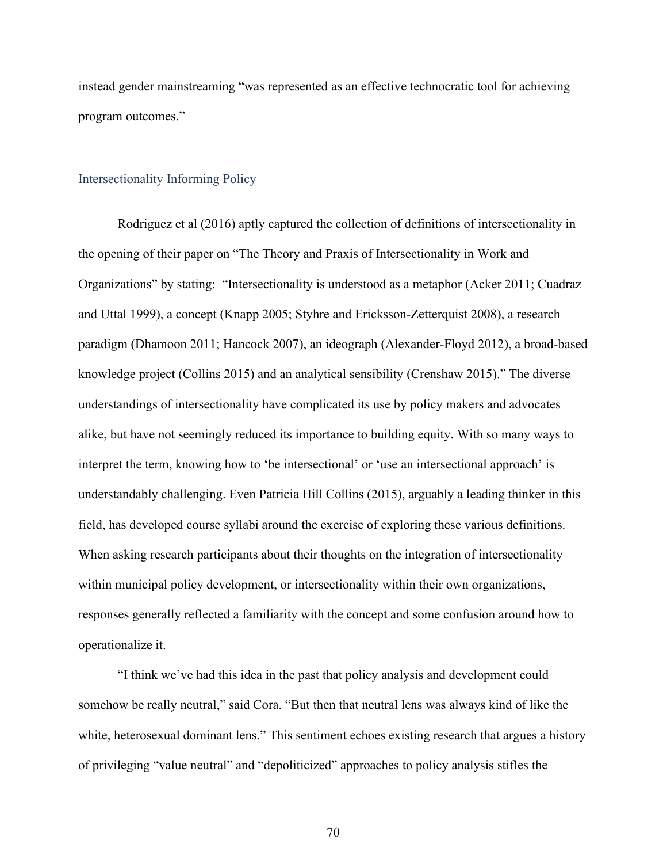instead gender mainstreaming "was represented as an effective technocratic tool for achieving program outcomes."

## Intersectionality Informing Policy

 Rodriguez et al (2016) aptly captured the collection of definitions of intersectionality in the opening of their paper on "The Theory and Praxis of Intersectionality in Work and Organizations" by stating: "Intersectionality is understood as a metaphor (Acker 2011; Cuadraz and Uttal 1999), a concept (Knapp 2005; Styhre and Ericksson-Zetterquist 2008), a research paradigm (Dhamoon 2011; Hancock 2007), an ideograph (Alexander-Floyd 2012), a broad-based knowledge project (Collins 2015) and an analytical sensibility (Crenshaw 2015)." The diverse understandings of intersectionality have complicated its use by policy makers and advocates alike, but have not seemingly reduced its importance to building equity. With so many ways to interpret the term, knowing how to 'be intersectional' or 'use an intersectional approach' is understandably challenging. Even Patricia Hill Collins (2015), arguably a leading thinker in this field, has developed course syllabi around the exercise of exploring these various definitions. When asking research participants about their thoughts on the integration of intersectionality within municipal policy development, or intersectionality within their own organizations, responses generally reflected a familiarity with the concept and some confusion around how to operationalize it.

"I think we've had this idea in the past that policy analysis and development could somehow be really neutral," said Cora. "But then that neutral lens was always kind of like the white, heterosexual dominant lens." This sentiment echoes existing research that argues a history of privileging "value neutral" and "depoliticized" approaches to policy analysis stifles the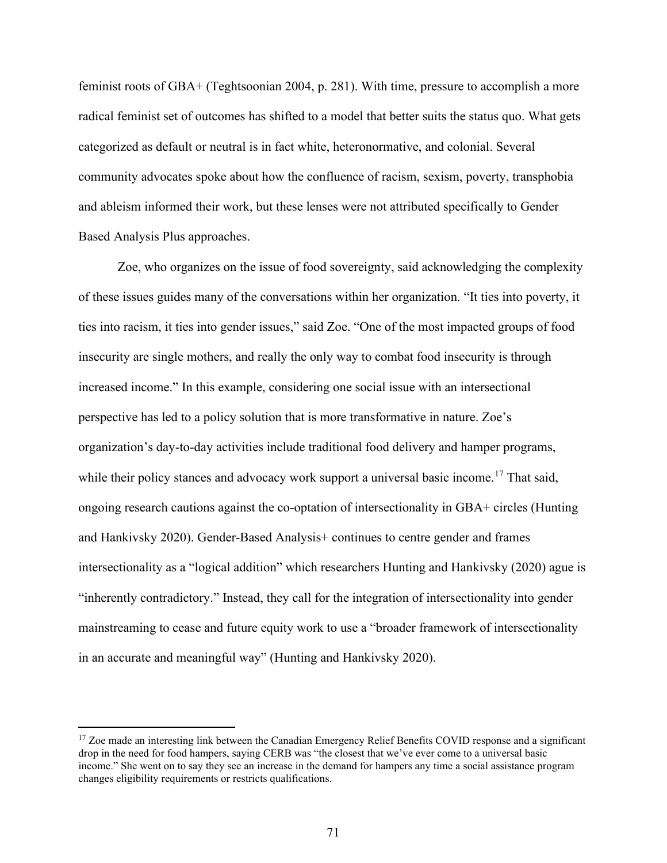feminist roots of GBA+ (Teghtsoonian 2004, p. 281). With time, pressure to accomplish a more radical feminist set of outcomes has shifted to a model that better suits the status quo. What gets categorized as default or neutral is in fact white, heteronormative, and colonial. Several community advocates spoke about how the confluence of racism, sexism, poverty, transphobia and ableism informed their work, but these lenses were not attributed specifically to Gender Based Analysis Plus approaches.

Zoe, who organizes on the issue of food sovereignty, said acknowledging the complexity of these issues guides many of the conversations within her organization. "It ties into poverty, it ties into racism, it ties into gender issues," said Zoe. "One of the most impacted groups of food insecurity are single mothers, and really the only way to combat food insecurity is through increased income." In this example, considering one social issue with an intersectional perspective has led to a policy solution that is more transformative in nature. Zoe's organization's day-to-day activities include traditional food delivery and hamper programs, while their policy stances and advocacy work support a universal basic income.<sup>[17](#page-70-0)</sup> That said, ongoing research cautions against the co-optation of intersectionality in GBA+ circles (Hunting and Hankivsky 2020). Gender-Based Analysis+ continues to centre gender and frames intersectionality as a "logical addition" which researchers Hunting and Hankivsky (2020) ague is "inherently contradictory." Instead, they call for the integration of intersectionality into gender mainstreaming to cease and future equity work to use a "broader framework of intersectionality in an accurate and meaningful way" (Hunting and Hankivsky 2020).

<span id="page-70-0"></span><sup>&</sup>lt;sup>17</sup> Zoe made an interesting link between the Canadian Emergency Relief Benefits COVID response and a significant drop in the need for food hampers, saying CERB was "the closest that we've ever come to a universal basic income." She went on to say they see an increase in the demand for hampers any time a social assistance program changes eligibility requirements or restricts qualifications.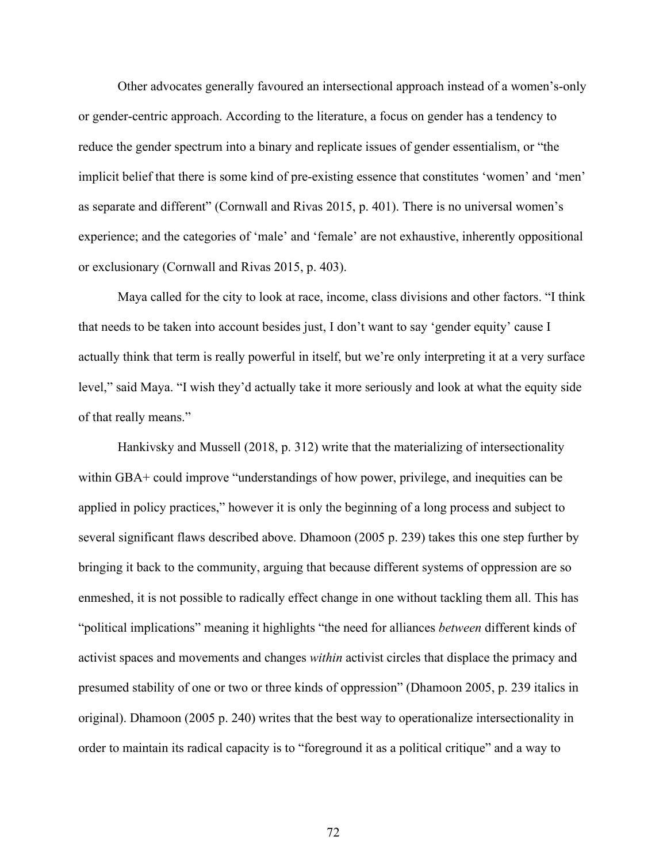Other advocates generally favoured an intersectional approach instead of a women's-only or gender-centric approach. According to the literature, a focus on gender has a tendency to reduce the gender spectrum into a binary and replicate issues of gender essentialism, or "the implicit belief that there is some kind of pre-existing essence that constitutes 'women' and 'men' as separate and different" (Cornwall and Rivas 2015, p. 401). There is no universal women's experience; and the categories of 'male' and 'female' are not exhaustive, inherently oppositional or exclusionary (Cornwall and Rivas 2015, p. 403).

Maya called for the city to look at race, income, class divisions and other factors. "I think that needs to be taken into account besides just, I don't want to say 'gender equity' cause I actually think that term is really powerful in itself, but we're only interpreting it at a very surface level," said Maya. "I wish they'd actually take it more seriously and look at what the equity side of that really means."

 Hankivsky and Mussell (2018, p. 312) write that the materializing of intersectionality within GBA+ could improve "understandings of how power, privilege, and inequities can be applied in policy practices," however it is only the beginning of a long process and subject to several significant flaws described above. Dhamoon (2005 p. 239) takes this one step further by bringing it back to the community, arguing that because different systems of oppression are so enmeshed, it is not possible to radically effect change in one without tackling them all. This has "political implications" meaning it highlights "the need for alliances *between* different kinds of activist spaces and movements and changes *within* activist circles that displace the primacy and presumed stability of one or two or three kinds of oppression" (Dhamoon 2005, p. 239 italics in original). Dhamoon (2005 p. 240) writes that the best way to operationalize intersectionality in order to maintain its radical capacity is to "foreground it as a political critique" and a way to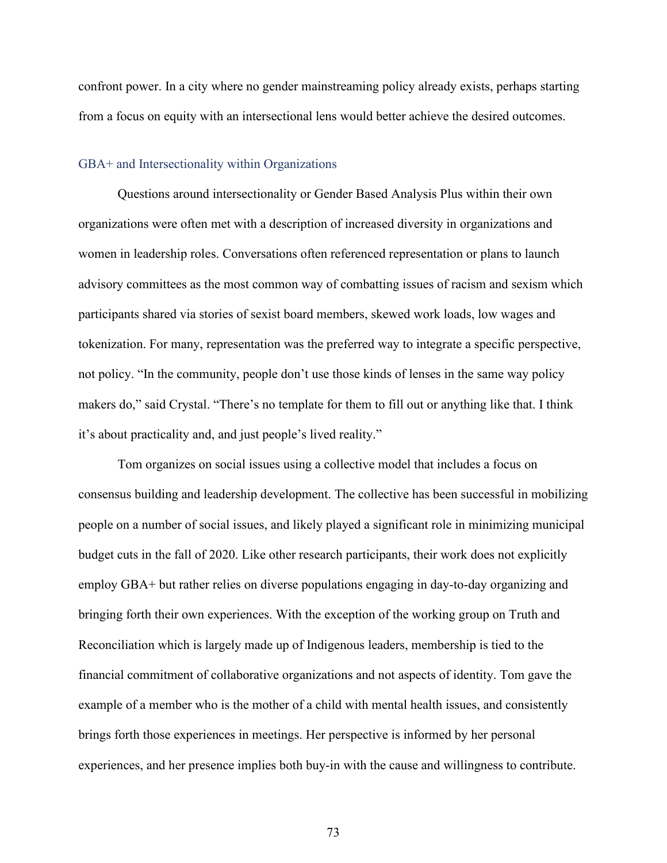confront power. In a city where no gender mainstreaming policy already exists, perhaps starting from a focus on equity with an intersectional lens would better achieve the desired outcomes.

#### GBA+ and Intersectionality within Organizations

 Questions around intersectionality or Gender Based Analysis Plus within their own organizations were often met with a description of increased diversity in organizations and women in leadership roles. Conversations often referenced representation or plans to launch advisory committees as the most common way of combatting issues of racism and sexism which participants shared via stories of sexist board members, skewed work loads, low wages and tokenization. For many, representation was the preferred way to integrate a specific perspective, not policy. "In the community, people don't use those kinds of lenses in the same way policy makers do," said Crystal. "There's no template for them to fill out or anything like that. I think it's about practicality and, and just people's lived reality."

Tom organizes on social issues using a collective model that includes a focus on consensus building and leadership development. The collective has been successful in mobilizing people on a number of social issues, and likely played a significant role in minimizing municipal budget cuts in the fall of 2020. Like other research participants, their work does not explicitly employ GBA+ but rather relies on diverse populations engaging in day-to-day organizing and bringing forth their own experiences. With the exception of the working group on Truth and Reconciliation which is largely made up of Indigenous leaders, membership is tied to the financial commitment of collaborative organizations and not aspects of identity. Tom gave the example of a member who is the mother of a child with mental health issues, and consistently brings forth those experiences in meetings. Her perspective is informed by her personal experiences, and her presence implies both buy-in with the cause and willingness to contribute.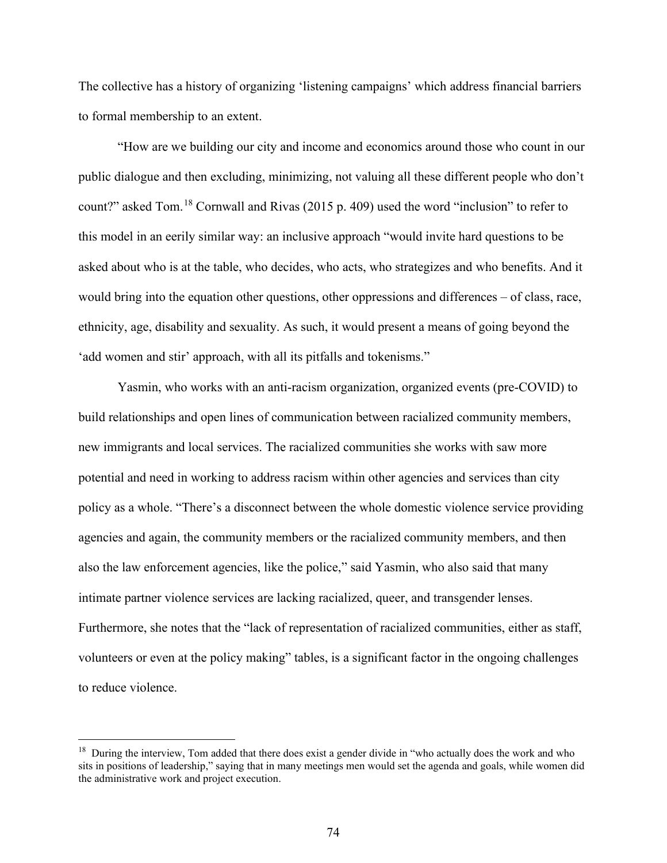The collective has a history of organizing 'listening campaigns' which address financial barriers to formal membership to an extent.

"How are we building our city and income and economics around those who count in our public dialogue and then excluding, minimizing, not valuing all these different people who don't count?" asked Tom.[18](#page-73-0) Cornwall and Rivas (2015 p. 409) used the word "inclusion" to refer to this model in an eerily similar way: an inclusive approach "would invite hard questions to be asked about who is at the table, who decides, who acts, who strategizes and who benefits. And it would bring into the equation other questions, other oppressions and differences – of class, race, ethnicity, age, disability and sexuality. As such, it would present a means of going beyond the 'add women and stir' approach, with all its pitfalls and tokenisms."

 Yasmin, who works with an anti-racism organization, organized events (pre-COVID) to build relationships and open lines of communication between racialized community members, new immigrants and local services. The racialized communities she works with saw more potential and need in working to address racism within other agencies and services than city policy as a whole. "There's a disconnect between the whole domestic violence service providing agencies and again, the community members or the racialized community members, and then also the law enforcement agencies, like the police," said Yasmin, who also said that many intimate partner violence services are lacking racialized, queer, and transgender lenses. Furthermore, she notes that the "lack of representation of racialized communities, either as staff, volunteers or even at the policy making" tables, is a significant factor in the ongoing challenges to reduce violence.

<span id="page-73-0"></span><sup>&</sup>lt;sup>18</sup> During the interview, Tom added that there does exist a gender divide in "who actually does the work and who sits in positions of leadership," saying that in many meetings men would set the agenda and goals, while women did the administrative work and project execution.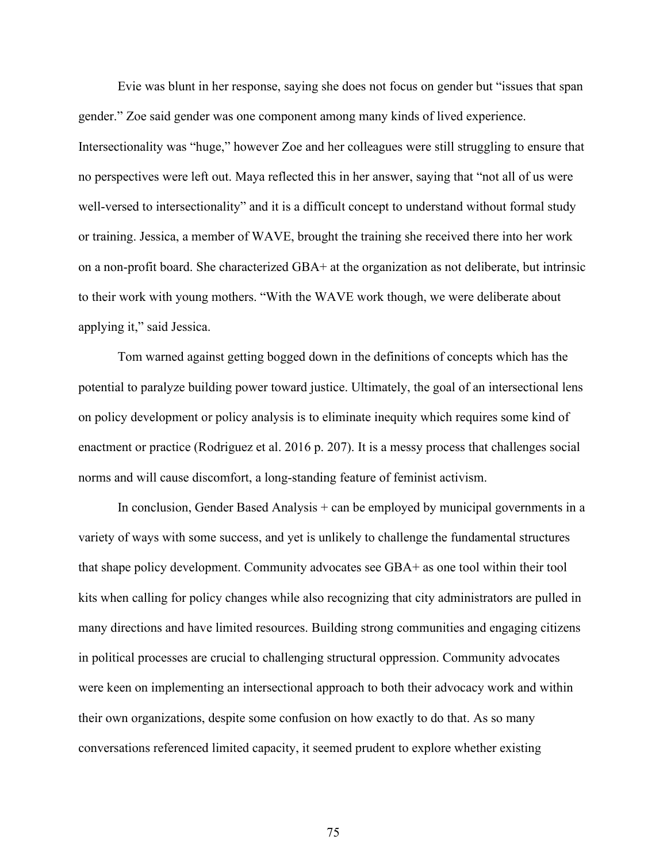Evie was blunt in her response, saying she does not focus on gender but "issues that span gender." Zoe said gender was one component among many kinds of lived experience. Intersectionality was "huge," however Zoe and her colleagues were still struggling to ensure that no perspectives were left out. Maya reflected this in her answer, saying that "not all of us were well-versed to intersectionality" and it is a difficult concept to understand without formal study or training. Jessica, a member of WAVE, brought the training she received there into her work on a non-profit board. She characterized GBA+ at the organization as not deliberate, but intrinsic to their work with young mothers. "With the WAVE work though, we were deliberate about applying it," said Jessica.

Tom warned against getting bogged down in the definitions of concepts which has the potential to paralyze building power toward justice. Ultimately, the goal of an intersectional lens on policy development or policy analysis is to eliminate inequity which requires some kind of enactment or practice (Rodriguez et al. 2016 p. 207). It is a messy process that challenges social norms and will cause discomfort, a long-standing feature of feminist activism.

In conclusion, Gender Based Analysis + can be employed by municipal governments in a variety of ways with some success, and yet is unlikely to challenge the fundamental structures that shape policy development. Community advocates see GBA+ as one tool within their tool kits when calling for policy changes while also recognizing that city administrators are pulled in many directions and have limited resources. Building strong communities and engaging citizens in political processes are crucial to challenging structural oppression. Community advocates were keen on implementing an intersectional approach to both their advocacy work and within their own organizations, despite some confusion on how exactly to do that. As so many conversations referenced limited capacity, it seemed prudent to explore whether existing

75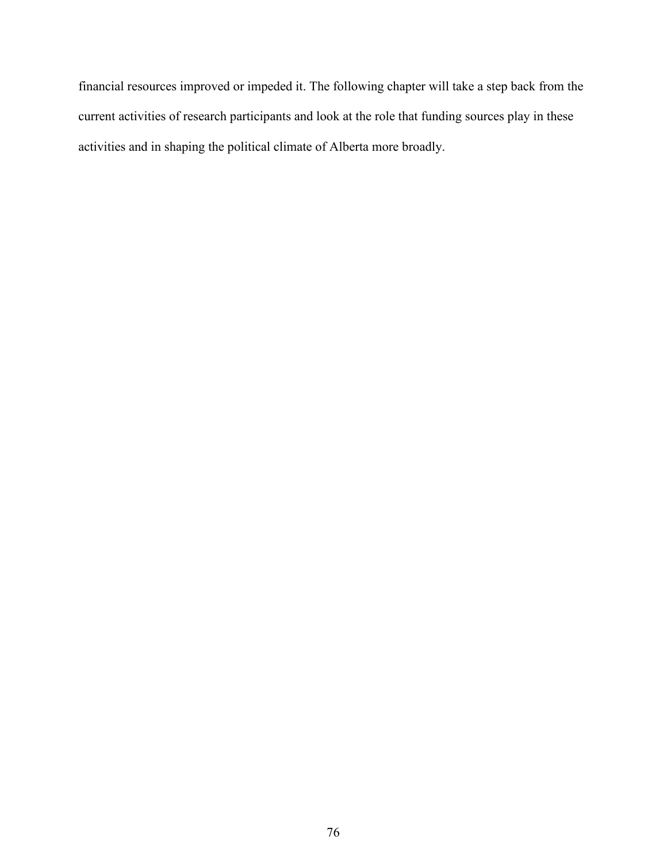financial resources improved or impeded it. The following chapter will take a step back from the current activities of research participants and look at the role that funding sources play in these activities and in shaping the political climate of Alberta more broadly.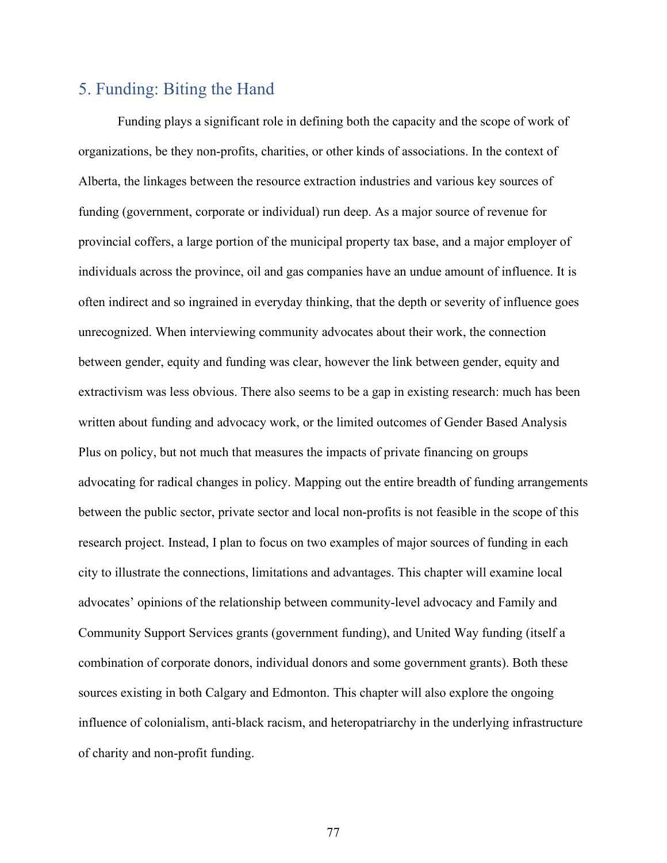# 5. Funding: Biting the Hand

Funding plays a significant role in defining both the capacity and the scope of work of organizations, be they non-profits, charities, or other kinds of associations. In the context of Alberta, the linkages between the resource extraction industries and various key sources of funding (government, corporate or individual) run deep. As a major source of revenue for provincial coffers, a large portion of the municipal property tax base, and a major employer of individuals across the province, oil and gas companies have an undue amount of influence. It is often indirect and so ingrained in everyday thinking, that the depth or severity of influence goes unrecognized. When interviewing community advocates about their work, the connection between gender, equity and funding was clear, however the link between gender, equity and extractivism was less obvious. There also seems to be a gap in existing research: much has been written about funding and advocacy work, or the limited outcomes of Gender Based Analysis Plus on policy, but not much that measures the impacts of private financing on groups advocating for radical changes in policy. Mapping out the entire breadth of funding arrangements between the public sector, private sector and local non-profits is not feasible in the scope of this research project. Instead, I plan to focus on two examples of major sources of funding in each city to illustrate the connections, limitations and advantages. This chapter will examine local advocates' opinions of the relationship between community-level advocacy and Family and Community Support Services grants (government funding), and United Way funding (itself a combination of corporate donors, individual donors and some government grants). Both these sources existing in both Calgary and Edmonton. This chapter will also explore the ongoing influence of colonialism, anti-black racism, and heteropatriarchy in the underlying infrastructure of charity and non-profit funding.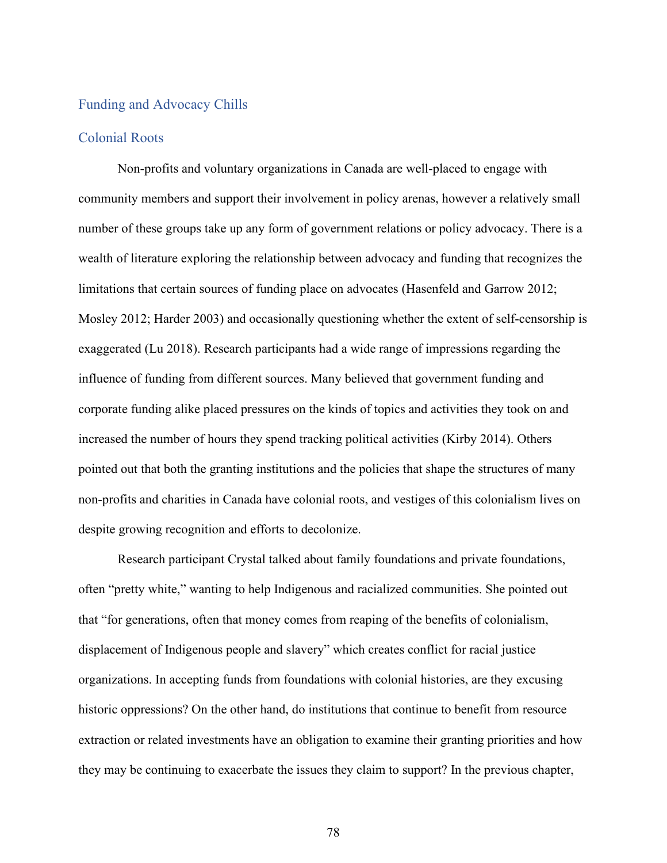## Funding and Advocacy Chills

### Colonial Roots

Non-profits and voluntary organizations in Canada are well-placed to engage with community members and support their involvement in policy arenas, however a relatively small number of these groups take up any form of government relations or policy advocacy. There is a wealth of literature exploring the relationship between advocacy and funding that recognizes the limitations that certain sources of funding place on advocates (Hasenfeld and Garrow 2012; Mosley 2012; Harder 2003) and occasionally questioning whether the extent of self-censorship is exaggerated (Lu 2018). Research participants had a wide range of impressions regarding the influence of funding from different sources. Many believed that government funding and corporate funding alike placed pressures on the kinds of topics and activities they took on and increased the number of hours they spend tracking political activities (Kirby 2014). Others pointed out that both the granting institutions and the policies that shape the structures of many non-profits and charities in Canada have colonial roots, and vestiges of this colonialism lives on despite growing recognition and efforts to decolonize.

Research participant Crystal talked about family foundations and private foundations, often "pretty white," wanting to help Indigenous and racialized communities. She pointed out that "for generations, often that money comes from reaping of the benefits of colonialism, displacement of Indigenous people and slavery" which creates conflict for racial justice organizations. In accepting funds from foundations with colonial histories, are they excusing historic oppressions? On the other hand, do institutions that continue to benefit from resource extraction or related investments have an obligation to examine their granting priorities and how they may be continuing to exacerbate the issues they claim to support? In the previous chapter,

78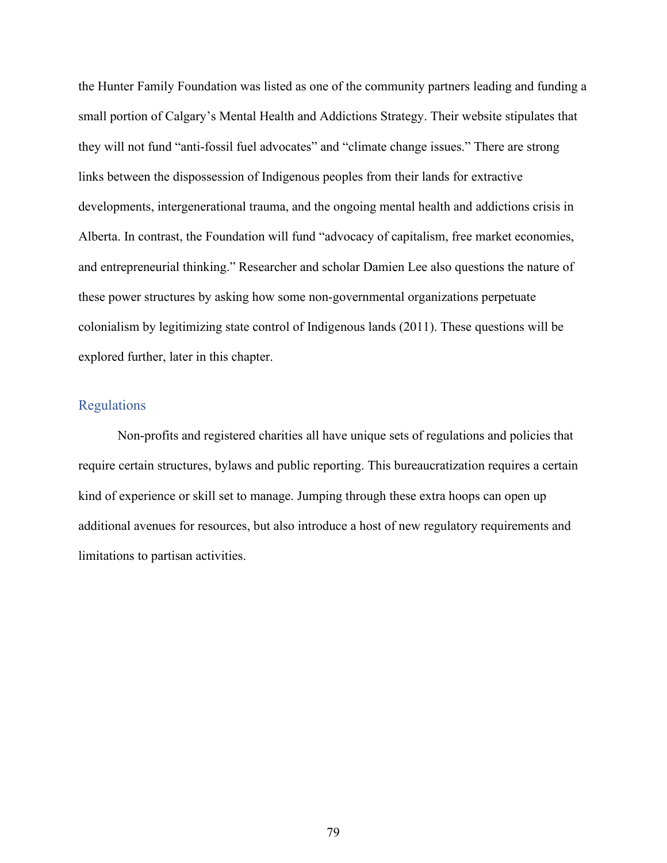the Hunter Family Foundation was listed as one of the community partners leading and funding a small portion of Calgary's Mental Health and Addictions Strategy. Their website stipulates that they will not fund "anti-fossil fuel advocates" and "climate change issues." There are strong links between the dispossession of Indigenous peoples from their lands for extractive developments, intergenerational trauma, and the ongoing mental health and addictions crisis in Alberta. In contrast, the Foundation will fund "advocacy of capitalism, free market economies, and entrepreneurial thinking." Researcher and scholar Damien Lee also questions the nature of these power structures by asking how some non-governmental organizations perpetuate colonialism by legitimizing state control of Indigenous lands (2011). These questions will be explored further, later in this chapter.

## Regulations

Non-profits and registered charities all have unique sets of regulations and policies that require certain structures, bylaws and public reporting. This bureaucratization requires a certain kind of experience or skill set to manage. Jumping through these extra hoops can open up additional avenues for resources, but also introduce a host of new regulatory requirements and limitations to partisan activities.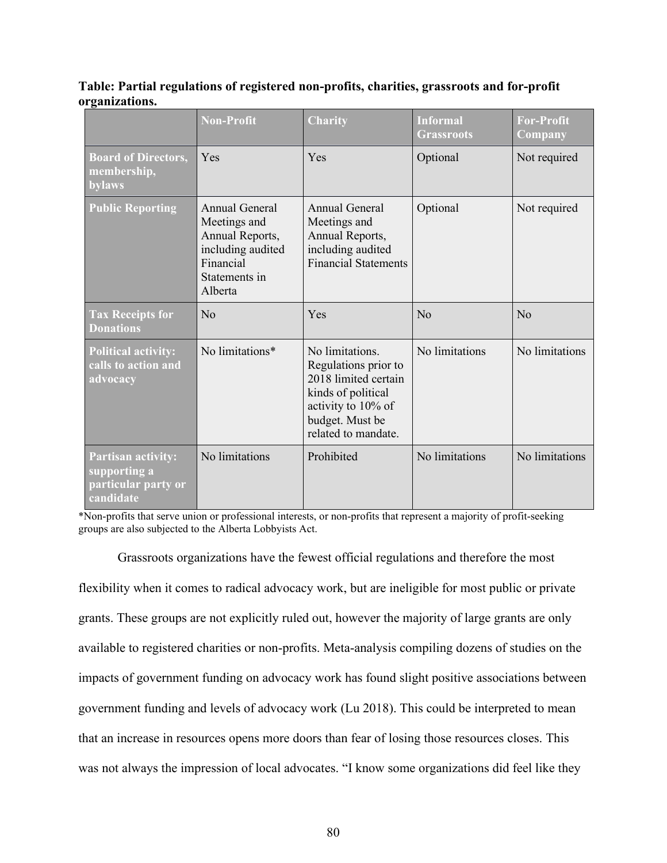**Table: Partial regulations of registered non-profits, charities, grassroots and for-profit organizations.** 

|                                                                               | <b>Non-Profit</b>                                                                                               | <b>Charity</b>                                                                                                                                        | <b>Informal</b><br><b>Grassroots</b> | <b>For-Profit</b><br>Company |
|-------------------------------------------------------------------------------|-----------------------------------------------------------------------------------------------------------------|-------------------------------------------------------------------------------------------------------------------------------------------------------|--------------------------------------|------------------------------|
| <b>Board of Directors,</b><br>membership,<br>bylaws                           | Yes                                                                                                             | Yes                                                                                                                                                   | Optional                             | Not required                 |
| <b>Public Reporting</b>                                                       | Annual General<br>Meetings and<br>Annual Reports,<br>including audited<br>Financial<br>Statements in<br>Alberta | Annual General<br>Meetings and<br>Annual Reports,<br>including audited<br><b>Financial Statements</b>                                                 | Optional                             | Not required                 |
| <b>Tax Receipts for</b><br><b>Donations</b>                                   | $\rm No$                                                                                                        | Yes                                                                                                                                                   | $\rm No$                             | $\rm No$                     |
| <b>Political activity:</b><br>calls to action and<br>advocacy                 | No limitations*                                                                                                 | No limitations.<br>Regulations prior to<br>2018 limited certain<br>kinds of political<br>activity to 10% of<br>budget. Must be<br>related to mandate. | No limitations                       | No limitations               |
| <b>Partisan activity:</b><br>supporting a<br>particular party or<br>candidate | No limitations                                                                                                  | Prohibited                                                                                                                                            | No limitations                       | No limitations               |

\*Non-profits that serve union or professional interests, or non-profits that represent a majority of profit-seeking groups are also subjected to the Alberta Lobbyists Act.

Grassroots organizations have the fewest official regulations and therefore the most flexibility when it comes to radical advocacy work, but are ineligible for most public or private grants. These groups are not explicitly ruled out, however the majority of large grants are only available to registered charities or non-profits. Meta-analysis compiling dozens of studies on the impacts of government funding on advocacy work has found slight positive associations between government funding and levels of advocacy work (Lu 2018). This could be interpreted to mean that an increase in resources opens more doors than fear of losing those resources closes. This was not always the impression of local advocates. "I know some organizations did feel like they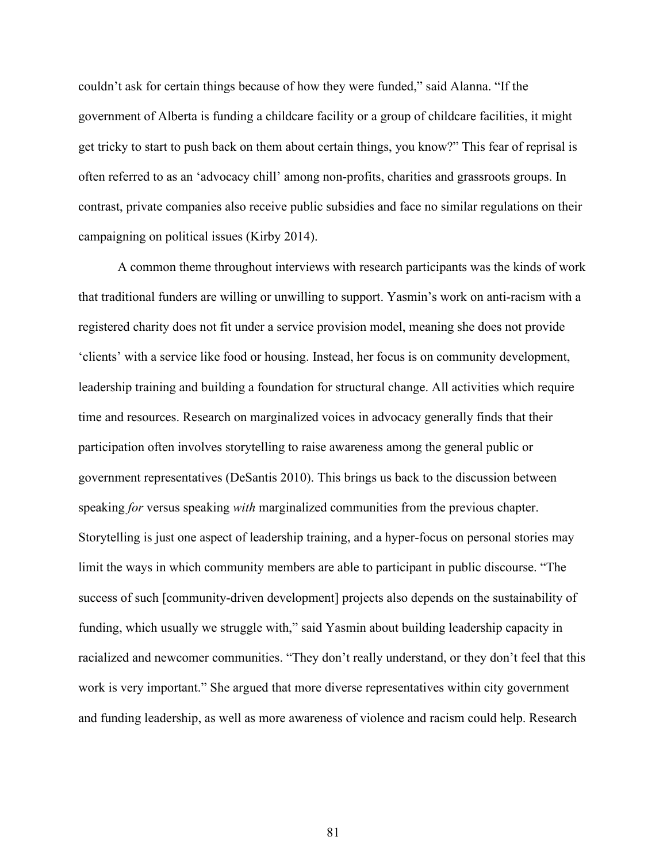couldn't ask for certain things because of how they were funded," said Alanna. "If the government of Alberta is funding a childcare facility or a group of childcare facilities, it might get tricky to start to push back on them about certain things, you know?" This fear of reprisal is often referred to as an 'advocacy chill' among non-profits, charities and grassroots groups. In contrast, private companies also receive public subsidies and face no similar regulations on their campaigning on political issues (Kirby 2014).

A common theme throughout interviews with research participants was the kinds of work that traditional funders are willing or unwilling to support. Yasmin's work on anti-racism with a registered charity does not fit under a service provision model, meaning she does not provide 'clients' with a service like food or housing. Instead, her focus is on community development, leadership training and building a foundation for structural change. All activities which require time and resources. Research on marginalized voices in advocacy generally finds that their participation often involves storytelling to raise awareness among the general public or government representatives (DeSantis 2010). This brings us back to the discussion between speaking *for* versus speaking *with* marginalized communities from the previous chapter. Storytelling is just one aspect of leadership training, and a hyper-focus on personal stories may limit the ways in which community members are able to participant in public discourse. "The success of such [community-driven development] projects also depends on the sustainability of funding, which usually we struggle with," said Yasmin about building leadership capacity in racialized and newcomer communities. "They don't really understand, or they don't feel that this work is very important." She argued that more diverse representatives within city government and funding leadership, as well as more awareness of violence and racism could help. Research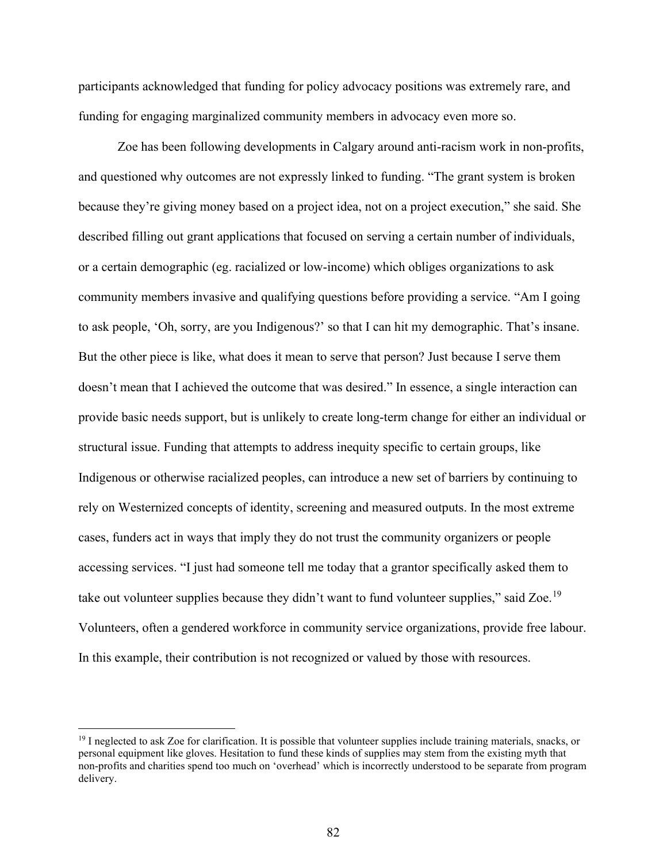participants acknowledged that funding for policy advocacy positions was extremely rare, and funding for engaging marginalized community members in advocacy even more so.

Zoe has been following developments in Calgary around anti-racism work in non-profits, and questioned why outcomes are not expressly linked to funding. "The grant system is broken because they're giving money based on a project idea, not on a project execution," she said. She described filling out grant applications that focused on serving a certain number of individuals, or a certain demographic (eg. racialized or low-income) which obliges organizations to ask community members invasive and qualifying questions before providing a service. "Am I going to ask people, 'Oh, sorry, are you Indigenous?' so that I can hit my demographic. That's insane. But the other piece is like, what does it mean to serve that person? Just because I serve them doesn't mean that I achieved the outcome that was desired." In essence, a single interaction can provide basic needs support, but is unlikely to create long-term change for either an individual or structural issue. Funding that attempts to address inequity specific to certain groups, like Indigenous or otherwise racialized peoples, can introduce a new set of barriers by continuing to rely on Westernized concepts of identity, screening and measured outputs. In the most extreme cases, funders act in ways that imply they do not trust the community organizers or people accessing services. "I just had someone tell me today that a grantor specifically asked them to take out volunteer supplies because they didn't want to fund volunteer supplies," said Zoe.<sup>[19](#page-81-0)</sup> Volunteers, often a gendered workforce in community service organizations, provide free labour. In this example, their contribution is not recognized or valued by those with resources.

<span id="page-81-0"></span> $19$  I neglected to ask Zoe for clarification. It is possible that volunteer supplies include training materials, snacks, or personal equipment like gloves. Hesitation to fund these kinds of supplies may stem from the existing myth that non-profits and charities spend too much on 'overhead' which is incorrectly understood to be separate from program delivery.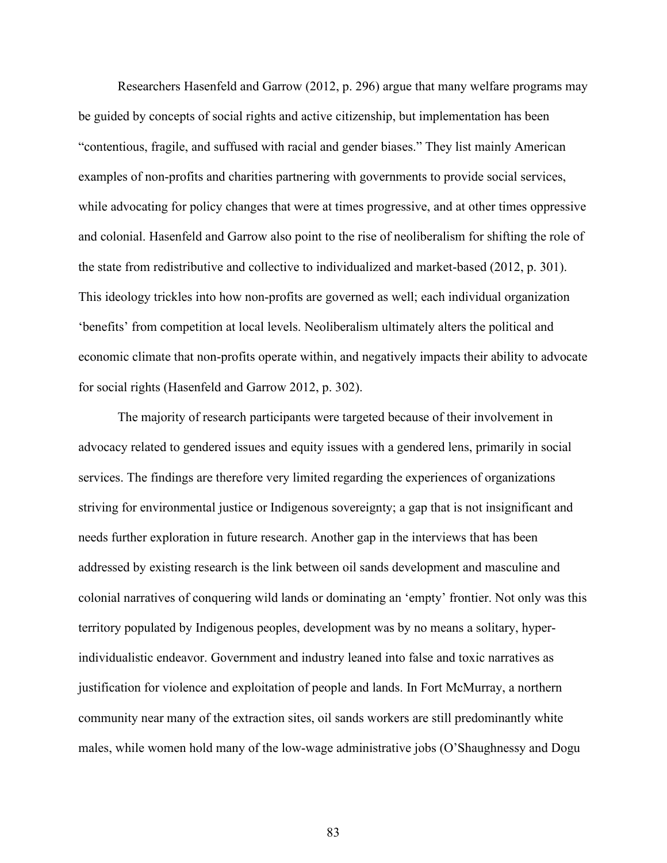Researchers Hasenfeld and Garrow (2012, p. 296) argue that many welfare programs may be guided by concepts of social rights and active citizenship, but implementation has been "contentious, fragile, and suffused with racial and gender biases." They list mainly American examples of non-profits and charities partnering with governments to provide social services, while advocating for policy changes that were at times progressive, and at other times oppressive and colonial. Hasenfeld and Garrow also point to the rise of neoliberalism for shifting the role of the state from redistributive and collective to individualized and market-based (2012, p. 301). This ideology trickles into how non-profits are governed as well; each individual organization 'benefits' from competition at local levels. Neoliberalism ultimately alters the political and economic climate that non-profits operate within, and negatively impacts their ability to advocate for social rights (Hasenfeld and Garrow 2012, p. 302).

The majority of research participants were targeted because of their involvement in advocacy related to gendered issues and equity issues with a gendered lens, primarily in social services. The findings are therefore very limited regarding the experiences of organizations striving for environmental justice or Indigenous sovereignty; a gap that is not insignificant and needs further exploration in future research. Another gap in the interviews that has been addressed by existing research is the link between oil sands development and masculine and colonial narratives of conquering wild lands or dominating an 'empty' frontier. Not only was this territory populated by Indigenous peoples, development was by no means a solitary, hyperindividualistic endeavor. Government and industry leaned into false and toxic narratives as justification for violence and exploitation of people and lands. In Fort McMurray, a northern community near many of the extraction sites, oil sands workers are still predominantly white males, while women hold many of the low-wage administrative jobs (O'Shaughnessy and Dogu

83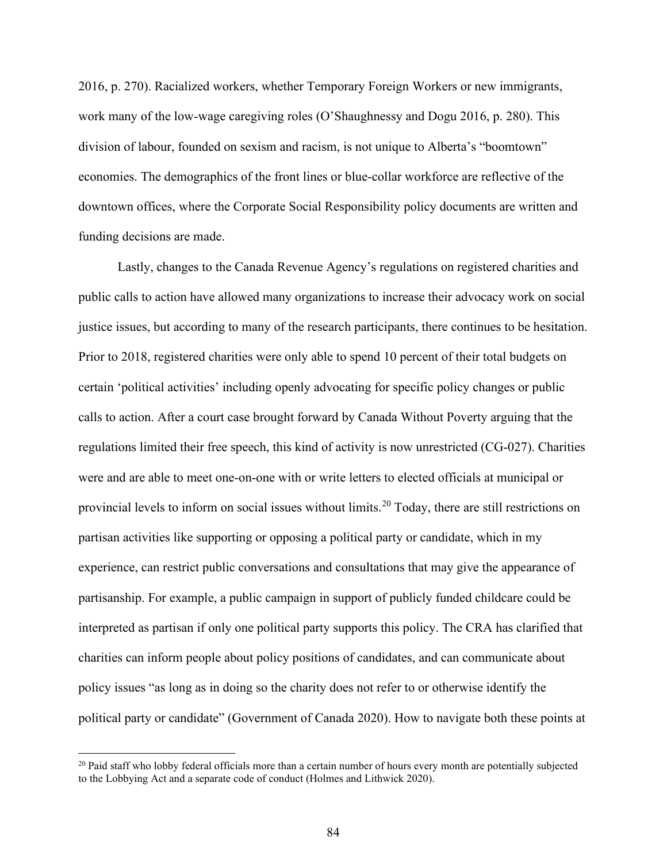2016, p. 270). Racialized workers, whether Temporary Foreign Workers or new immigrants, work many of the low-wage caregiving roles (O'Shaughnessy and Dogu 2016, p. 280). This division of labour, founded on sexism and racism, is not unique to Alberta's "boomtown" economies. The demographics of the front lines or blue-collar workforce are reflective of the downtown offices, where the Corporate Social Responsibility policy documents are written and funding decisions are made.

Lastly, changes to the Canada Revenue Agency's regulations on registered charities and public calls to action have allowed many organizations to increase their advocacy work on social justice issues, but according to many of the research participants, there continues to be hesitation. Prior to 2018, registered charities were only able to spend 10 percent of their total budgets on certain 'political activities' including openly advocating for specific policy changes or public calls to action. After a court case brought forward by Canada Without Poverty arguing that the regulations limited their free speech, this kind of activity is now unrestricted (CG-027). Charities were and are able to meet one-on-one with or write letters to elected officials at municipal or provincial levels to inform on social issues without limits.<sup>[20](#page-83-0)</sup> Today, there are still restrictions on partisan activities like supporting or opposing a political party or candidate, which in my experience, can restrict public conversations and consultations that may give the appearance of partisanship. For example, a public campaign in support of publicly funded childcare could be interpreted as partisan if only one political party supports this policy. The CRA has clarified that charities can inform people about policy positions of candidates, and can communicate about policy issues "as long as in doing so the charity does not refer to or otherwise identify the political party or candidate" (Government of Canada 2020). How to navigate both these points at

<span id="page-83-0"></span><sup>&</sup>lt;sup>20</sup> Paid staff who lobby federal officials more than a certain number of hours every month are potentially subjected to the Lobbying Act and a separate code of conduct (Holmes and Lithwick 2020).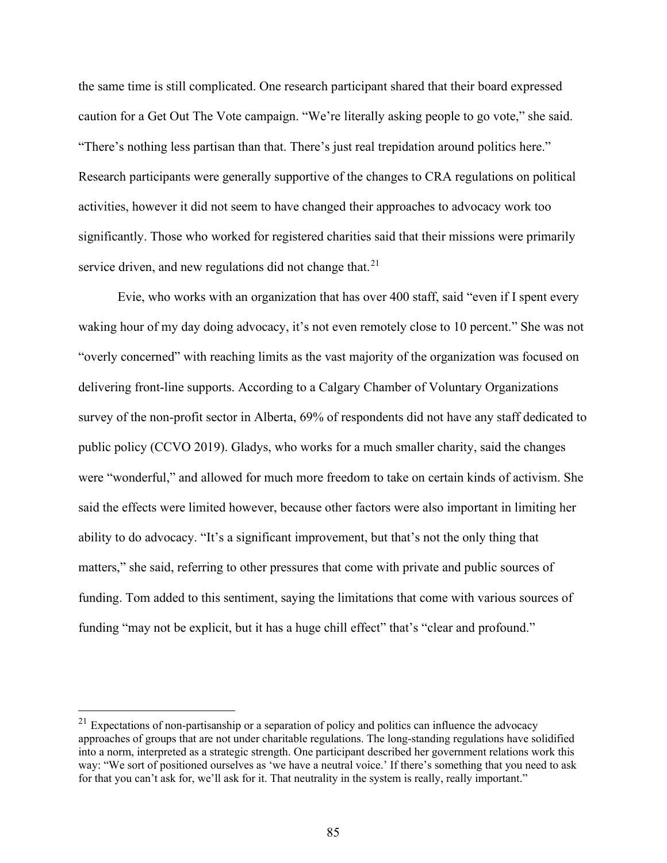the same time is still complicated. One research participant shared that their board expressed caution for a Get Out The Vote campaign. "We're literally asking people to go vote," she said. "There's nothing less partisan than that. There's just real trepidation around politics here." Research participants were generally supportive of the changes to CRA regulations on political activities, however it did not seem to have changed their approaches to advocacy work too significantly. Those who worked for registered charities said that their missions were primarily service driven, and new regulations did not change that. $21$ 

Evie, who works with an organization that has over 400 staff, said "even if I spent every waking hour of my day doing advocacy, it's not even remotely close to 10 percent." She was not "overly concerned" with reaching limits as the vast majority of the organization was focused on delivering front-line supports. According to a Calgary Chamber of Voluntary Organizations survey of the non-profit sector in Alberta, 69% of respondents did not have any staff dedicated to public policy (CCVO 2019). Gladys, who works for a much smaller charity, said the changes were "wonderful," and allowed for much more freedom to take on certain kinds of activism. She said the effects were limited however, because other factors were also important in limiting her ability to do advocacy. "It's a significant improvement, but that's not the only thing that matters," she said, referring to other pressures that come with private and public sources of funding. Tom added to this sentiment, saying the limitations that come with various sources of funding "may not be explicit, but it has a huge chill effect" that's "clear and profound."

<span id="page-84-0"></span> $21$  Expectations of non-partisanship or a separation of policy and politics can influence the advocacy approaches of groups that are not under charitable regulations. The long-standing regulations have solidified into a norm, interpreted as a strategic strength. One participant described her government relations work this way: "We sort of positioned ourselves as 'we have a neutral voice.' If there's something that you need to ask for that you can't ask for, we'll ask for it. That neutrality in the system is really, really important."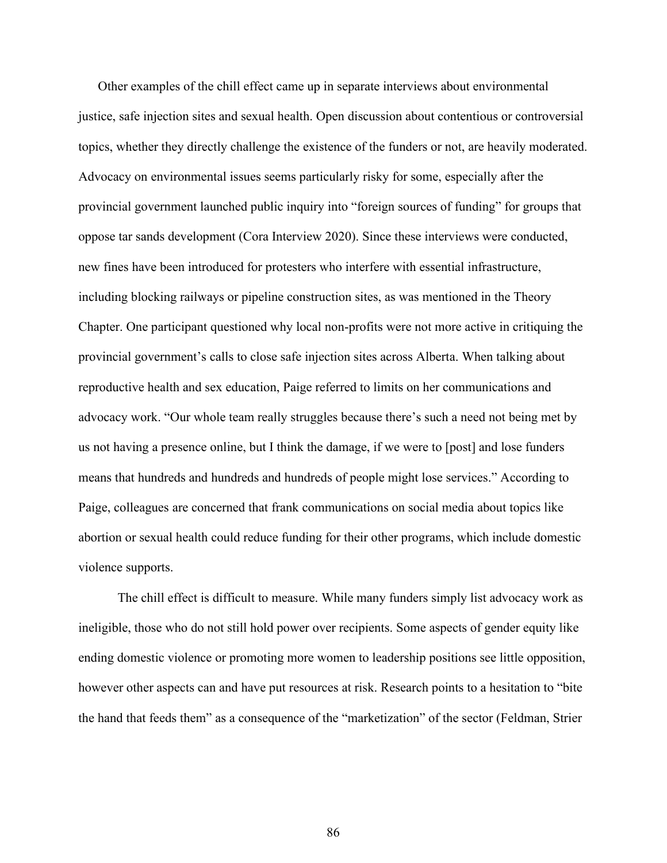Other examples of the chill effect came up in separate interviews about environmental justice, safe injection sites and sexual health. Open discussion about contentious or controversial topics, whether they directly challenge the existence of the funders or not, are heavily moderated. Advocacy on environmental issues seems particularly risky for some, especially after the provincial government launched public inquiry into "foreign sources of funding" for groups that oppose tar sands development (Cora Interview 2020). Since these interviews were conducted, new fines have been introduced for protesters who interfere with essential infrastructure, including blocking railways or pipeline construction sites, as was mentioned in the Theory Chapter. One participant questioned why local non-profits were not more active in critiquing the provincial government's calls to close safe injection sites across Alberta. When talking about reproductive health and sex education, Paige referred to limits on her communications and advocacy work. "Our whole team really struggles because there's such a need not being met by us not having a presence online, but I think the damage, if we were to [post] and lose funders means that hundreds and hundreds and hundreds of people might lose services." According to Paige, colleagues are concerned that frank communications on social media about topics like abortion or sexual health could reduce funding for their other programs, which include domestic violence supports.

The chill effect is difficult to measure. While many funders simply list advocacy work as ineligible, those who do not still hold power over recipients. Some aspects of gender equity like ending domestic violence or promoting more women to leadership positions see little opposition, however other aspects can and have put resources at risk. Research points to a hesitation to "bite the hand that feeds them" as a consequence of the "marketization" of the sector (Feldman, Strier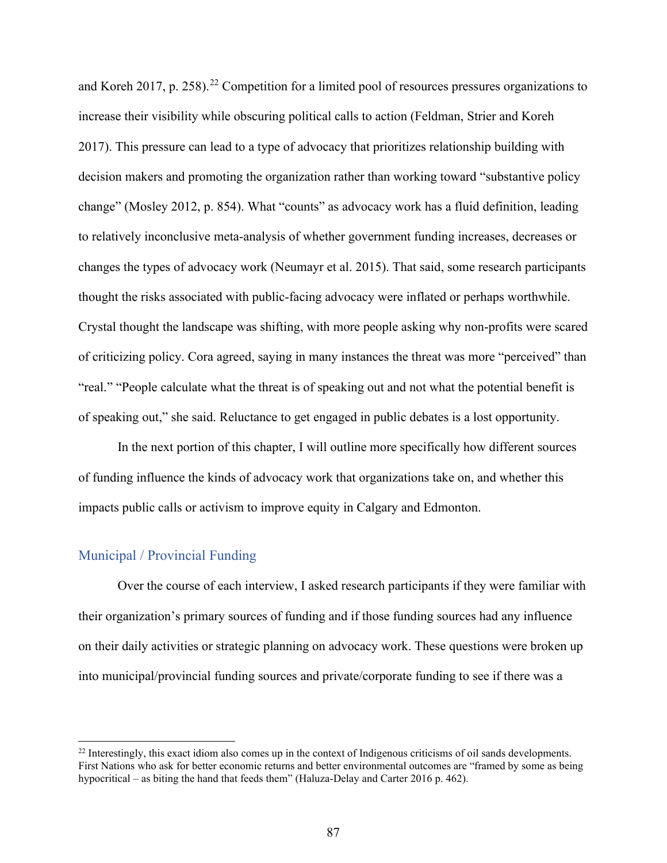and Koreh 2017, p. 258).<sup>[22](#page-86-0)</sup> Competition for a limited pool of resources pressures organizations to increase their visibility while obscuring political calls to action (Feldman, Strier and Koreh 2017). This pressure can lead to a type of advocacy that prioritizes relationship building with decision makers and promoting the organization rather than working toward "substantive policy change" (Mosley 2012, p. 854). What "counts" as advocacy work has a fluid definition, leading to relatively inconclusive meta-analysis of whether government funding increases, decreases or changes the types of advocacy work (Neumayr et al. 2015). That said, some research participants thought the risks associated with public-facing advocacy were inflated or perhaps worthwhile. Crystal thought the landscape was shifting, with more people asking why non-profits were scared of criticizing policy. Cora agreed, saying in many instances the threat was more "perceived" than "real." "People calculate what the threat is of speaking out and not what the potential benefit is of speaking out," she said. Reluctance to get engaged in public debates is a lost opportunity.

In the next portion of this chapter, I will outline more specifically how different sources of funding influence the kinds of advocacy work that organizations take on, and whether this impacts public calls or activism to improve equity in Calgary and Edmonton.

#### Municipal / Provincial Funding

Over the course of each interview, I asked research participants if they were familiar with their organization's primary sources of funding and if those funding sources had any influence on their daily activities or strategic planning on advocacy work. These questions were broken up into municipal/provincial funding sources and private/corporate funding to see if there was a

<span id="page-86-0"></span> $^{22}$  Interestingly, this exact idiom also comes up in the context of Indigenous criticisms of oil sands developments. First Nations who ask for better economic returns and better environmental outcomes are "framed by some as being hypocritical – as biting the hand that feeds them" (Haluza-Delay and Carter 2016 p. 462).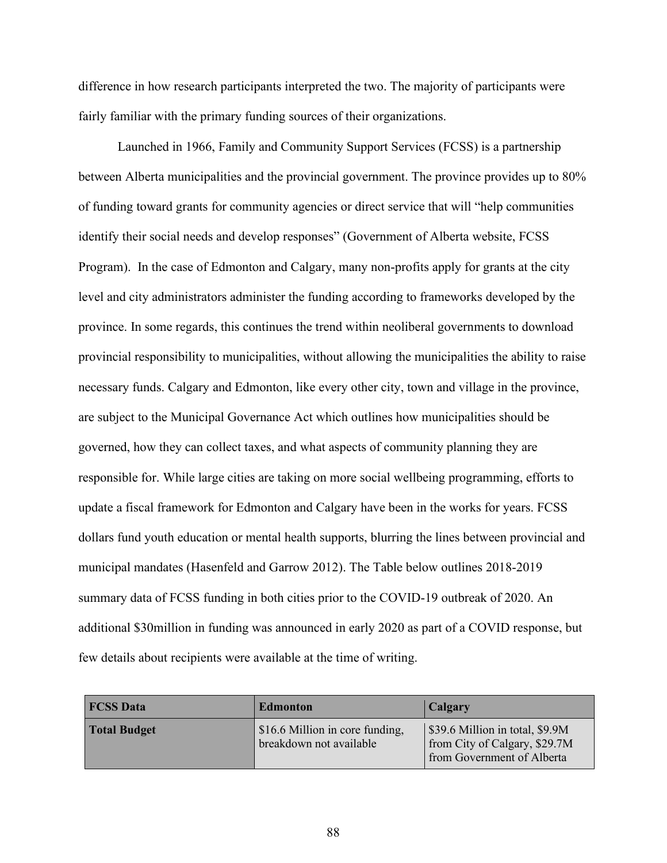difference in how research participants interpreted the two. The majority of participants were fairly familiar with the primary funding sources of their organizations.

Launched in 1966, Family and Community Support Services (FCSS) is a partnership between Alberta municipalities and the provincial government. The province provides up to 80% of funding toward grants for community agencies or direct service that will "help communities identify their social needs and develop responses" (Government of Alberta website, FCSS Program). In the case of Edmonton and Calgary, many non-profits apply for grants at the city level and city administrators administer the funding according to frameworks developed by the province. In some regards, this continues the trend within neoliberal governments to download provincial responsibility to municipalities, without allowing the municipalities the ability to raise necessary funds. Calgary and Edmonton, like every other city, town and village in the province, are subject to the Municipal Governance Act which outlines how municipalities should be governed, how they can collect taxes, and what aspects of community planning they are responsible for. While large cities are taking on more social wellbeing programming, efforts to update a fiscal framework for Edmonton and Calgary have been in the works for years. FCSS dollars fund youth education or mental health supports, blurring the lines between provincial and municipal mandates (Hasenfeld and Garrow 2012). The Table below outlines 2018-2019 summary data of FCSS funding in both cities prior to the COVID-19 outbreak of 2020. An additional \$30million in funding was announced in early 2020 as part of a COVID response, but few details about recipients were available at the time of writing.

| <b>FCSS Data</b>    | Edmonton                                                   | Calgary                                                                                        |
|---------------------|------------------------------------------------------------|------------------------------------------------------------------------------------------------|
| <b>Total Budget</b> | \$16.6 Million in core funding,<br>breakdown not available | \$39.6 Million in total, \$9.9M<br>from City of Calgary, \$29.7M<br>from Government of Alberta |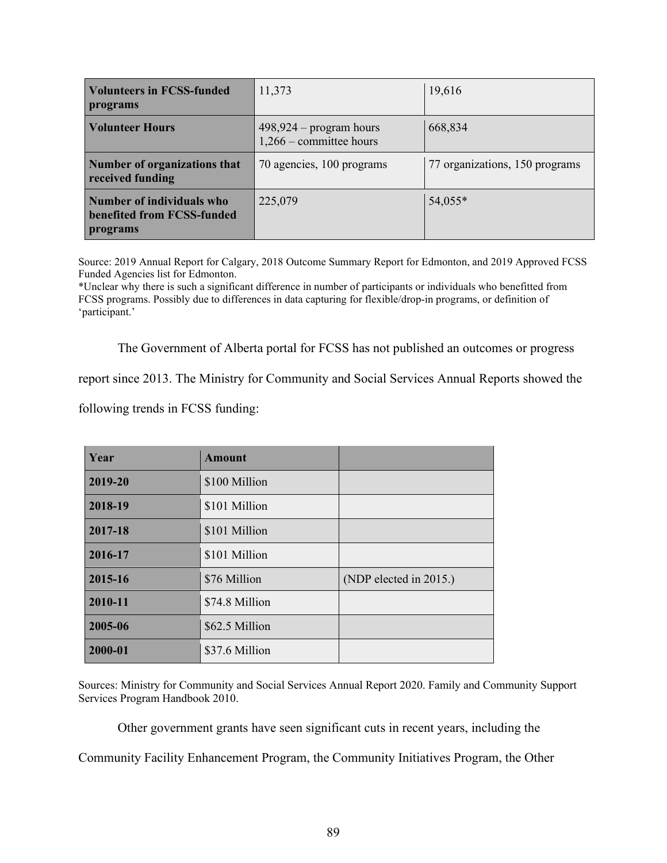| <b>Volunteers in FCSS-funded</b><br>programs                        | 11,373                                                 | 19,616                         |
|---------------------------------------------------------------------|--------------------------------------------------------|--------------------------------|
| <b>Volunteer Hours</b>                                              | $498,924$ – program hours<br>$1,266$ – committee hours | 668,834                        |
| Number of organizations that<br>received funding                    | 70 agencies, 100 programs                              | 77 organizations, 150 programs |
| Number of individuals who<br>benefited from FCSS-funded<br>programs | 225,079                                                | 54,055*                        |

Source: 2019 Annual Report for Calgary, 2018 Outcome Summary Report for Edmonton, and 2019 Approved FCSS Funded Agencies list for Edmonton.

\*Unclear why there is such a significant difference in number of participants or individuals who benefitted from FCSS programs. Possibly due to differences in data capturing for flexible/drop-in programs, or definition of 'participant.'

The Government of Alberta portal for FCSS has not published an outcomes or progress

report since 2013. The Ministry for Community and Social Services Annual Reports showed the

following trends in FCSS funding:

| Year    | <b>Amount</b>  |                        |
|---------|----------------|------------------------|
| 2019-20 | \$100 Million  |                        |
| 2018-19 | \$101 Million  |                        |
| 2017-18 | \$101 Million  |                        |
| 2016-17 | \$101 Million  |                        |
| 2015-16 | \$76 Million   | (NDP elected in 2015.) |
| 2010-11 | \$74.8 Million |                        |
| 2005-06 | \$62.5 Million |                        |
| 2000-01 | \$37.6 Million |                        |

Sources: Ministry for Community and Social Services Annual Report 2020. Family and Community Support Services Program Handbook 2010.

Other government grants have seen significant cuts in recent years, including the

Community Facility Enhancement Program, the Community Initiatives Program, the Other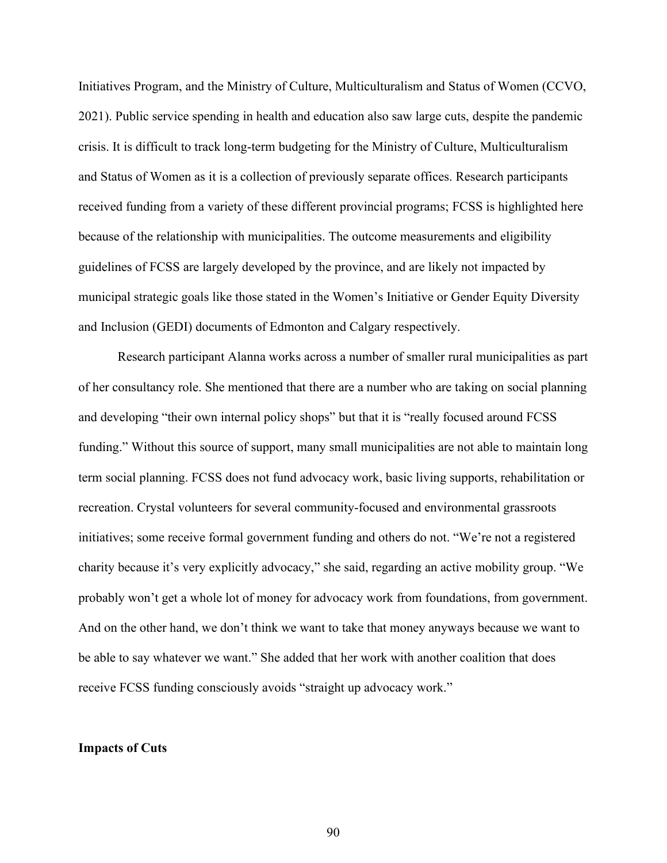Initiatives Program, and the Ministry of Culture, Multiculturalism and Status of Women (CCVO, 2021). Public service spending in health and education also saw large cuts, despite the pandemic crisis. It is difficult to track long-term budgeting for the Ministry of Culture, Multiculturalism and Status of Women as it is a collection of previously separate offices. Research participants received funding from a variety of these different provincial programs; FCSS is highlighted here because of the relationship with municipalities. The outcome measurements and eligibility guidelines of FCSS are largely developed by the province, and are likely not impacted by municipal strategic goals like those stated in the Women's Initiative or Gender Equity Diversity and Inclusion (GEDI) documents of Edmonton and Calgary respectively.

Research participant Alanna works across a number of smaller rural municipalities as part of her consultancy role. She mentioned that there are a number who are taking on social planning and developing "their own internal policy shops" but that it is "really focused around FCSS funding." Without this source of support, many small municipalities are not able to maintain long term social planning. FCSS does not fund advocacy work, basic living supports, rehabilitation or recreation. Crystal volunteers for several community-focused and environmental grassroots initiatives; some receive formal government funding and others do not. "We're not a registered charity because it's very explicitly advocacy," she said, regarding an active mobility group. "We probably won't get a whole lot of money for advocacy work from foundations, from government. And on the other hand, we don't think we want to take that money anyways because we want to be able to say whatever we want." She added that her work with another coalition that does receive FCSS funding consciously avoids "straight up advocacy work."

#### **Impacts of Cuts**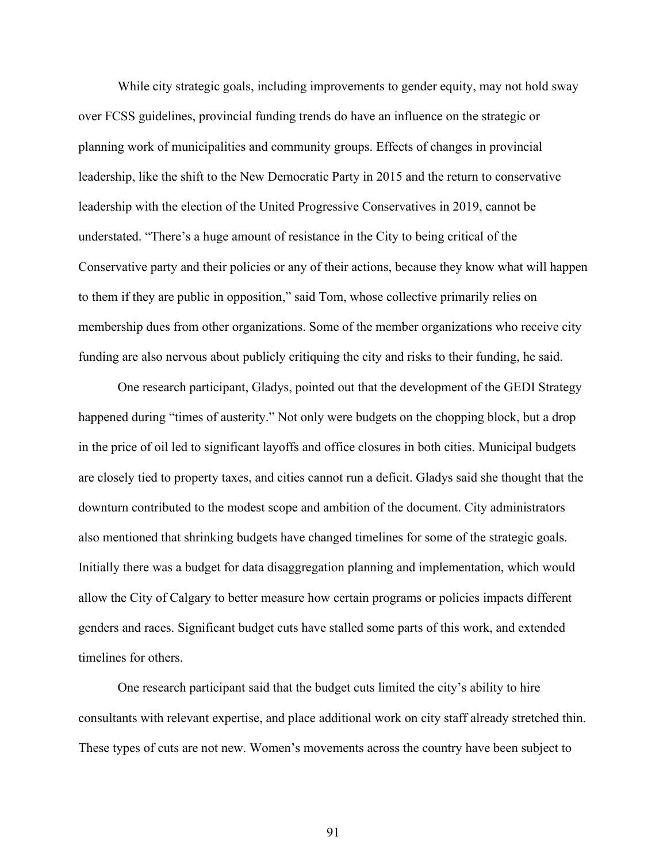While city strategic goals, including improvements to gender equity, may not hold sway over FCSS guidelines, provincial funding trends do have an influence on the strategic or planning work of municipalities and community groups. Effects of changes in provincial leadership, like the shift to the New Democratic Party in 2015 and the return to conservative leadership with the election of the United Progressive Conservatives in 2019, cannot be understated. "There's a huge amount of resistance in the City to being critical of the Conservative party and their policies or any of their actions, because they know what will happen to them if they are public in opposition," said Tom, whose collective primarily relies on membership dues from other organizations. Some of the member organizations who receive city funding are also nervous about publicly critiquing the city and risks to their funding, he said.

One research participant, Gladys, pointed out that the development of the GEDI Strategy happened during "times of austerity." Not only were budgets on the chopping block, but a drop in the price of oil led to significant layoffs and office closures in both cities. Municipal budgets are closely tied to property taxes, and cities cannot run a deficit. Gladys said she thought that the downturn contributed to the modest scope and ambition of the document. City administrators also mentioned that shrinking budgets have changed timelines for some of the strategic goals. Initially there was a budget for data disaggregation planning and implementation, which would allow the City of Calgary to better measure how certain programs or policies impacts different genders and races. Significant budget cuts have stalled some parts of this work, and extended timelines for others.

One research participant said that the budget cuts limited the city's ability to hire consultants with relevant expertise, and place additional work on city staff already stretched thin. These types of cuts are not new. Women's movements across the country have been subject to

91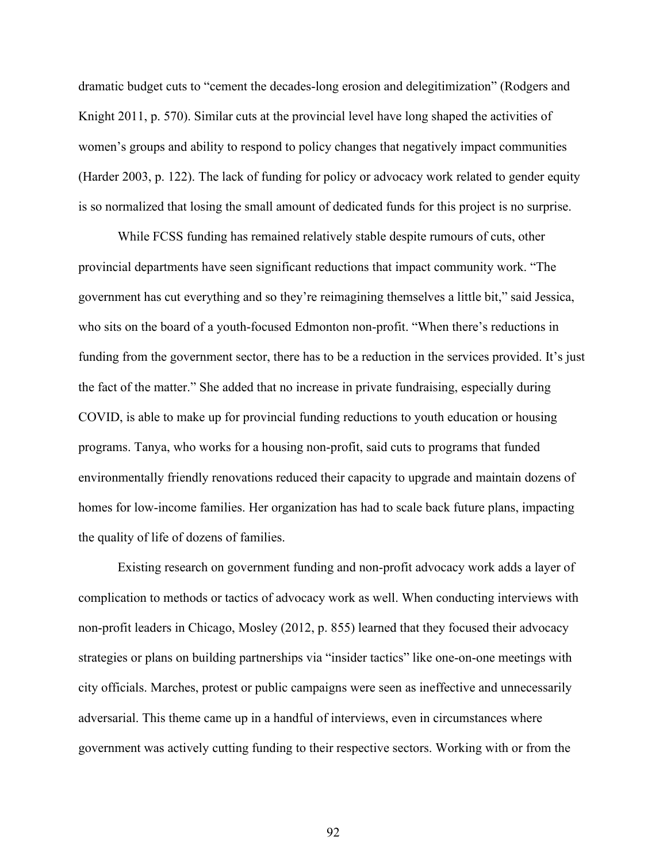dramatic budget cuts to "cement the decades-long erosion and delegitimization" (Rodgers and Knight 2011, p. 570). Similar cuts at the provincial level have long shaped the activities of women's groups and ability to respond to policy changes that negatively impact communities (Harder 2003, p. 122). The lack of funding for policy or advocacy work related to gender equity is so normalized that losing the small amount of dedicated funds for this project is no surprise.

While FCSS funding has remained relatively stable despite rumours of cuts, other provincial departments have seen significant reductions that impact community work. "The government has cut everything and so they're reimagining themselves a little bit," said Jessica, who sits on the board of a youth-focused Edmonton non-profit. "When there's reductions in funding from the government sector, there has to be a reduction in the services provided. It's just the fact of the matter." She added that no increase in private fundraising, especially during COVID, is able to make up for provincial funding reductions to youth education or housing programs. Tanya, who works for a housing non-profit, said cuts to programs that funded environmentally friendly renovations reduced their capacity to upgrade and maintain dozens of homes for low-income families. Her organization has had to scale back future plans, impacting the quality of life of dozens of families.

Existing research on government funding and non-profit advocacy work adds a layer of complication to methods or tactics of advocacy work as well. When conducting interviews with non-profit leaders in Chicago, Mosley (2012, p. 855) learned that they focused their advocacy strategies or plans on building partnerships via "insider tactics" like one-on-one meetings with city officials. Marches, protest or public campaigns were seen as ineffective and unnecessarily adversarial. This theme came up in a handful of interviews, even in circumstances where government was actively cutting funding to their respective sectors. Working with or from the

92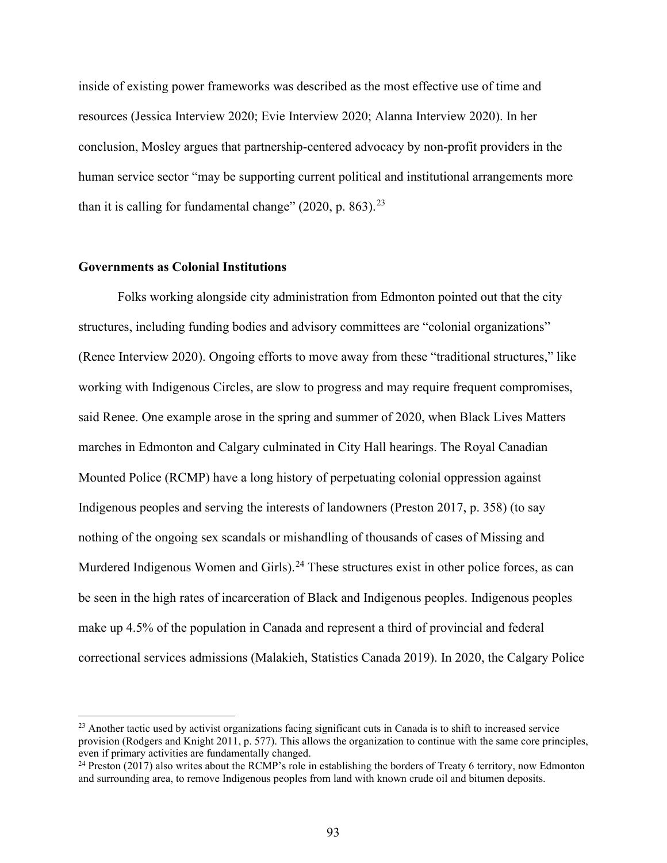inside of existing power frameworks was described as the most effective use of time and resources (Jessica Interview 2020; Evie Interview 2020; Alanna Interview 2020). In her conclusion, Mosley argues that partnership-centered advocacy by non-profit providers in the human service sector "may be supporting current political and institutional arrangements more than it is calling for fundamental change"  $(2020, p. 863).^{23}$  $(2020, p. 863).^{23}$  $(2020, p. 863).^{23}$ 

#### **Governments as Colonial Institutions**

Folks working alongside city administration from Edmonton pointed out that the city structures, including funding bodies and advisory committees are "colonial organizations" (Renee Interview 2020). Ongoing efforts to move away from these "traditional structures," like working with Indigenous Circles, are slow to progress and may require frequent compromises, said Renee. One example arose in the spring and summer of 2020, when Black Lives Matters marches in Edmonton and Calgary culminated in City Hall hearings. The Royal Canadian Mounted Police (RCMP) have a long history of perpetuating colonial oppression against Indigenous peoples and serving the interests of landowners (Preston 2017, p. 358) (to say nothing of the ongoing sex scandals or mishandling of thousands of cases of Missing and Murdered Indigenous Women and Girls).<sup>[24](#page-92-1)</sup> These structures exist in other police forces, as can be seen in the high rates of incarceration of Black and Indigenous peoples. Indigenous peoples make up 4.5% of the population in Canada and represent a third of provincial and federal correctional services admissions (Malakieh, Statistics Canada 2019). In 2020, the Calgary Police

<span id="page-92-0"></span> $23$  Another tactic used by activist organizations facing significant cuts in Canada is to shift to increased service provision (Rodgers and Knight 2011, p. 577). This allows the organization to continue with the same core principles, even if primary activities are fundamentally changed.

<span id="page-92-1"></span><sup>&</sup>lt;sup>24</sup> Preston (2017) also writes about the RCMP's role in establishing the borders of Treaty 6 territory, now Edmonton and surrounding area, to remove Indigenous peoples from land with known crude oil and bitumen deposits.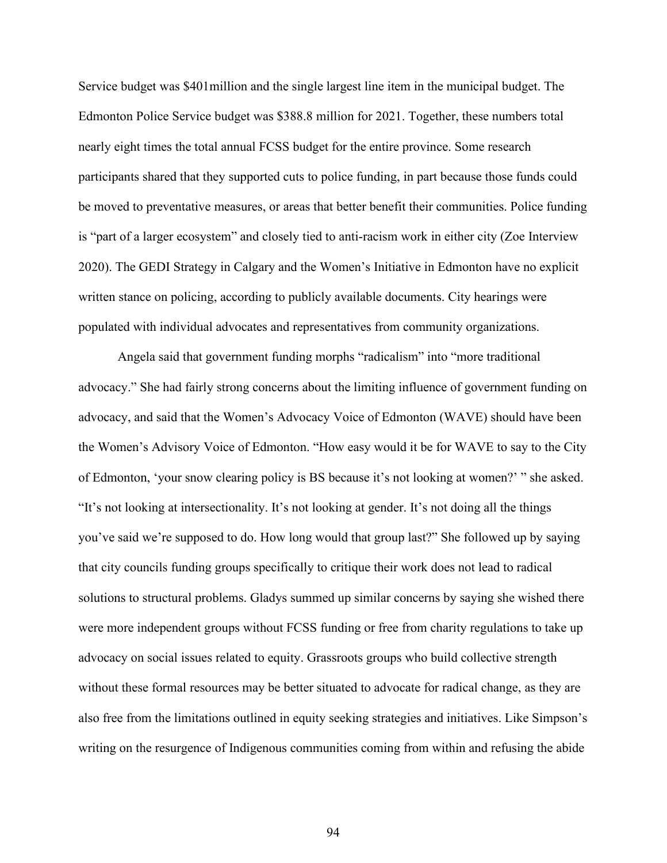Service budget was \$401million and the single largest line item in the municipal budget. The Edmonton Police Service budget was \$388.8 million for 2021. Together, these numbers total nearly eight times the total annual FCSS budget for the entire province. Some research participants shared that they supported cuts to police funding, in part because those funds could be moved to preventative measures, or areas that better benefit their communities. Police funding is "part of a larger ecosystem" and closely tied to anti-racism work in either city (Zoe Interview 2020). The GEDI Strategy in Calgary and the Women's Initiative in Edmonton have no explicit written stance on policing, according to publicly available documents. City hearings were populated with individual advocates and representatives from community organizations.

Angela said that government funding morphs "radicalism" into "more traditional advocacy." She had fairly strong concerns about the limiting influence of government funding on advocacy, and said that the Women's Advocacy Voice of Edmonton (WAVE) should have been the Women's Advisory Voice of Edmonton. "How easy would it be for WAVE to say to the City of Edmonton, 'your snow clearing policy is BS because it's not looking at women?' " she asked. "It's not looking at intersectionality. It's not looking at gender. It's not doing all the things you've said we're supposed to do. How long would that group last?" She followed up by saying that city councils funding groups specifically to critique their work does not lead to radical solutions to structural problems. Gladys summed up similar concerns by saying she wished there were more independent groups without FCSS funding or free from charity regulations to take up advocacy on social issues related to equity. Grassroots groups who build collective strength without these formal resources may be better situated to advocate for radical change, as they are also free from the limitations outlined in equity seeking strategies and initiatives. Like Simpson's writing on the resurgence of Indigenous communities coming from within and refusing the abide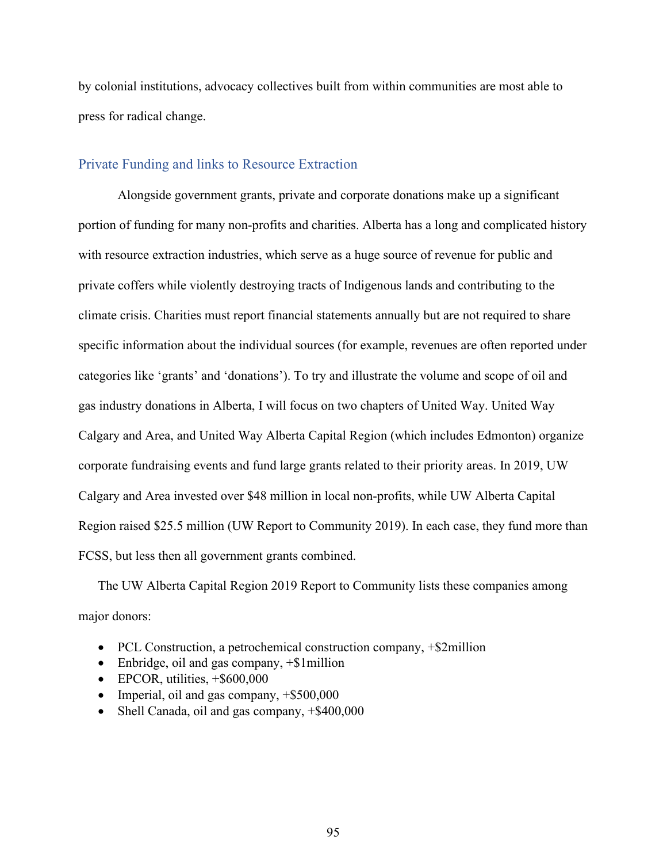by colonial institutions, advocacy collectives built from within communities are most able to press for radical change.

#### Private Funding and links to Resource Extraction

Alongside government grants, private and corporate donations make up a significant portion of funding for many non-profits and charities. Alberta has a long and complicated history with resource extraction industries, which serve as a huge source of revenue for public and private coffers while violently destroying tracts of Indigenous lands and contributing to the climate crisis. Charities must report financial statements annually but are not required to share specific information about the individual sources (for example, revenues are often reported under categories like 'grants' and 'donations'). To try and illustrate the volume and scope of oil and gas industry donations in Alberta, I will focus on two chapters of United Way. United Way Calgary and Area, and United Way Alberta Capital Region (which includes Edmonton) organize corporate fundraising events and fund large grants related to their priority areas. In 2019, UW Calgary and Area invested over \$48 million in local non-profits, while UW Alberta Capital Region raised \$25.5 million (UW Report to Community 2019). In each case, they fund more than FCSS, but less then all government grants combined.

The UW Alberta Capital Region 2019 Report to Community lists these companies among major donors:

- PCL Construction, a petrochemical construction company, +\$2million
- Enbridge, oil and gas company,  $+\$ \$1million
- EPCOR, utilities,  $+$ \$600,000
- Imperial, oil and gas company, +\$500,000
- Shell Canada, oil and gas company,  $+$ \$400,000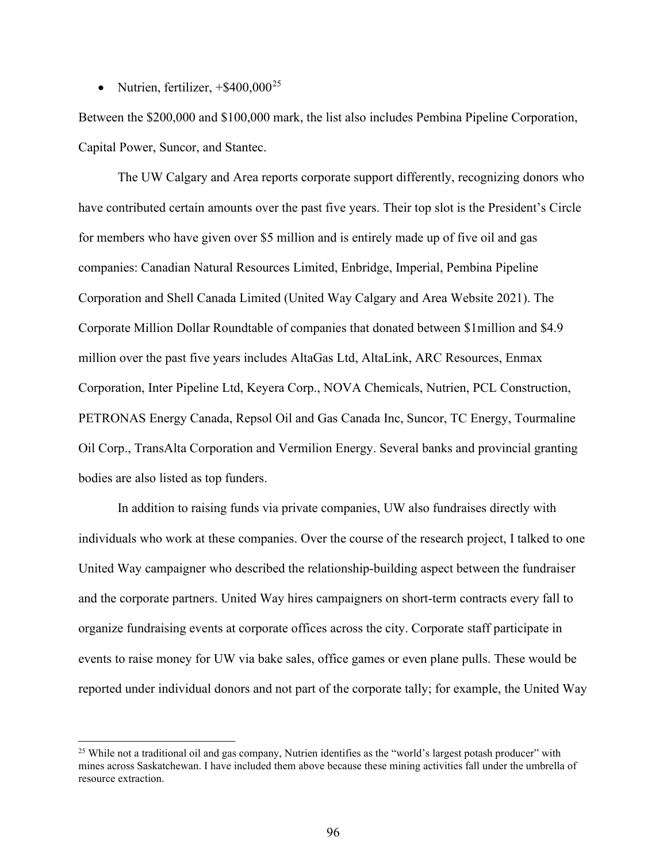• Nutrien, fertilizer,  $+$ \$400,000<sup>[25](#page-95-0)</sup>

Between the \$200,000 and \$100,000 mark, the list also includes Pembina Pipeline Corporation, Capital Power, Suncor, and Stantec.

The UW Calgary and Area reports corporate support differently, recognizing donors who have contributed certain amounts over the past five years. Their top slot is the President's Circle for members who have given over \$5 million and is entirely made up of five oil and gas companies: Canadian Natural Resources Limited, Enbridge, Imperial, Pembina Pipeline Corporation and Shell Canada Limited (United Way Calgary and Area Website 2021). The Corporate Million Dollar Roundtable of companies that donated between \$1million and \$4.9 million over the past five years includes AltaGas Ltd, AltaLink, ARC Resources, Enmax Corporation, Inter Pipeline Ltd, Keyera Corp., NOVA Chemicals, Nutrien, PCL Construction, PETRONAS Energy Canada, Repsol Oil and Gas Canada Inc, Suncor, TC Energy, Tourmaline Oil Corp., TransAlta Corporation and Vermilion Energy. Several banks and provincial granting bodies are also listed as top funders.

In addition to raising funds via private companies, UW also fundraises directly with individuals who work at these companies. Over the course of the research project, I talked to one United Way campaigner who described the relationship-building aspect between the fundraiser and the corporate partners. United Way hires campaigners on short-term contracts every fall to organize fundraising events at corporate offices across the city. Corporate staff participate in events to raise money for UW via bake sales, office games or even plane pulls. These would be reported under individual donors and not part of the corporate tally; for example, the United Way

<span id="page-95-0"></span><sup>&</sup>lt;sup>25</sup> While not a traditional oil and gas company, Nutrien identifies as the "world's largest potash producer" with mines across Saskatchewan. I have included them above because these mining activities fall under the umbrella of resource extraction.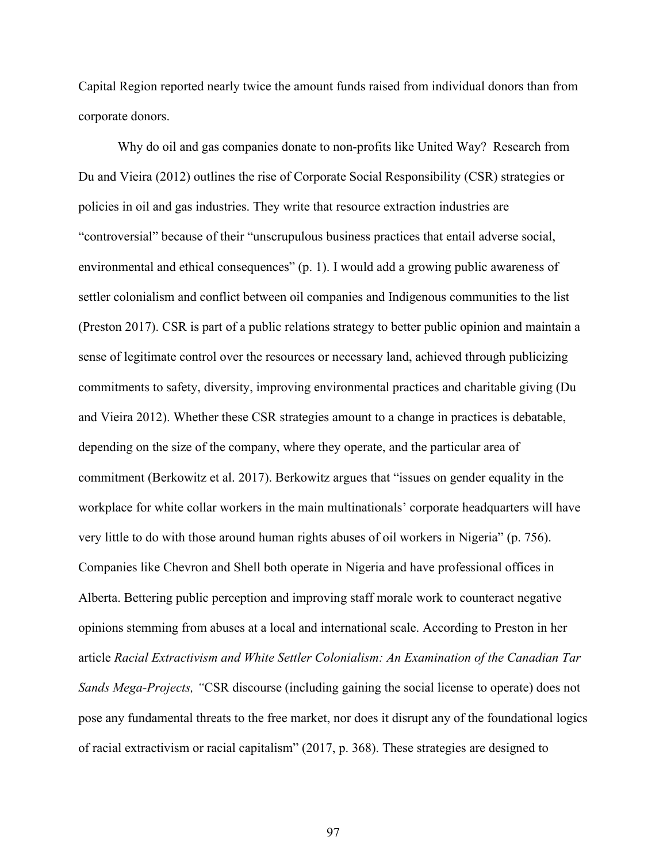Capital Region reported nearly twice the amount funds raised from individual donors than from corporate donors.

Why do oil and gas companies donate to non-profits like United Way? Research from Du and Vieira (2012) outlines the rise of Corporate Social Responsibility (CSR) strategies or policies in oil and gas industries. They write that resource extraction industries are "controversial" because of their "unscrupulous business practices that entail adverse social, environmental and ethical consequences" (p. 1). I would add a growing public awareness of settler colonialism and conflict between oil companies and Indigenous communities to the list (Preston 2017). CSR is part of a public relations strategy to better public opinion and maintain a sense of legitimate control over the resources or necessary land, achieved through publicizing commitments to safety, diversity, improving environmental practices and charitable giving (Du and Vieira 2012). Whether these CSR strategies amount to a change in practices is debatable, depending on the size of the company, where they operate, and the particular area of commitment (Berkowitz et al. 2017). Berkowitz argues that "issues on gender equality in the workplace for white collar workers in the main multinationals' corporate headquarters will have very little to do with those around human rights abuses of oil workers in Nigeria" (p. 756). Companies like Chevron and Shell both operate in Nigeria and have professional offices in Alberta. Bettering public perception and improving staff morale work to counteract negative opinions stemming from abuses at a local and international scale. According to Preston in her article *Racial Extractivism and White Settler Colonialism: An Examination of the Canadian Tar Sands Mega-Projects, "*CSR discourse (including gaining the social license to operate) does not pose any fundamental threats to the free market, nor does it disrupt any of the foundational logics of racial extractivism or racial capitalism" (2017, p. 368). These strategies are designed to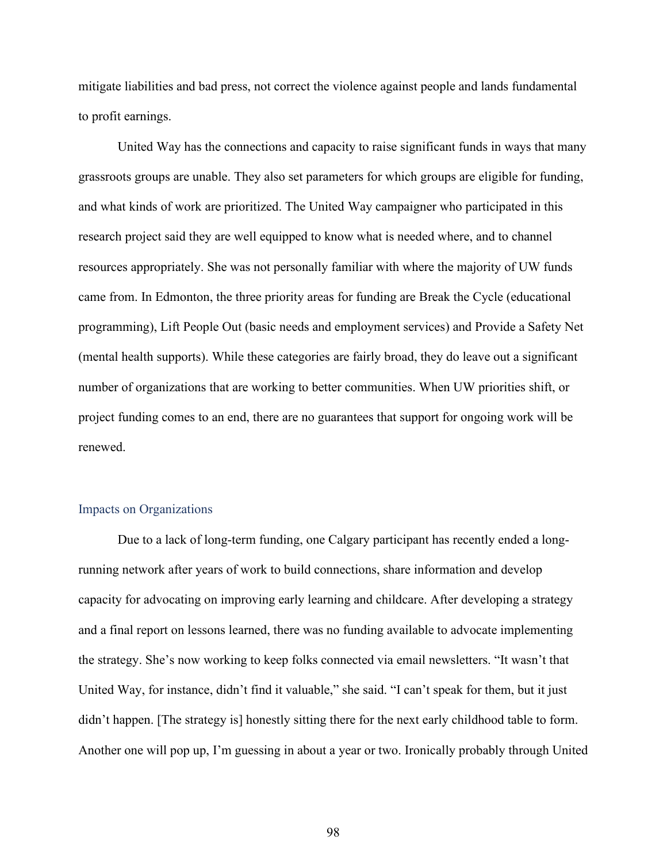mitigate liabilities and bad press, not correct the violence against people and lands fundamental to profit earnings.

United Way has the connections and capacity to raise significant funds in ways that many grassroots groups are unable. They also set parameters for which groups are eligible for funding, and what kinds of work are prioritized. The United Way campaigner who participated in this research project said they are well equipped to know what is needed where, and to channel resources appropriately. She was not personally familiar with where the majority of UW funds came from. In Edmonton, the three priority areas for funding are Break the Cycle (educational programming), Lift People Out (basic needs and employment services) and Provide a Safety Net (mental health supports). While these categories are fairly broad, they do leave out a significant number of organizations that are working to better communities. When UW priorities shift, or project funding comes to an end, there are no guarantees that support for ongoing work will be renewed.

#### Impacts on Organizations

Due to a lack of long-term funding, one Calgary participant has recently ended a longrunning network after years of work to build connections, share information and develop capacity for advocating on improving early learning and childcare. After developing a strategy and a final report on lessons learned, there was no funding available to advocate implementing the strategy. She's now working to keep folks connected via email newsletters. "It wasn't that United Way, for instance, didn't find it valuable," she said. "I can't speak for them, but it just didn't happen. [The strategy is] honestly sitting there for the next early childhood table to form. Another one will pop up, I'm guessing in about a year or two. Ironically probably through United

98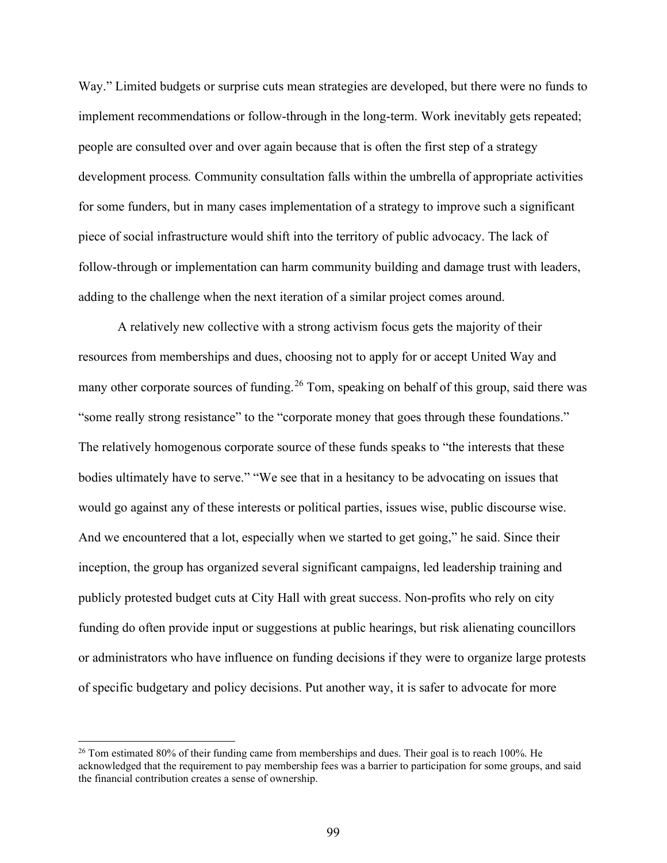Way." Limited budgets or surprise cuts mean strategies are developed, but there were no funds to implement recommendations or follow-through in the long-term. Work inevitably gets repeated; people are consulted over and over again because that is often the first step of a strategy development process*.* Community consultation falls within the umbrella of appropriate activities for some funders, but in many cases implementation of a strategy to improve such a significant piece of social infrastructure would shift into the territory of public advocacy. The lack of follow-through or implementation can harm community building and damage trust with leaders, adding to the challenge when the next iteration of a similar project comes around.

A relatively new collective with a strong activism focus gets the majority of their resources from memberships and dues, choosing not to apply for or accept United Way and many other corporate sources of funding.<sup>[26](#page-98-0)</sup> Tom, speaking on behalf of this group, said there was "some really strong resistance" to the "corporate money that goes through these foundations." The relatively homogenous corporate source of these funds speaks to "the interests that these bodies ultimately have to serve." "We see that in a hesitancy to be advocating on issues that would go against any of these interests or political parties, issues wise, public discourse wise. And we encountered that a lot, especially when we started to get going," he said. Since their inception, the group has organized several significant campaigns, led leadership training and publicly protested budget cuts at City Hall with great success. Non-profits who rely on city funding do often provide input or suggestions at public hearings, but risk alienating councillors or administrators who have influence on funding decisions if they were to organize large protests of specific budgetary and policy decisions. Put another way, it is safer to advocate for more

<span id="page-98-0"></span> $26$  Tom estimated 80% of their funding came from memberships and dues. Their goal is to reach 100%. He acknowledged that the requirement to pay membership fees was a barrier to participation for some groups, and said the financial contribution creates a sense of ownership.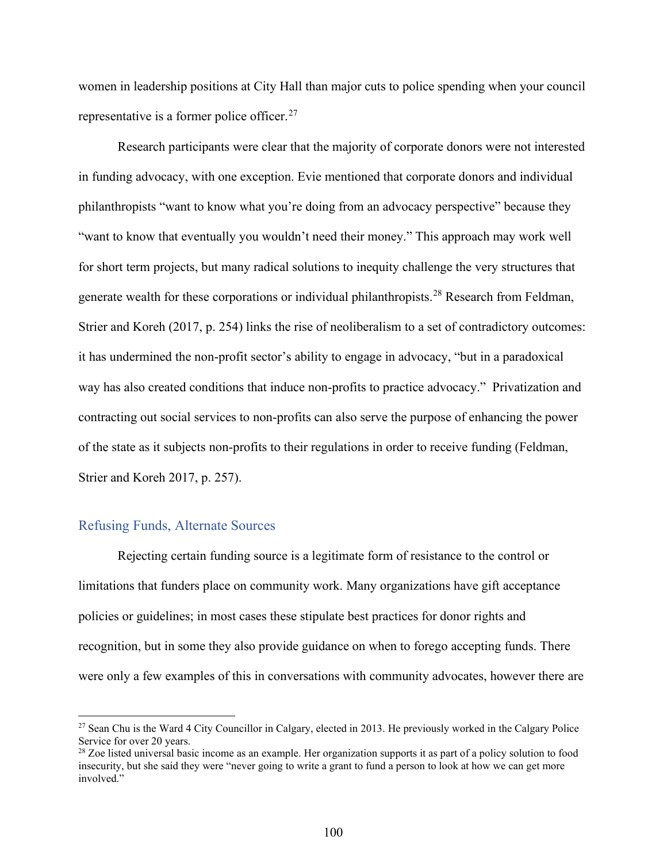women in leadership positions at City Hall than major cuts to police spending when your council representative is a former police officer.<sup>[27](#page-99-0)</sup>

Research participants were clear that the majority of corporate donors were not interested in funding advocacy, with one exception. Evie mentioned that corporate donors and individual philanthropists "want to know what you're doing from an advocacy perspective" because they "want to know that eventually you wouldn't need their money." This approach may work well for short term projects, but many radical solutions to inequity challenge the very structures that generate wealth for these corporations or individual philanthropists.<sup>[28](#page-99-1)</sup> Research from Feldman, Strier and Koreh (2017, p. 254) links the rise of neoliberalism to a set of contradictory outcomes: it has undermined the non-profit sector's ability to engage in advocacy, "but in a paradoxical way has also created conditions that induce non-profits to practice advocacy." Privatization and contracting out social services to non-profits can also serve the purpose of enhancing the power of the state as it subjects non-profits to their regulations in order to receive funding (Feldman, Strier and Koreh 2017, p. 257).

#### Refusing Funds, Alternate Sources

Rejecting certain funding source is a legitimate form of resistance to the control or limitations that funders place on community work. Many organizations have gift acceptance policies or guidelines; in most cases these stipulate best practices for donor rights and recognition, but in some they also provide guidance on when to forego accepting funds. There were only a few examples of this in conversations with community advocates, however there are

<span id="page-99-0"></span><sup>&</sup>lt;sup>27</sup> Sean Chu is the Ward 4 City Councillor in Calgary, elected in 2013. He previously worked in the Calgary Police Service for over 20 years.<br><sup>28</sup> Zoe listed universal basic income as an example. Her organization supports it as part of a policy solution to food

<span id="page-99-1"></span>insecurity, but she said they were "never going to write a grant to fund a person to look at how we can get more involved."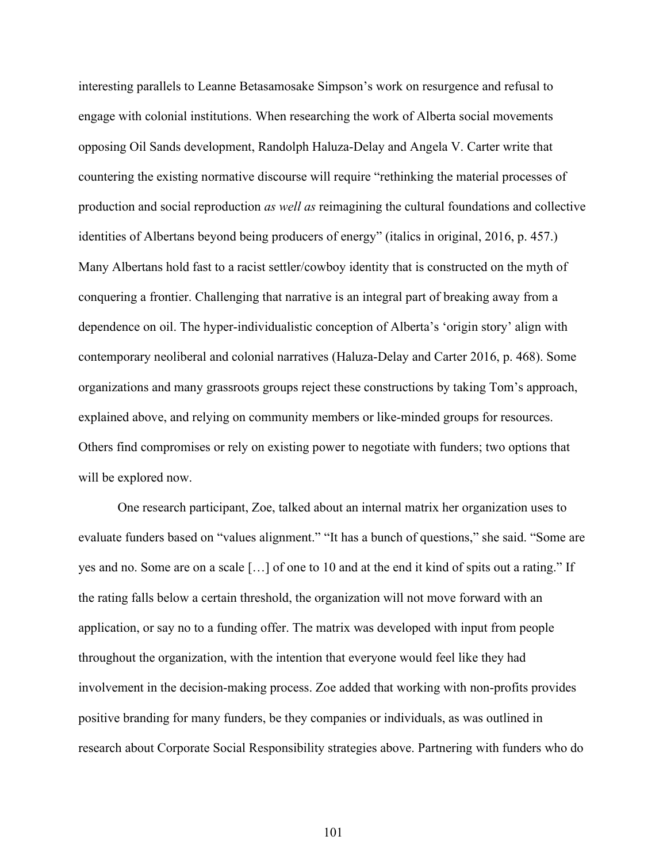interesting parallels to Leanne Betasamosake Simpson's work on resurgence and refusal to engage with colonial institutions. When researching the work of Alberta social movements opposing Oil Sands development, Randolph Haluza-Delay and Angela V. Carter write that countering the existing normative discourse will require "rethinking the material processes of production and social reproduction *as well as* reimagining the cultural foundations and collective identities of Albertans beyond being producers of energy" (italics in original, 2016, p. 457.) Many Albertans hold fast to a racist settler/cowboy identity that is constructed on the myth of conquering a frontier. Challenging that narrative is an integral part of breaking away from a dependence on oil. The hyper-individualistic conception of Alberta's 'origin story' align with contemporary neoliberal and colonial narratives (Haluza-Delay and Carter 2016, p. 468). Some organizations and many grassroots groups reject these constructions by taking Tom's approach, explained above, and relying on community members or like-minded groups for resources. Others find compromises or rely on existing power to negotiate with funders; two options that will be explored now.

One research participant, Zoe, talked about an internal matrix her organization uses to evaluate funders based on "values alignment." "It has a bunch of questions," she said. "Some are yes and no. Some are on a scale […] of one to 10 and at the end it kind of spits out a rating." If the rating falls below a certain threshold, the organization will not move forward with an application, or say no to a funding offer. The matrix was developed with input from people throughout the organization, with the intention that everyone would feel like they had involvement in the decision-making process. Zoe added that working with non-profits provides positive branding for many funders, be they companies or individuals, as was outlined in research about Corporate Social Responsibility strategies above. Partnering with funders who do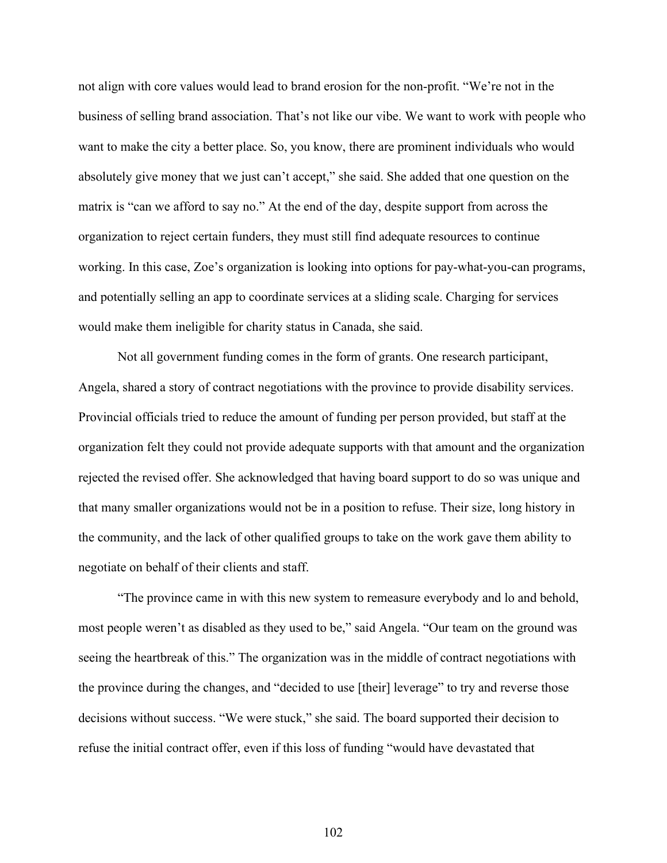not align with core values would lead to brand erosion for the non-profit. "We're not in the business of selling brand association. That's not like our vibe. We want to work with people who want to make the city a better place. So, you know, there are prominent individuals who would absolutely give money that we just can't accept," she said. She added that one question on the matrix is "can we afford to say no." At the end of the day, despite support from across the organization to reject certain funders, they must still find adequate resources to continue working. In this case, Zoe's organization is looking into options for pay-what-you-can programs, and potentially selling an app to coordinate services at a sliding scale. Charging for services would make them ineligible for charity status in Canada, she said.

Not all government funding comes in the form of grants. One research participant, Angela, shared a story of contract negotiations with the province to provide disability services. Provincial officials tried to reduce the amount of funding per person provided, but staff at the organization felt they could not provide adequate supports with that amount and the organization rejected the revised offer. She acknowledged that having board support to do so was unique and that many smaller organizations would not be in a position to refuse. Their size, long history in the community, and the lack of other qualified groups to take on the work gave them ability to negotiate on behalf of their clients and staff.

"The province came in with this new system to remeasure everybody and lo and behold, most people weren't as disabled as they used to be," said Angela. "Our team on the ground was seeing the heartbreak of this." The organization was in the middle of contract negotiations with the province during the changes, and "decided to use [their] leverage" to try and reverse those decisions without success. "We were stuck," she said. The board supported their decision to refuse the initial contract offer, even if this loss of funding "would have devastated that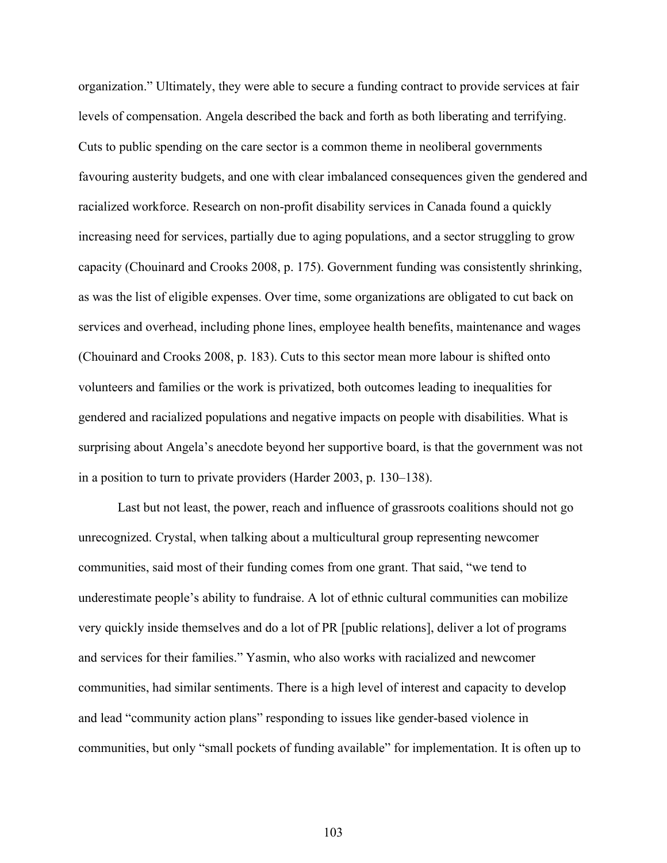organization." Ultimately, they were able to secure a funding contract to provide services at fair levels of compensation. Angela described the back and forth as both liberating and terrifying. Cuts to public spending on the care sector is a common theme in neoliberal governments favouring austerity budgets, and one with clear imbalanced consequences given the gendered and racialized workforce. Research on non-profit disability services in Canada found a quickly increasing need for services, partially due to aging populations, and a sector struggling to grow capacity (Chouinard and Crooks 2008, p. 175). Government funding was consistently shrinking, as was the list of eligible expenses. Over time, some organizations are obligated to cut back on services and overhead, including phone lines, employee health benefits, maintenance and wages (Chouinard and Crooks 2008, p. 183). Cuts to this sector mean more labour is shifted onto volunteers and families or the work is privatized, both outcomes leading to inequalities for gendered and racialized populations and negative impacts on people with disabilities. What is surprising about Angela's anecdote beyond her supportive board, is that the government was not in a position to turn to private providers (Harder 2003, p. 130–138).

Last but not least, the power, reach and influence of grassroots coalitions should not go unrecognized. Crystal, when talking about a multicultural group representing newcomer communities, said most of their funding comes from one grant. That said, "we tend to underestimate people's ability to fundraise. A lot of ethnic cultural communities can mobilize very quickly inside themselves and do a lot of PR [public relations], deliver a lot of programs and services for their families." Yasmin, who also works with racialized and newcomer communities, had similar sentiments. There is a high level of interest and capacity to develop and lead "community action plans" responding to issues like gender-based violence in communities, but only "small pockets of funding available" for implementation. It is often up to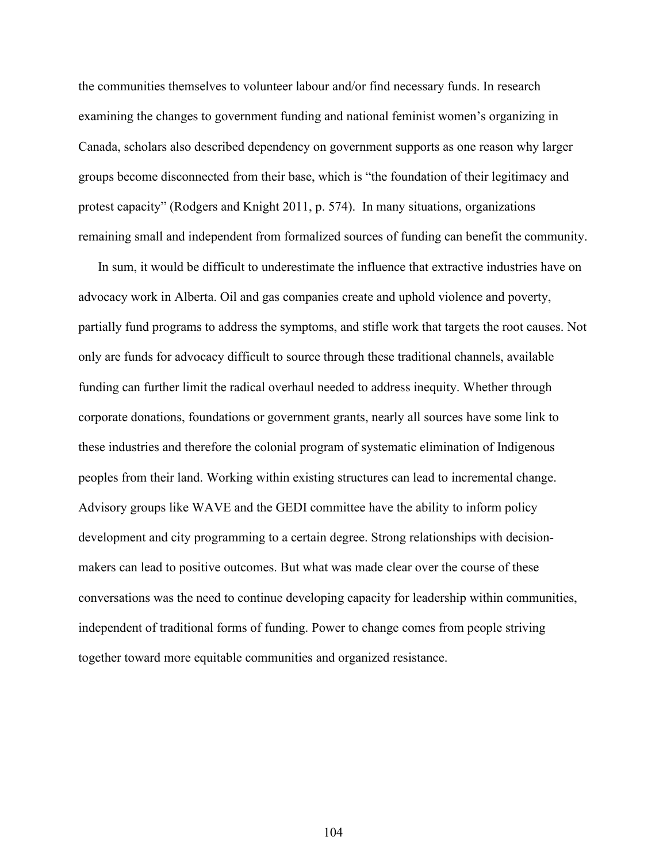the communities themselves to volunteer labour and/or find necessary funds. In research examining the changes to government funding and national feminist women's organizing in Canada, scholars also described dependency on government supports as one reason why larger groups become disconnected from their base, which is "the foundation of their legitimacy and protest capacity" (Rodgers and Knight 2011, p. 574). In many situations, organizations remaining small and independent from formalized sources of funding can benefit the community.

In sum, it would be difficult to underestimate the influence that extractive industries have on advocacy work in Alberta. Oil and gas companies create and uphold violence and poverty, partially fund programs to address the symptoms, and stifle work that targets the root causes. Not only are funds for advocacy difficult to source through these traditional channels, available funding can further limit the radical overhaul needed to address inequity. Whether through corporate donations, foundations or government grants, nearly all sources have some link to these industries and therefore the colonial program of systematic elimination of Indigenous peoples from their land. Working within existing structures can lead to incremental change. Advisory groups like WAVE and the GEDI committee have the ability to inform policy development and city programming to a certain degree. Strong relationships with decisionmakers can lead to positive outcomes. But what was made clear over the course of these conversations was the need to continue developing capacity for leadership within communities, independent of traditional forms of funding. Power to change comes from people striving together toward more equitable communities and organized resistance.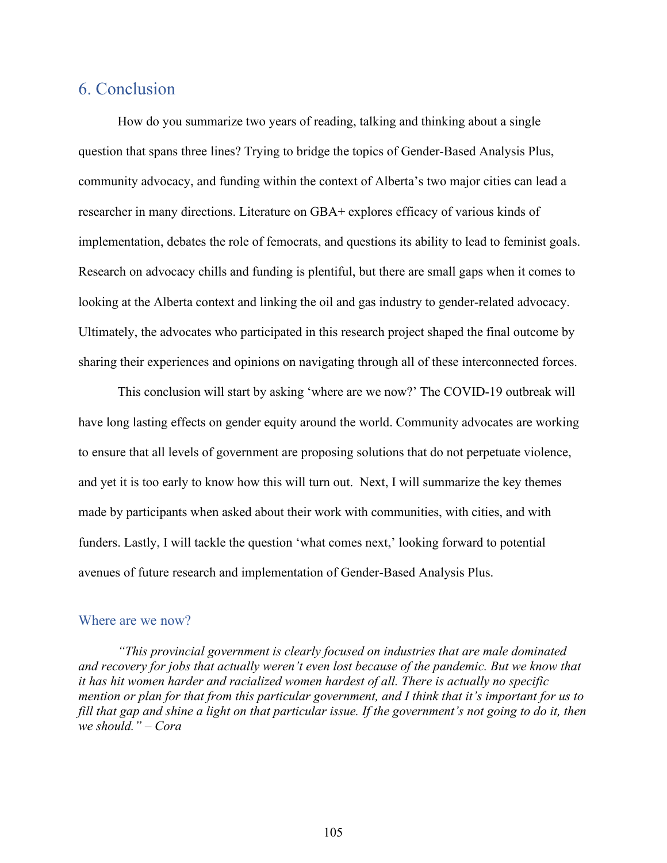## 6. Conclusion

How do you summarize two years of reading, talking and thinking about a single question that spans three lines? Trying to bridge the topics of Gender-Based Analysis Plus, community advocacy, and funding within the context of Alberta's two major cities can lead a researcher in many directions. Literature on GBA+ explores efficacy of various kinds of implementation, debates the role of femocrats, and questions its ability to lead to feminist goals. Research on advocacy chills and funding is plentiful, but there are small gaps when it comes to looking at the Alberta context and linking the oil and gas industry to gender-related advocacy. Ultimately, the advocates who participated in this research project shaped the final outcome by sharing their experiences and opinions on navigating through all of these interconnected forces.

This conclusion will start by asking 'where are we now?' The COVID-19 outbreak will have long lasting effects on gender equity around the world. Community advocates are working to ensure that all levels of government are proposing solutions that do not perpetuate violence, and yet it is too early to know how this will turn out. Next, I will summarize the key themes made by participants when asked about their work with communities, with cities, and with funders. Lastly, I will tackle the question 'what comes next,' looking forward to potential avenues of future research and implementation of Gender-Based Analysis Plus.

#### Where are we now?

*"This provincial government is clearly focused on industries that are male dominated and recovery for jobs that actually weren't even lost because of the pandemic. But we know that it has hit women harder and racialized women hardest of all. There is actually no specific mention or plan for that from this particular government, and I think that it's important for us to fill that gap and shine a light on that particular issue. If the government's not going to do it, then we should." – Cora*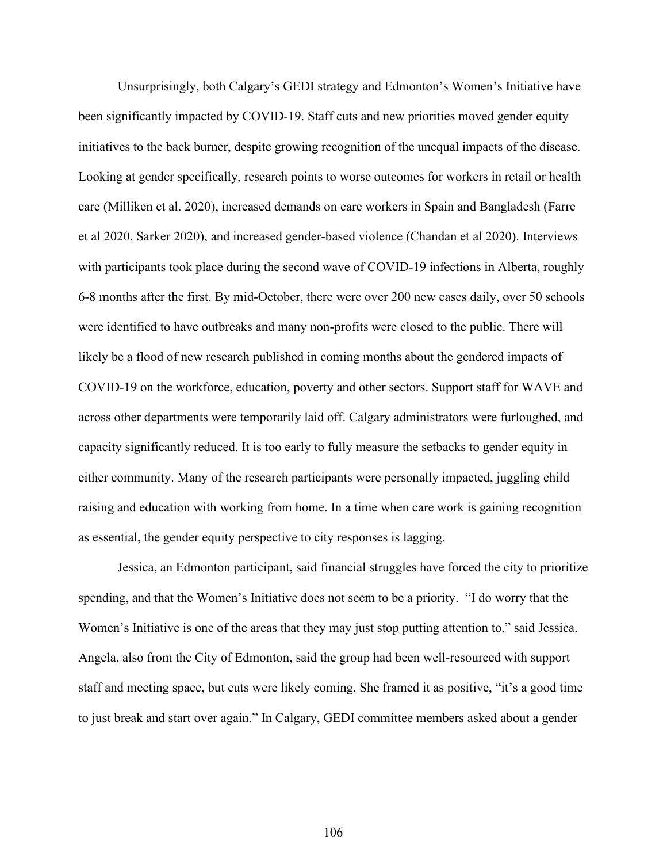Unsurprisingly, both Calgary's GEDI strategy and Edmonton's Women's Initiative have been significantly impacted by COVID-19. Staff cuts and new priorities moved gender equity initiatives to the back burner, despite growing recognition of the unequal impacts of the disease. Looking at gender specifically, research points to worse outcomes for workers in retail or health care (Milliken et al. 2020), increased demands on care workers in Spain and Bangladesh (Farre et al 2020, Sarker 2020), and increased gender-based violence (Chandan et al 2020). Interviews with participants took place during the second wave of COVID-19 infections in Alberta, roughly 6-8 months after the first. By mid-October, there were over 200 new cases daily, over 50 schools were identified to have outbreaks and many non-profits were closed to the public. There will likely be a flood of new research published in coming months about the gendered impacts of COVID-19 on the workforce, education, poverty and other sectors. Support staff for WAVE and across other departments were temporarily laid off. Calgary administrators were furloughed, and capacity significantly reduced. It is too early to fully measure the setbacks to gender equity in either community. Many of the research participants were personally impacted, juggling child raising and education with working from home. In a time when care work is gaining recognition as essential, the gender equity perspective to city responses is lagging.

 Jessica, an Edmonton participant, said financial struggles have forced the city to prioritize spending, and that the Women's Initiative does not seem to be a priority. "I do worry that the Women's Initiative is one of the areas that they may just stop putting attention to," said Jessica. Angela, also from the City of Edmonton, said the group had been well-resourced with support staff and meeting space, but cuts were likely coming. She framed it as positive, "it's a good time to just break and start over again." In Calgary, GEDI committee members asked about a gender

106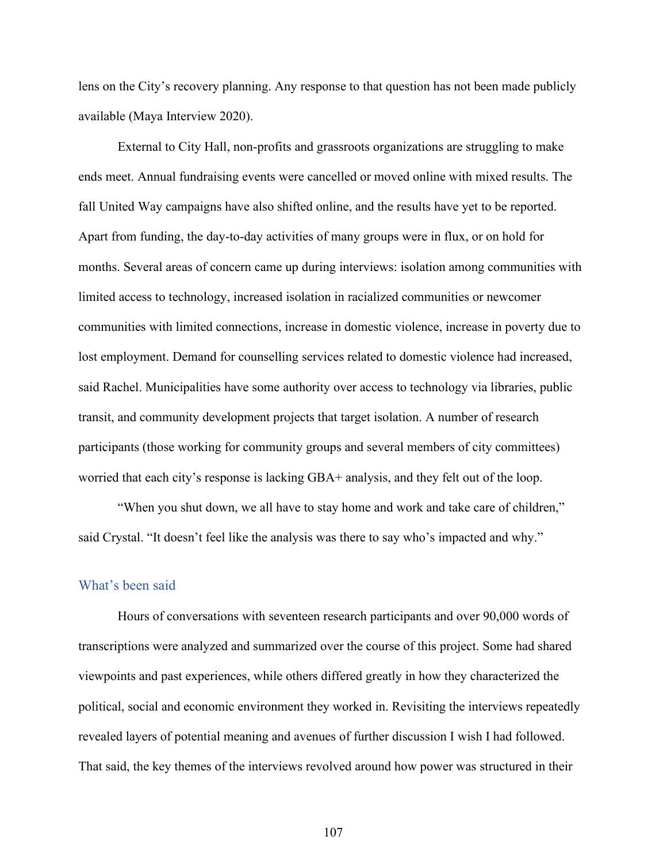lens on the City's recovery planning. Any response to that question has not been made publicly available (Maya Interview 2020).

External to City Hall, non-profits and grassroots organizations are struggling to make ends meet. Annual fundraising events were cancelled or moved online with mixed results. The fall United Way campaigns have also shifted online, and the results have yet to be reported. Apart from funding, the day-to-day activities of many groups were in flux, or on hold for months. Several areas of concern came up during interviews: isolation among communities with limited access to technology, increased isolation in racialized communities or newcomer communities with limited connections, increase in domestic violence, increase in poverty due to lost employment. Demand for counselling services related to domestic violence had increased, said Rachel. Municipalities have some authority over access to technology via libraries, public transit, and community development projects that target isolation. A number of research participants (those working for community groups and several members of city committees) worried that each city's response is lacking GBA+ analysis, and they felt out of the loop.

"When you shut down, we all have to stay home and work and take care of children," said Crystal. "It doesn't feel like the analysis was there to say who's impacted and why."

#### What's been said

Hours of conversations with seventeen research participants and over 90,000 words of transcriptions were analyzed and summarized over the course of this project. Some had shared viewpoints and past experiences, while others differed greatly in how they characterized the political, social and economic environment they worked in. Revisiting the interviews repeatedly revealed layers of potential meaning and avenues of further discussion I wish I had followed. That said, the key themes of the interviews revolved around how power was structured in their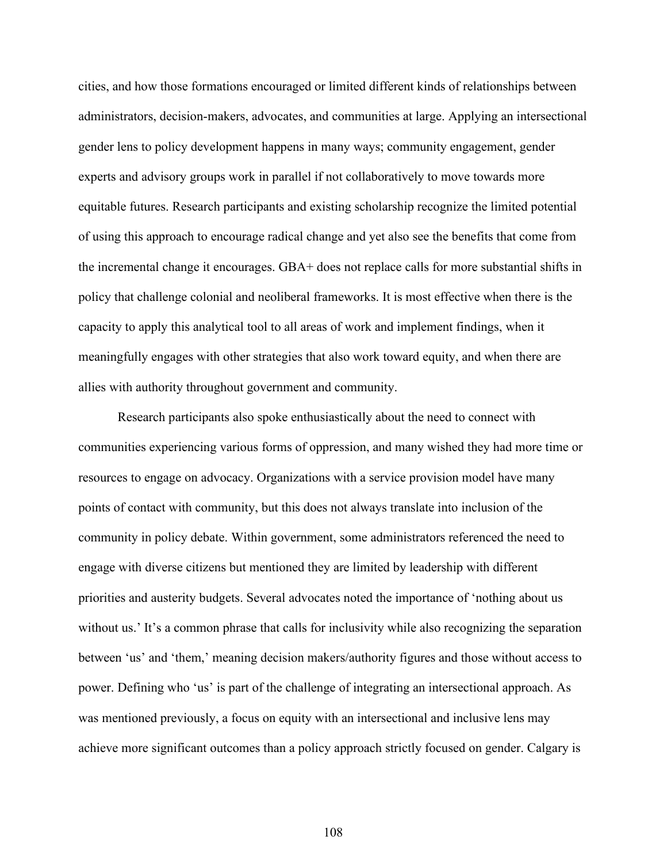cities, and how those formations encouraged or limited different kinds of relationships between administrators, decision-makers, advocates, and communities at large. Applying an intersectional gender lens to policy development happens in many ways; community engagement, gender experts and advisory groups work in parallel if not collaboratively to move towards more equitable futures. Research participants and existing scholarship recognize the limited potential of using this approach to encourage radical change and yet also see the benefits that come from the incremental change it encourages. GBA+ does not replace calls for more substantial shifts in policy that challenge colonial and neoliberal frameworks. It is most effective when there is the capacity to apply this analytical tool to all areas of work and implement findings, when it meaningfully engages with other strategies that also work toward equity, and when there are allies with authority throughout government and community.

Research participants also spoke enthusiastically about the need to connect with communities experiencing various forms of oppression, and many wished they had more time or resources to engage on advocacy. Organizations with a service provision model have many points of contact with community, but this does not always translate into inclusion of the community in policy debate. Within government, some administrators referenced the need to engage with diverse citizens but mentioned they are limited by leadership with different priorities and austerity budgets. Several advocates noted the importance of 'nothing about us without us.' It's a common phrase that calls for inclusivity while also recognizing the separation between 'us' and 'them,' meaning decision makers/authority figures and those without access to power. Defining who 'us' is part of the challenge of integrating an intersectional approach. As was mentioned previously, a focus on equity with an intersectional and inclusive lens may achieve more significant outcomes than a policy approach strictly focused on gender. Calgary is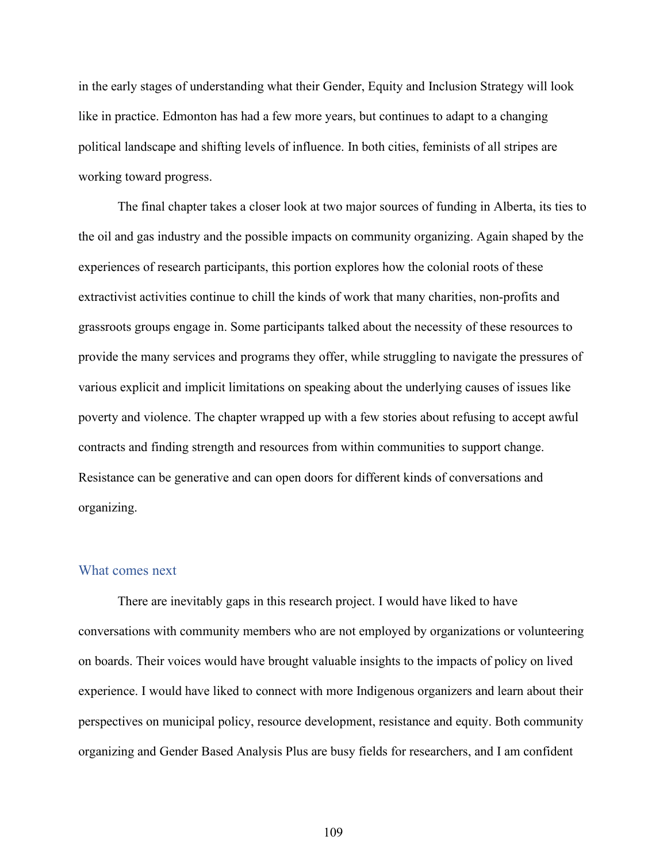in the early stages of understanding what their Gender, Equity and Inclusion Strategy will look like in practice. Edmonton has had a few more years, but continues to adapt to a changing political landscape and shifting levels of influence. In both cities, feminists of all stripes are working toward progress.

The final chapter takes a closer look at two major sources of funding in Alberta, its ties to the oil and gas industry and the possible impacts on community organizing. Again shaped by the experiences of research participants, this portion explores how the colonial roots of these extractivist activities continue to chill the kinds of work that many charities, non-profits and grassroots groups engage in. Some participants talked about the necessity of these resources to provide the many services and programs they offer, while struggling to navigate the pressures of various explicit and implicit limitations on speaking about the underlying causes of issues like poverty and violence. The chapter wrapped up with a few stories about refusing to accept awful contracts and finding strength and resources from within communities to support change. Resistance can be generative and can open doors for different kinds of conversations and organizing.

## What comes next

There are inevitably gaps in this research project. I would have liked to have conversations with community members who are not employed by organizations or volunteering on boards. Their voices would have brought valuable insights to the impacts of policy on lived experience. I would have liked to connect with more Indigenous organizers and learn about their perspectives on municipal policy, resource development, resistance and equity. Both community organizing and Gender Based Analysis Plus are busy fields for researchers, and I am confident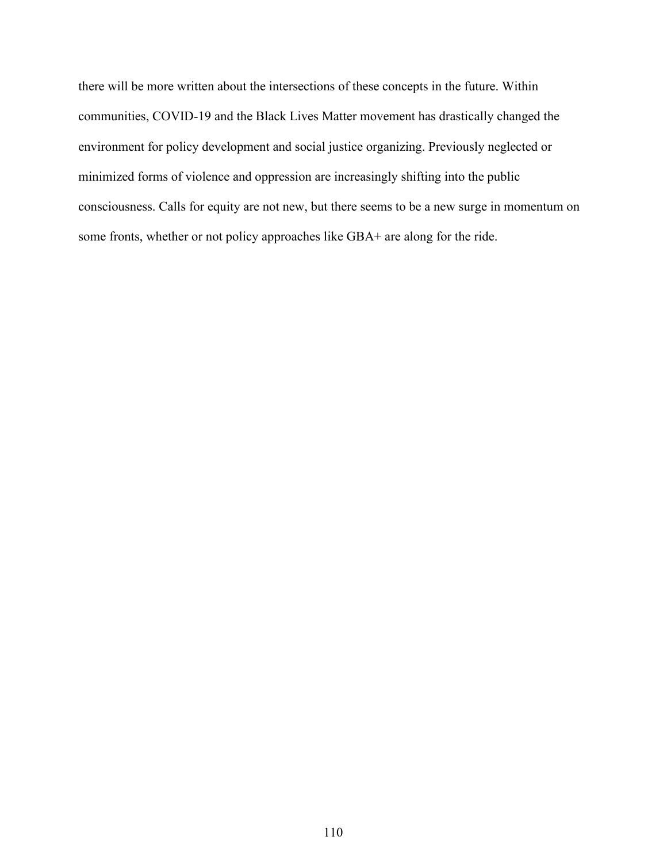there will be more written about the intersections of these concepts in the future. Within communities, COVID-19 and the Black Lives Matter movement has drastically changed the environment for policy development and social justice organizing. Previously neglected or minimized forms of violence and oppression are increasingly shifting into the public consciousness. Calls for equity are not new, but there seems to be a new surge in momentum on some fronts, whether or not policy approaches like GBA+ are along for the ride.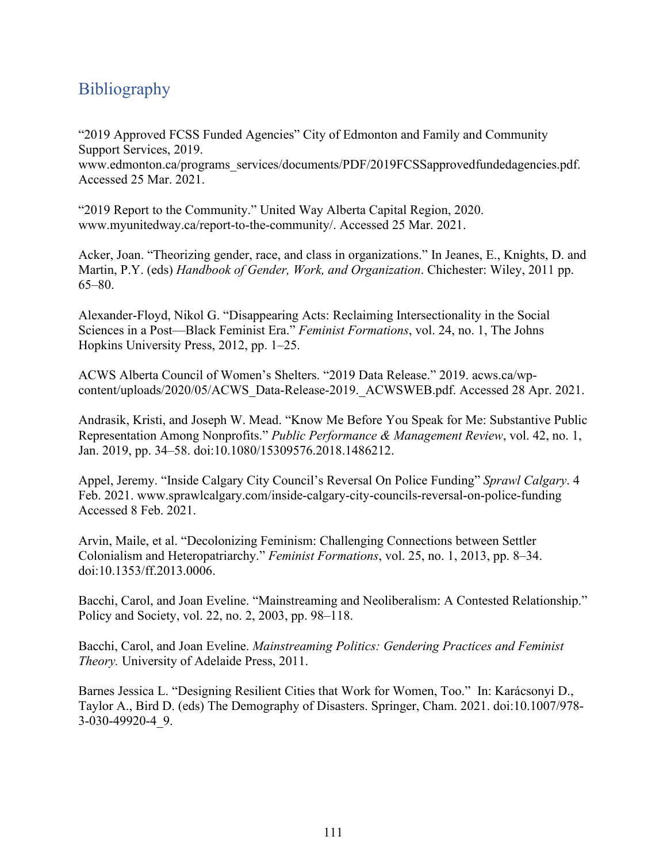## **Bibliography**

"2019 Approved FCSS Funded Agencies" City of Edmonton and Family and Community Support Services, 2019.

[www.edmonton.ca/programs\\_services/documents/PDF/2019FCSSapprovedfundedagencies.pdf.](https://www.edmonton.ca/programs_services/documents/PDF/2019FCSSapprovedfundedagencies.pdf) Accessed 25 Mar. 2021.

"2019 Report to the Community." United Way Alberta Capital Region, 2020. [www.myunitedway.ca/report-to-the-community/.](https://www.myunitedway.ca/report-to-the-community/) Accessed 25 Mar. 2021.

Acker, Joan. "Theorizing gender, race, and class in organizations." In Jeanes, E., Knights, D. and Martin, P.Y. (eds) *Handbook of Gender, Work, and Organization*. Chichester: Wiley, 2011 pp. 65–80.

Alexander-Floyd, Nikol G. "Disappearing Acts: Reclaiming Intersectionality in the Social Sciences in a Post—Black Feminist Era." *Feminist Formations*, vol. 24, no. 1, The Johns Hopkins University Press, 2012, pp. 1–25.

ACWS Alberta Council of Women's Shelters. "2019 Data Release." 2019. [acws.ca/wp](https://acws.ca/wp-content/uploads/2020/05/ACWS_Data-Release-2019._ACWSWEB.pdf)[content/uploads/2020/05/ACWS\\_Data-Release-2019.\\_ACWSWEB.pdf.](https://acws.ca/wp-content/uploads/2020/05/ACWS_Data-Release-2019._ACWSWEB.pdf) Accessed 28 Apr. 2021.

Andrasik, Kristi, and Joseph W. Mead. "Know Me Before You Speak for Me: Substantive Public Representation Among Nonprofits." *Public Performance & Management Review*, vol. 42, no. 1, Jan. 2019, pp. 34–58. doi[:10.1080/15309576.2018.1486212.](https://doi.org/10.1080/15309576.2018.1486212)

Appel, Jeremy. "Inside Calgary City Council's Reversal On Police Funding" *Sprawl Calgary*. 4 Feb. 2021. [www.sprawlcalgary.com/inside-calgary-city-councils-reversal-on-police-funding](https://www.sprawlcalgary.com/inside-calgary-city-councils-reversal-on-police-funding)  Accessed 8 Feb. 2021.

Arvin, Maile, et al. "Decolonizing Feminism: Challenging Connections between Settler Colonialism and Heteropatriarchy." *Feminist Formations*, vol. 25, no. 1, 2013, pp. 8–34. doi[:10.1353/ff.2013.0006.](https://doi.org/10.1353/ff.2013.0006)

Bacchi, Carol, and Joan Eveline. "Mainstreaming and Neoliberalism: A Contested Relationship." Policy and Society, vol. 22, no. 2, 2003, pp. 98–118.

Bacchi, Carol, and Joan Eveline. *Mainstreaming Politics: Gendering Practices and Feminist Theory.* University of Adelaide Press, 2011.

Barnes Jessica L. "Designing Resilient Cities that Work for Women, Too." In: Karácsonyi D., Taylor A., Bird D. (eds) The Demography of Disasters. Springer, Cham. 2021. doi:10.1007/978- 3-030-49920-4\_9.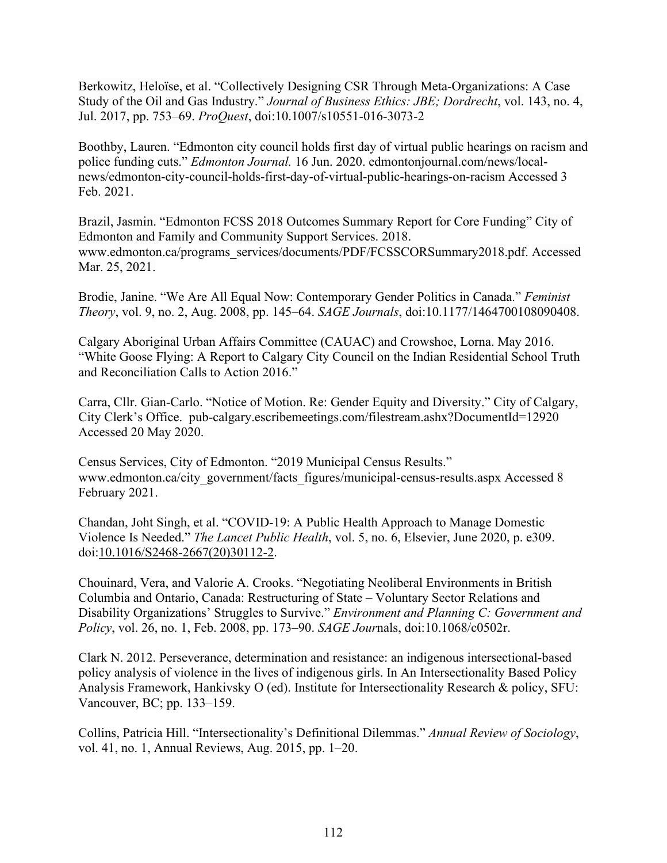Berkowitz, Heloïse, et al. "Collectively Designing CSR Through Meta-Organizations: A Case Study of the Oil and Gas Industry." *Journal of Business Ethics: JBE; Dordrecht*, vol. 143, no. 4, Jul. 2017, pp. 753–69. *ProQuest*, doi:10.1007/s10551-016-3073-2

Boothby, Lauren. "Edmonton city council holds first day of virtual public hearings on racism and police funding cuts." *Edmonton Journal.* 16 Jun. 2020. [edmontonjournal.com/news/local](https://edmontonjournal.com/news/local-news/edmonton-city-council-holds-first-day-of-virtual-public-hearings-on-racism)[news/edmonton-city-council-holds-first-day-of-virtual-public-hearings-on-racism](https://edmontonjournal.com/news/local-news/edmonton-city-council-holds-first-day-of-virtual-public-hearings-on-racism) Accessed 3 Feb. 2021.

Brazil, Jasmin. "Edmonton FCSS 2018 Outcomes Summary Report for Core Funding" City of Edmonton and Family and Community Support Services. 2018. [www.edmonton.ca/programs\\_services/documents/PDF/FCSSCORSummary2018.pdf.](https://www.edmonton.ca/programs_services/documents/PDF/FCSSCORSummary2018.pdf) Accessed Mar. 25, 2021.

Brodie, Janine. "We Are All Equal Now: Contemporary Gender Politics in Canada." *Feminist Theory*, vol. 9, no. 2, Aug. 2008, pp. 145–64. *SAGE Journals*, doi[:10.1177/1464700108090408.](https://doi.org/10.1177/1464700108090408)

Calgary Aboriginal Urban Affairs Committee (CAUAC) and Crowshoe, Lorna. May 2016. "White Goose Flying: A Report to Calgary City Council on the Indian Residential School Truth and Reconciliation Calls to Action 2016."

Carra, Cllr. Gian-Carlo. "Notice of Motion. Re: Gender Equity and Diversity." City of Calgary, City Clerk's Office. [pub-calgary.escribemeetings.com/filestream.ashx?DocumentId=12920](https://pub-calgary.escribemeetings.com/filestream.ashx?DocumentId=12920)  Accessed 20 May 2020.

Census Services, City of Edmonton. "2019 Municipal Census Results." www.edmonton.ca/city\_government/facts\_figures/municipal-census-results.aspx Accessed 8 [February 2021.](https://www.edmonton.ca/city_government/facts_figures/municipal-census-results.aspx%2520Accessed%25208%2520February%25202021)

Chandan, Joht Singh, et al. "COVID-19: A Public Health Approach to Manage Domestic Violence Is Needed." *The Lancet Public Health*, vol. 5, no. 6, Elsevier, June 2020, p. e309. doi[:10.1016/S2468-2667\(20\)30112-2.](https://doi.org/10.1016/S2468-2667(20)30112-2)

Chouinard, Vera, and Valorie A. Crooks. "Negotiating Neoliberal Environments in British Columbia and Ontario, Canada: Restructuring of State – Voluntary Sector Relations and Disability Organizations' Struggles to Survive." *Environment and Planning C: Government and Policy*, vol. 26, no. 1, Feb. 2008, pp. 173–90. *SAGE Jour*nals, doi[:10.1068/c0502r.](https://doi.org/10.1068/c0502r)

Clark N. 2012. Perseverance, determination and resistance: an indigenous intersectional-based policy analysis of violence in the lives of indigenous girls. In An Intersectionality Based Policy Analysis Framework, Hankivsky O (ed). Institute for Intersectionality Research & policy, SFU: Vancouver, BC; pp. 133–159.

Collins, Patricia Hill. "Intersectionality's Definitional Dilemmas." *Annual Review of Sociology*, vol. 41, no. 1, Annual Reviews, Aug. 2015, pp. 1–20.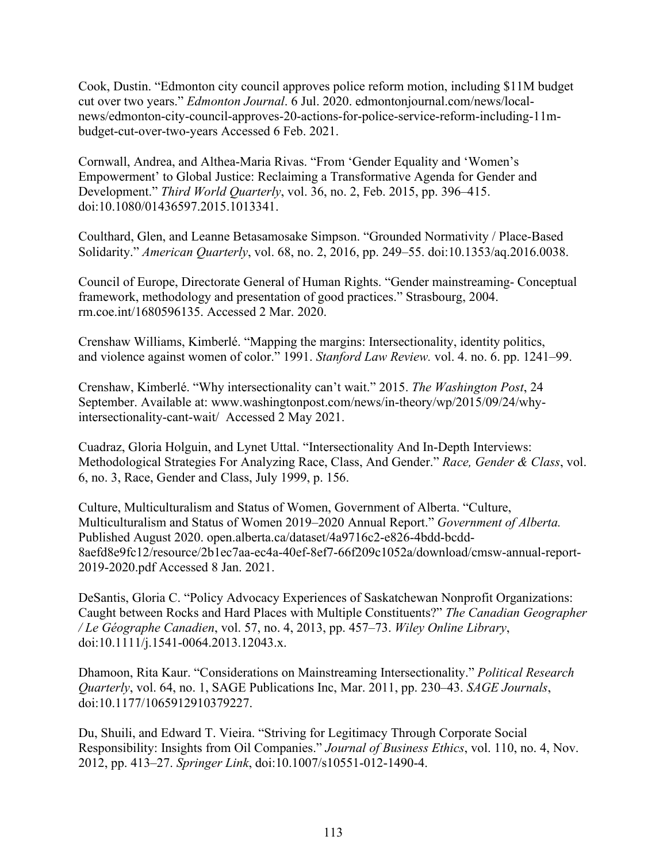Cook, Dustin. "Edmonton city council approves police reform motion, including \$11M budget cut over two years." *Edmonton Journal*. 6 Jul. 2020. [edmontonjournal.com/news/local](https://edmontonjournal.com/news/local-news/edmonton-city-council-approves-20-actions-for-police-service-reform-including-11m-budget-cut-over-two-years)[news/edmonton-city-council-approves-20-actions-for-police-service-reform-including-11m](https://edmontonjournal.com/news/local-news/edmonton-city-council-approves-20-actions-for-police-service-reform-including-11m-budget-cut-over-two-years)[budget-cut-over-two-years](https://edmontonjournal.com/news/local-news/edmonton-city-council-approves-20-actions-for-police-service-reform-including-11m-budget-cut-over-two-years) Accessed 6 Feb. 2021.

Cornwall, Andrea, and Althea-Maria Rivas. "From 'Gender Equality and 'Women's Empowerment' to Global Justice: Reclaiming a Transformative Agenda for Gender and Development." *Third World Quarterly*, vol. 36, no. 2, Feb. 2015, pp. 396–415. doi[:10.1080/01436597.2015.1013341.](https://doi.org/10.1080/01436597.2015.1013341)

Coulthard, Glen, and Leanne Betasamosake Simpson. "Grounded Normativity / Place-Based Solidarity." *American Quarterly*, vol. 68, no. 2, 2016, pp. 249–55. doi[:10.1353/aq.2016.0038.](https://doi.org/10.1353/aq.2016.0038)

Council of Europe, Directorate General of Human Rights. "Gender mainstreaming- Conceptual framework, methodology and presentation of good practices." Strasbourg, 2004. [rm.coe.int/1680596135.](https://rm.coe.int/1680596135) Accessed 2 Mar. 2020.

Crenshaw Williams, Kimberlé. "Mapping the margins: Intersectionality, identity politics, and violence against women of color." 1991. *Stanford Law Review.* vol. 4. no. 6. pp. 1241–99.

Crenshaw, Kimberlé. "Why intersectionality can't wait." 2015. *The Washington Post*, 24 September. Available at: [www.washingtonpost.com/news/in-theory/wp/2015/09/24/why](http://www.washingtonpost.com/news/in-theory/wp/2015/09/24/why-intersectionality-cant-wait/)[intersectionality-cant-wait/](http://www.washingtonpost.com/news/in-theory/wp/2015/09/24/why-intersectionality-cant-wait/) Accessed 2 May 2021.

Cuadraz, Gloria Holguin, and Lynet Uttal. "Intersectionality And In-Depth Interviews: Methodological Strategies For Analyzing Race, Class, And Gender." *Race, Gender & Class*, vol. 6, no. 3, Race, Gender and Class, July 1999, p. 156.

Culture, Multiculturalism and Status of Women, Government of Alberta. "Culture, Multiculturalism and Status of Women 2019–2020 Annual Report." *Government of Alberta.*  Published August 2020. [open.alberta.ca/dataset/4a9716c2-e826-4bdd-bcdd-](https://open.alberta.ca/dataset/4a9716c2-e826-4bdd-bcdd-8aefd8e9fc12/resource/2b1ec7aa-ec4a-40ef-8ef7-66f209c1052a/download/cmsw-annual-report-2019-2020.pdf)[8aefd8e9fc12/resource/2b1ec7aa-ec4a-40ef-8ef7-66f209c1052a/download/cmsw-annual-report-](https://open.alberta.ca/dataset/4a9716c2-e826-4bdd-bcdd-8aefd8e9fc12/resource/2b1ec7aa-ec4a-40ef-8ef7-66f209c1052a/download/cmsw-annual-report-2019-2020.pdf)[2019-2020.pdf](https://open.alberta.ca/dataset/4a9716c2-e826-4bdd-bcdd-8aefd8e9fc12/resource/2b1ec7aa-ec4a-40ef-8ef7-66f209c1052a/download/cmsw-annual-report-2019-2020.pdf) Accessed 8 Jan. 2021.

DeSantis, Gloria C. "Policy Advocacy Experiences of Saskatchewan Nonprofit Organizations: Caught between Rocks and Hard Places with Multiple Constituents?" *The Canadian Geographer / Le Géographe Canadien*, vol. 57, no. 4, 2013, pp. 457–73. *Wiley Online Library*, doi[:10.1111/j.1541-0064.2013.12043.x.](https://doi.org/10.1111/j.1541-0064.2013.12043.x)

Dhamoon, Rita Kaur. "Considerations on Mainstreaming Intersectionality." *Political Research Quarterly*, vol. 64, no. 1, SAGE Publications Inc, Mar. 2011, pp. 230–43. *SAGE Journals*, doi[:10.1177/1065912910379227.](https://doi.org/10.1177/1065912910379227)

Du, Shuili, and Edward T. Vieira. "Striving for Legitimacy Through Corporate Social Responsibility: Insights from Oil Companies." *Journal of Business Ethics*, vol. 110, no. 4, Nov. 2012, pp. 413–27. *Springer Link*, doi[:10.1007/s10551-012-1490-4.](https://doi.org/10.1007/s10551-012-1490-4)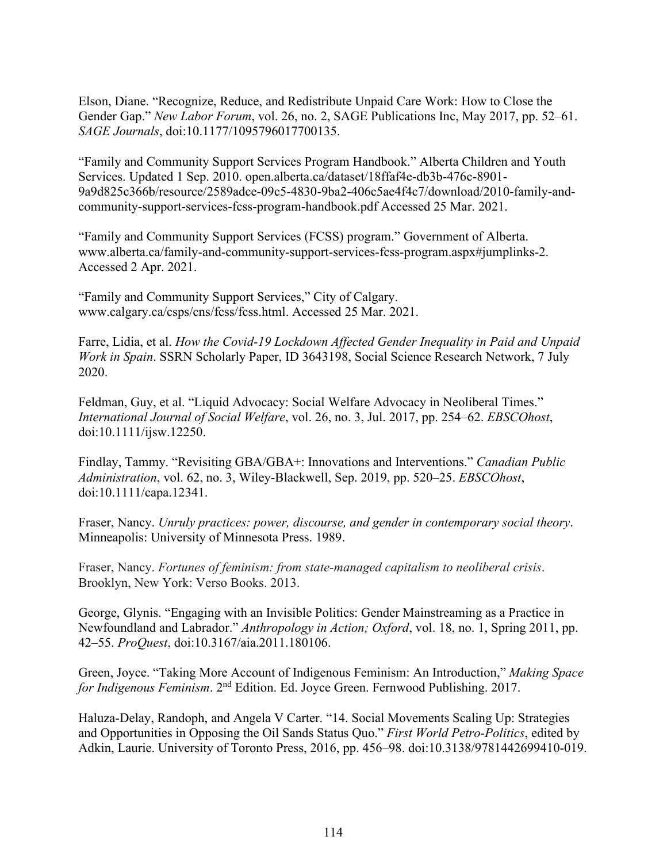Elson, Diane. "Recognize, Reduce, and Redistribute Unpaid Care Work: How to Close the Gender Gap." *New Labor Forum*, vol. 26, no. 2, SAGE Publications Inc, May 2017, pp. 52–61. *SAGE Journals*, doi[:10.1177/1095796017700135.](https://doi.org/10.1177/1095796017700135)

"Family and Community Support Services Program Handbook." Alberta Children and Youth Services. Updated 1 Sep. 2010. [open.alberta.ca/dataset/18ffaf4e-db3b-476c-8901-](https://open.alberta.ca/dataset/18ffaf4e-db3b-476c-8901-9a9d825c366b/resource/2589adce-09c5-4830-9ba2-406c5ae4f4c7/download/2010-family-and-community-support-services-fcss-program-handbook.pdf) [9a9d825c366b/resource/2589adce-09c5-4830-9ba2-406c5ae4f4c7/download/2010-family-and](https://open.alberta.ca/dataset/18ffaf4e-db3b-476c-8901-9a9d825c366b/resource/2589adce-09c5-4830-9ba2-406c5ae4f4c7/download/2010-family-and-community-support-services-fcss-program-handbook.pdf)[community-support-services-fcss-program-handbook.pdf](https://open.alberta.ca/dataset/18ffaf4e-db3b-476c-8901-9a9d825c366b/resource/2589adce-09c5-4830-9ba2-406c5ae4f4c7/download/2010-family-and-community-support-services-fcss-program-handbook.pdf) Accessed 25 Mar. 2021.

"Family and Community Support Services (FCSS) program." Government of Alberta. [www.alberta.ca/family-and-community-support-services-fcss-program.aspx#jumplinks-2.](https://www.alberta.ca/family-and-community-support-services-fcss-program.aspx#jumplinks-2) Accessed 2 Apr. 2021.

"Family and Community Support Services," City of Calgary. [www.calgary.ca/csps/cns/fcss/fcss.html.](https://www.calgary.ca/csps/cns/fcss/fcss.html) Accessed 25 Mar. 2021.

Farre, Lidia, et al. *How the Covid-19 Lockdown Affected Gender Inequality in Paid and Unpaid Work in Spain*. SSRN Scholarly Paper, ID 3643198, Social Science Research Network, 7 July 2020.

Feldman, Guy, et al. "Liquid Advocacy: Social Welfare Advocacy in Neoliberal Times." *International Journal of Social Welfare*, vol. 26, no. 3, Jul. 2017, pp. 254–62. *EBSCOhost*, doi[:10.1111/ijsw.12250.](https://doi.org/10.1111/ijsw.12250)

Findlay, Tammy. "Revisiting GBA/GBA+: Innovations and Interventions." *Canadian Public Administration*, vol. 62, no. 3, Wiley-Blackwell, Sep. 2019, pp. 520–25. *EBSCOhost*, doi[:10.1111/capa.12341.](https://doi.org/10.1111/capa.12341)

Fraser, Nancy. *Unruly practices: power, discourse, and gender in contemporary social theory*. Minneapolis: University of Minnesota Press. 1989.

Fraser, Nancy. *Fortunes of feminism: from state-managed capitalism to neoliberal crisis*. Brooklyn, New York: Verso Books. 2013.

George, Glynis. "Engaging with an Invisible Politics: Gender Mainstreaming as a Practice in Newfoundland and Labrador." *Anthropology in Action; Oxford*, vol. 18, no. 1, Spring 2011, pp. 42–55. *ProQuest*, doi[:10.3167/aia.2011.180106.](http://dx.doi.org.qe2a-proxy.mun.ca/10.3167/aia.2011.180106)

Green, Joyce. "Taking More Account of Indigenous Feminism: An Introduction," *Making Space for Indigenous Feminism*. 2nd Edition. Ed. Joyce Green. Fernwood Publishing. 2017.

Haluza-Delay, Randoph, and Angela V Carter. "14. Social Movements Scaling Up: Strategies and Opportunities in Opposing the Oil Sands Status Quo." *First World Petro-Politics*, edited by Adkin, Laurie. University of Toronto Press, 2016, pp. 456–98. doi[:10.3138/9781442699410-019.](https://doi.org/10.3138/9781442699410-019)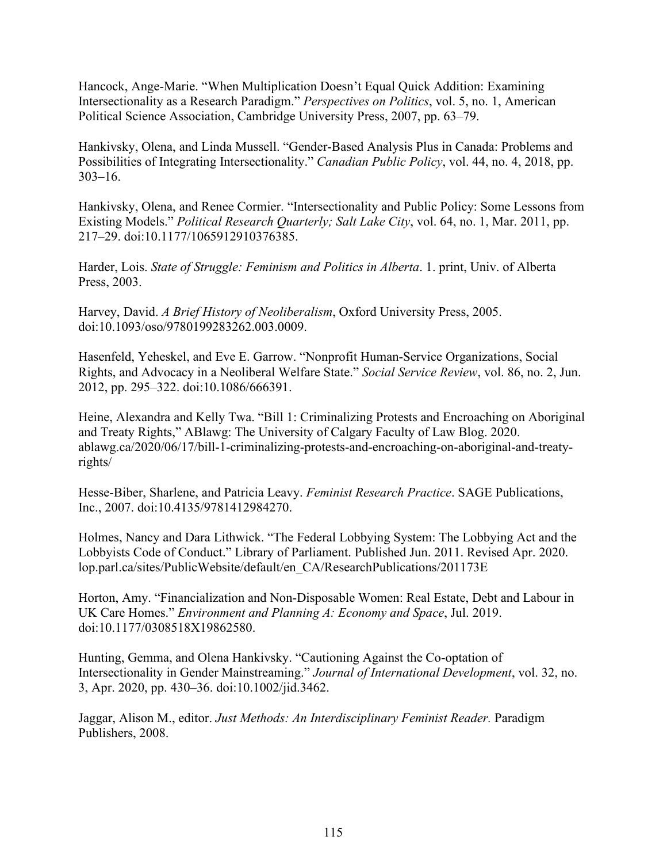Hancock, Ange-Marie. "When Multiplication Doesn't Equal Quick Addition: Examining Intersectionality as a Research Paradigm." *Perspectives on Politics*, vol. 5, no. 1, American Political Science Association, Cambridge University Press, 2007, pp. 63–79.

Hankivsky, Olena, and Linda Mussell. "Gender-Based Analysis Plus in Canada: Problems and Possibilities of Integrating Intersectionality." *Canadian Public Policy*, vol. 44, no. 4, 2018, pp. 303–16.

Hankivsky, Olena, and Renee Cormier. "Intersectionality and Public Policy: Some Lessons from Existing Models." *Political Research Quarterly; Salt Lake City*, vol. 64, no. 1, Mar. 2011, pp. 217–29. doi[:10.1177/1065912910376385.](http://dx.doi.org.qe2a-proxy.mun.ca/10.1177/1065912910376385)

Harder, Lois. *State of Struggle: Feminism and Politics in Alberta*. 1. print, Univ. of Alberta Press, 2003.

Harvey, David. *A Brief History of Neoliberalism*, Oxford University Press, 2005. doi[:10.1093/oso/9780199283262.003.0009.](https://doi.org/10.1093/oso/9780199283262.003.0009)

Hasenfeld, Yeheskel, and Eve E. Garrow. "Nonprofit Human-Service Organizations, Social Rights, and Advocacy in a Neoliberal Welfare State." *Social Service Review*, vol. 86, no. 2, Jun. 2012, pp. 295–322. doi[:10.1086/666391.](https://doi.org/10.1086/666391)

Heine, Alexandra and Kelly Twa. "Bill 1: Criminalizing Protests and Encroaching on Aboriginal and Treaty Rights," ABlawg: The University of Calgary Faculty of Law Blog. 2020. [ablawg.ca/2020/06/17/bill-1-criminalizing-protests-and-encroaching-on-aboriginal-and-treaty](https://ablawg.ca/2020/06/17/bill-1-criminalizing-protests-and-encroaching-on-aboriginal-and-treaty-rights/)[rights/](https://ablawg.ca/2020/06/17/bill-1-criminalizing-protests-and-encroaching-on-aboriginal-and-treaty-rights/) 

Hesse-Biber, Sharlene, and Patricia Leavy. *Feminist Research Practice*. SAGE Publications, Inc., 2007. doi[:10.4135/9781412984270.](https://doi.org/10.4135/9781412984270)

Holmes, Nancy and Dara Lithwick. "The Federal Lobbying System: The Lobbying Act and the Lobbyists Code of Conduct." Library of Parliament. Published Jun. 2011. Revised Apr. 2020. [lop.parl.ca/sites/PublicWebsite/default/en\\_CA/ResearchPublications/201173E](https://lop.parl.ca/sites/PublicWebsite/default/en_CA/ResearchPublications/201173E) 

Horton, Amy. "Financialization and Non-Disposable Women: Real Estate, Debt and Labour in UK Care Homes." *Environment and Planning A: Economy and Space*, Jul. 2019. doi[:10.1177/0308518X19862580.](https://doi.org/10.1177/0308518X19862580)

Hunting, Gemma, and Olena Hankivsky. "Cautioning Against the Co-optation of Intersectionality in Gender Mainstreaming." *Journal of International Development*, vol. 32, no. 3, Apr. 2020, pp. 430–36. doi[:10.1002/jid.3462.](https://doi.org/10.1002/jid.3462)

Jaggar, Alison M., editor. *Just Methods: An Interdisciplinary Feminist Reader.* Paradigm Publishers, 2008.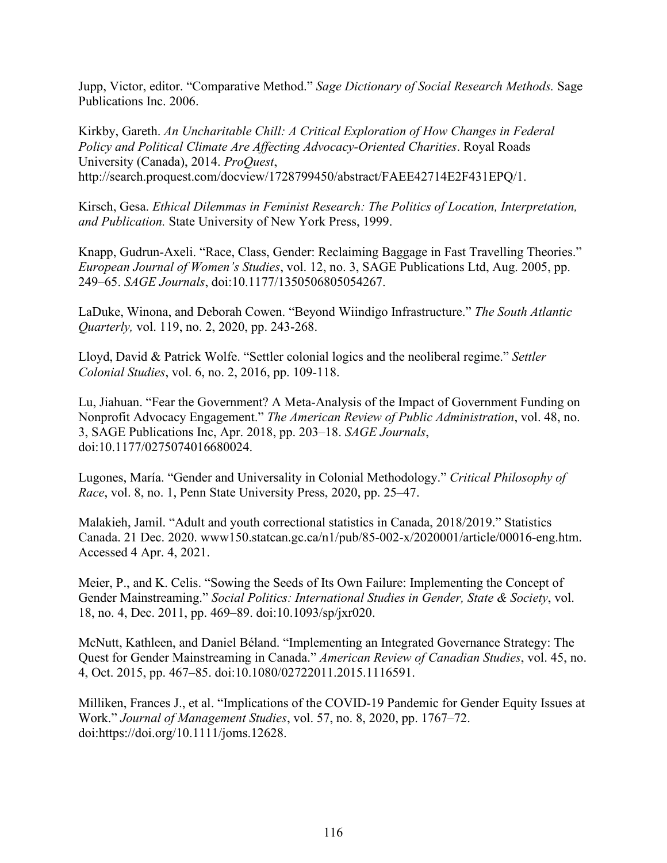Jupp, Victor, editor. "Comparative Method." *Sage Dictionary of Social Research Methods.* Sage Publications Inc. 2006.

Kirkby, Gareth. *An Uncharitable Chill: A Critical Exploration of How Changes in Federal Policy and Political Climate Are Affecting Advocacy-Oriented Charities*. Royal Roads University (Canada), 2014. *ProQuest*, [http://search.proquest.com/docview/1728799450/abstract/FAEE42714E2F431EPQ/1.](http://search.proquest.com/docview/1728799450/abstract/FAEE42714E2F431EPQ/1)

Kirsch, Gesa. *Ethical Dilemmas in Feminist Research: The Politics of Location, Interpretation, and Publication.* State University of New York Press, 1999.

Knapp, Gudrun-Axeli. "Race, Class, Gender: Reclaiming Baggage in Fast Travelling Theories." *European Journal of Women's Studies*, vol. 12, no. 3, SAGE Publications Ltd, Aug. 2005, pp. 249–65. *SAGE Journals*, doi[:10.1177/1350506805054267.](https://doi.org/10.1177/1350506805054267)

LaDuke, Winona, and Deborah Cowen. "Beyond Wiindigo Infrastructure." *The South Atlantic Quarterly,* vol. 119, no. 2, 2020, pp. 243-268.

Lloyd, David & Patrick Wolfe. "Settler colonial logics and the neoliberal regime." *Settler Colonial Studies*, vol. 6, no. 2, 2016, pp. 109-118.

Lu, Jiahuan. "Fear the Government? A Meta-Analysis of the Impact of Government Funding on Nonprofit Advocacy Engagement." *The American Review of Public Administration*, vol. 48, no. 3, SAGE Publications Inc, Apr. 2018, pp. 203–18. *SAGE Journals*, doi[:10.1177/0275074016680024.](https://doi.org/10.1177/0275074016680024)

Lugones, María. "Gender and Universality in Colonial Methodology." *Critical Philosophy of Race*, vol. 8, no. 1, Penn State University Press, 2020, pp. 25–47.

Malakieh, Jamil. "Adult and youth correctional statistics in Canada, 2018/2019." Statistics Canada. 21 Dec. 2020. [www150.statcan.gc.ca/n1/pub/85-002-x/2020001/article/00016-eng.htm.](https://www150.statcan.gc.ca/n1/pub/85-002-x/2020001/article/00016-eng.htm) Accessed 4 Apr. 4, 2021.

Meier, P., and K. Celis. "Sowing the Seeds of Its Own Failure: Implementing the Concept of Gender Mainstreaming." *Social Politics: International Studies in Gender, State & Society*, vol. 18, no. 4, Dec. 2011, pp. 469–89. doi[:10.1093/sp/jxr020.](https://doi.org/10.1093/sp/jxr020)

McNutt, Kathleen, and Daniel Béland. "Implementing an Integrated Governance Strategy: The Quest for Gender Mainstreaming in Canada." *American Review of Canadian Studies*, vol. 45, no. 4, Oct. 2015, pp. 467–85. doi[:10.1080/02722011.2015.1116591.](https://doi.org/10.1080/02722011.2015.1116591)

Milliken, Frances J., et al. "Implications of the COVID-19 Pandemic for Gender Equity Issues at Work." *Journal of Management Studies*, vol. 57, no. 8, 2020, pp. 1767–72. doi:https://doi.org/10.1111/joms.12628.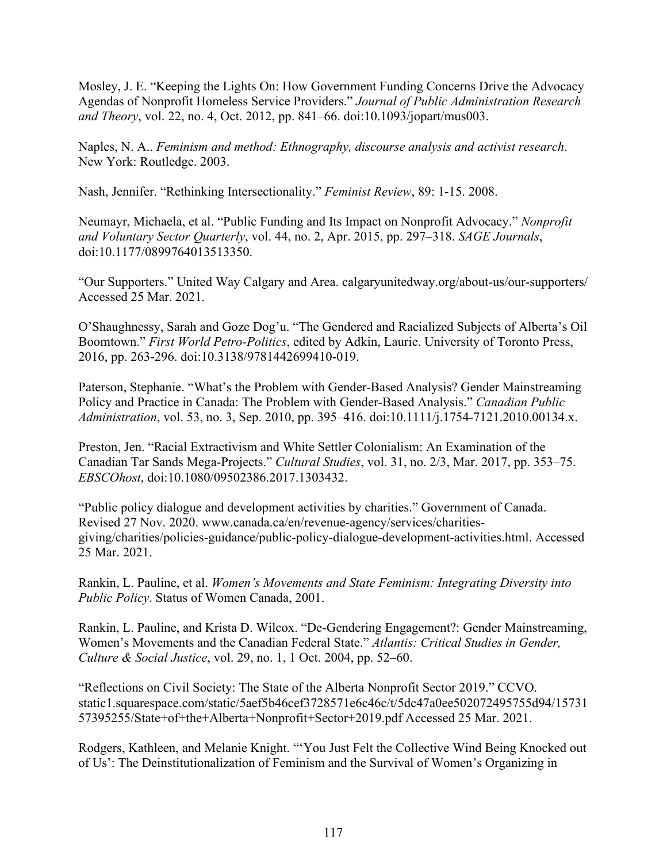Mosley, J. E. "Keeping the Lights On: How Government Funding Concerns Drive the Advocacy Agendas of Nonprofit Homeless Service Providers." *Journal of Public Administration Research and Theory*, vol. 22, no. 4, Oct. 2012, pp. 841–66. doi[:10.1093/jopart/mus003.](https://doi.org/10.1093/jopart/mus003)

Naples, N. A.. *Feminism and method: Ethnography, discourse analysis and activist research*. New York: Routledge. 2003.

Nash, Jennifer. "Rethinking Intersectionality." *Feminist Review*, 89: 1-15. 2008.

Neumayr, Michaela, et al. "Public Funding and Its Impact on Nonprofit Advocacy." *Nonprofit and Voluntary Sector Quarterly*, vol. 44, no. 2, Apr. 2015, pp. 297–318. *SAGE Journals*, doi[:10.1177/0899764013513350.](https://doi.org/10.1177/0899764013513350)

"Our Supporters." United Way Calgary and Area. [calgaryunitedway.org/about-us/our-supporters/](https://calgaryunitedway.org/about-us/our-supporters/)  Accessed 25 Mar. 2021.

O'Shaughnessy, Sarah and Goze Dog'u. "The Gendered and Racialized Subjects of Alberta's Oil Boomtown." *First World Petro-Politics*, edited by Adkin, Laurie. University of Toronto Press, 2016, pp. 263-296. doi[:10.3138/9781442699410-019.](https://doi.org/10.3138/9781442699410-019)

Paterson, Stephanie. "What's the Problem with Gender-Based Analysis? Gender Mainstreaming Policy and Practice in Canada: The Problem with Gender-Based Analysis." *Canadian Public Administration*, vol. 53, no. 3, Sep. 2010, pp. 395–416. doi[:10.1111/j.1754-7121.2010.00134.x.](https://doi.org/10.1111/j.1754-7121.2010.00134.x)

Preston, Jen. "Racial Extractivism and White Settler Colonialism: An Examination of the Canadian Tar Sands Mega-Projects." *Cultural Studies*, vol. 31, no. 2/3, Mar. 2017, pp. 353–75. *EBSCOhost*, doi[:10.1080/09502386.2017.1303432.](https://doi.org/10.1080/09502386.2017.1303432)

"Public policy dialogue and development activities by charities." Government of Canada. Revised 27 Nov. 2020. [www.canada.ca/en/revenue-agency/services/charities](https://www.canada.ca/en/revenue-agency/services/charities-giving/charities/policies-guidance/public-policy-dialogue-development-activities.html)[giving/charities/policies-guidance/public-policy-dialogue-development-activities.html.](https://www.canada.ca/en/revenue-agency/services/charities-giving/charities/policies-guidance/public-policy-dialogue-development-activities.html) Accessed 25 Mar. 2021.

Rankin, L. Pauline, et al. *Women's Movements and State Feminism: Integrating Diversity into Public Policy*. Status of Women Canada, 2001.

Rankin, L. Pauline, and Krista D. Wilcox. "De-Gendering Engagement?: Gender Mainstreaming, Women's Movements and the Canadian Federal State." *Atlantis: Critical Studies in Gender, Culture & Social Justice*, vol. 29, no. 1, 1 Oct. 2004, pp. 52–60.

"Reflections on Civil Society: The State of the Alberta Nonprofit Sector 2019." CCVO. [static1.squarespace.com/static/5aef5b46cef3728571e6c46c/t/5dc47a0ee502072495755d94/15731](https://static1.squarespace.com/static/5aef5b46cef3728571e6c46c/t/5dc47a0ee502072495755d94/1573157395255/State+of+the+Alberta+Nonprofit+Sector+2019.pdf) [57395255/State+of+the+Alberta+Nonprofit+Sector+2019.pdf](https://static1.squarespace.com/static/5aef5b46cef3728571e6c46c/t/5dc47a0ee502072495755d94/1573157395255/State+of+the+Alberta+Nonprofit+Sector+2019.pdf) Accessed 25 Mar. 2021.

Rodgers, Kathleen, and Melanie Knight. "'You Just Felt the Collective Wind Being Knocked out of Us': The Deinstitutionalization of Feminism and the Survival of Women's Organizing in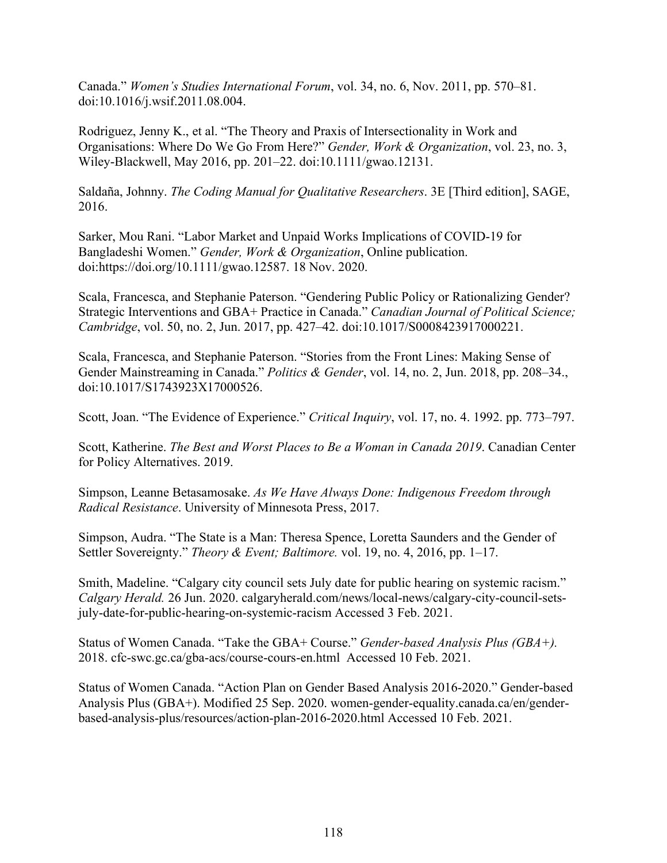Canada." *Women's Studies International Forum*, vol. 34, no. 6, Nov. 2011, pp. 570–81. doi[:10.1016/j.wsif.2011.08.004.](https://doi.org/10.1016/j.wsif.2011.08.004)

Rodriguez, Jenny K., et al. "The Theory and Praxis of Intersectionality in Work and Organisations: Where Do We Go From Here?" *Gender, Work & Organization*, vol. 23, no. 3, Wiley-Blackwell, May 2016, pp. 201–22. doi[:10.1111/gwao.12131.](https://doi.org/10.1111/gwao.12131)

Saldaña, Johnny. *The Coding Manual for Qualitative Researchers*. 3E [Third edition], SAGE, 2016.

Sarker, Mou Rani. "Labor Market and Unpaid Works Implications of COVID-19 for Bangladeshi Women." *Gender, Work & Organization*, Online publication. doi:https://doi.org/10.1111/gwao.12587. 18 Nov. 2020.

Scala, Francesca, and Stephanie Paterson. "Gendering Public Policy or Rationalizing Gender? Strategic Interventions and GBA+ Practice in Canada." *Canadian Journal of Political Science; Cambridge*, vol. 50, no. 2, Jun. 2017, pp. 427–42. doi[:10.1017/S0008423917000221.](http://dx.doi.org.qe2a-proxy.mun.ca/10.1017/S0008423917000221)

Scala, Francesca, and Stephanie Paterson. "Stories from the Front Lines: Making Sense of Gender Mainstreaming in Canada." *Politics & Gender*, vol. 14, no. 2, Jun. 2018, pp. 208–34., doi[:10.1017/S1743923X17000526.](https://doi.org/10.1017/S1743923X17000526)

Scott, Joan. "The Evidence of Experience." *Critical Inquiry*, vol. 17, no. 4. 1992. pp. 773–797.

Scott, Katherine. *The Best and Worst Places to Be a Woman in Canada 2019*. Canadian Center for Policy Alternatives. 2019.

Simpson, Leanne Betasamosake. *As We Have Always Done: Indigenous Freedom through Radical Resistance*. University of Minnesota Press, 2017.

Simpson, Audra. "The State is a Man: Theresa Spence, Loretta Saunders and the Gender of Settler Sovereignty." *Theory & Event; Baltimore.* vol. 19, no. 4, 2016, pp. 1–17.

Smith, Madeline. "Calgary city council sets July date for public hearing on systemic racism." *Calgary Herald.* 26 Jun. 2020. [calgaryherald.com/news/local-news/calgary-city-council-sets](https://calgaryherald.com/news/local-news/calgary-city-council-sets-july-date-for-public-hearing-on-systemic-racism)[july-date-for-public-hearing-on-systemic-racism](https://calgaryherald.com/news/local-news/calgary-city-council-sets-july-date-for-public-hearing-on-systemic-racism) Accessed 3 Feb. 2021.

Status of Women Canada. "Take the GBA+ Course." *Gender-based Analysis Plus (GBA+).* 2018. [cfc-swc.gc.ca/gba-acs/course-cours-en.html](https://cfc-swc.gc.ca/gba-acs/course-cours-en.html) Accessed 10 Feb. 2021.

Status of Women Canada. "Action Plan on Gender Based Analysis 2016-2020." Gender-based Analysis Plus (GBA+). Modified 25 Sep. 2020. [women-gender-equality.canada.ca/en/gender](https://women-gender-equality.canada.ca/en/gender-based-analysis-plus/resources/action-plan-2016-2020.html.%2520Accessed%252010%2520February%25202021)[based-analysis-plus/resources/action-plan-2016-2020.html](https://women-gender-equality.canada.ca/en/gender-based-analysis-plus/resources/action-plan-2016-2020.html.%2520Accessed%252010%2520February%25202021) Accessed 10 Feb. 2021.